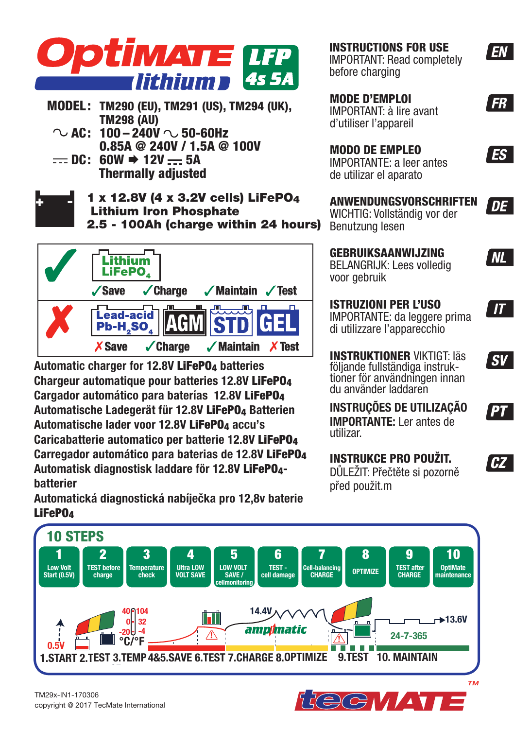

- **MODEL: TM290 (EU), TM291 (US), TM294 (UK), TM298 (AU)**
	- $\sim$  AC: 100 240V  $\sim$  50-60Hz  **0.85A @ 240V / 1.5A @ 100V**
	- $= DC: 60W \rightarrow 12V = 5A$  **Thermally adjusted**
- **+ -**

1 x 12.8V (4 x 3.2V cells) LiFePO4 Lithium Iron Phosphate 2.5 - 100Ah (charge within 24 hours)



**Automatic charger for 12.8V** LiFePO4 **batteries Chargeur automatique pour batteries 12.8V** LiFePO4 **Cargador automático para baterías 12.8V** LiFePO4 **Automatische Ladegerät für 12.8V** LiFePO4 **Batterien Automatische lader voor 12.8V** LiFePO4 **accu's Caricabatterie automatico per batterie 12.8V** LiFePO4 **Carregador automático para baterias de 12.8V** LiFePO4 **Automatisk diagnostisk laddare för 12.8V** LiFePO4 **batterier**

**Automatická diagnostická nabíječka pro 12,8v baterie**  LiFePO4

**INSTRUCTIONS FOR USE** IMPORTANT: Read completely before charging

**MODE D'EMPLOI** IMPORTANT: à lire avant d'utiliser l'appareil

**MODO DE EMPLEO** IMPORTANTE: a leer antes de utilizar el aparato

**ANWENDUNGSVORSCHRIFTEN**  WICHTIG: Vollständig vor der Benutzung lesen

**GEBRUIKSAANWIJZING** BELANGRIJK: Lees volledig voor gebruik

**ISTRUZIONI PER L'USO** IMPORTANTE: da leggere prima di utilizzare l'apparecchio

**INSTRUKTIONER** VIKTIGT: läs följande fullständiga instruktioner för användningen innan du använder laddaren

**INSTRUÇÕES DE UTILIZAÇÃO IMPORTANTE:** Ler antes de utilizar.

### **INSTRUKCE PRO POUŽIT.** DŮLEŽIT: Přečtěte si pozorně

před použit.m



**PT**

 $\mathsf{S}\mathsf{V}$ 

**EN** 

 $F$ 

ES<sup>-</sup>

**DE** 

**NL** 

 $\boldsymbol{\mathcal{T}}$ 



# **RECHAINS**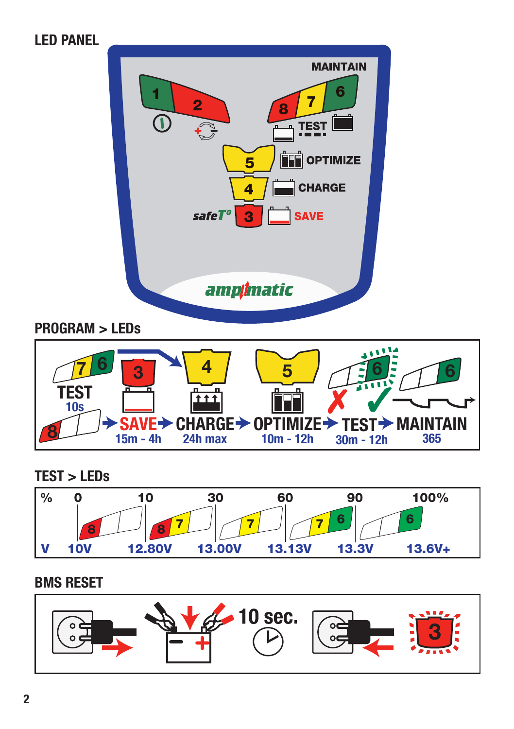# **LED PANEL MAINTAIN <sup>8</sup> <sup>7</sup> <sup>6</sup> 1 2** Œ **TEST**  $\mathbb{C}$ **FT OPTIMIZE 5 CHARGE 4** safe $T^o$ **3 SAVE** ampimatic **PROGRAM > LEDs**

**TEST MAINTAIN 30m - 12h 365 CHARGE OPTIMIZE 24h max SAVE 15m - 4h 10m - 12h TEST 10s** 6 7 8  $3$  4  $5$   $7$  6  $7$ 

**TEST > LEDs**



## **BMS RESET**

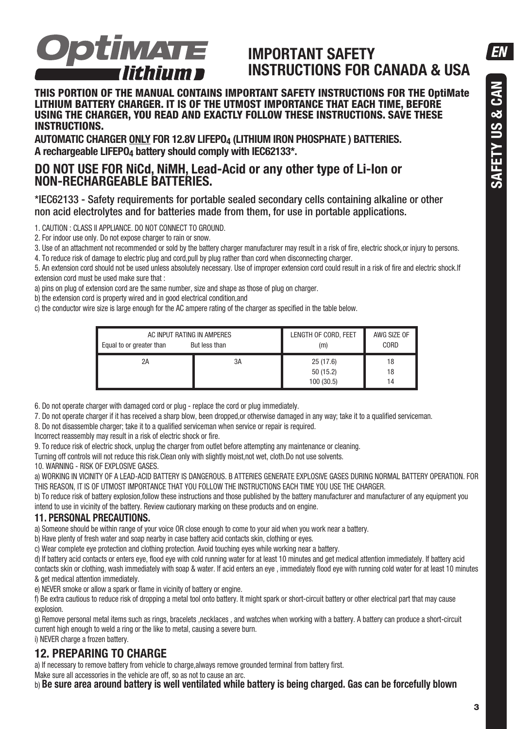EN



# **IMPORTANT SAFETY INSTRUCTIONS FOR CANADA & USA**

#### **THIS PORTION OF THE MANUAL CONTAINS IMPORTANT SAFETY INSTRUCTIONS FOR THE OptiMate LITHIUM BATTERY CHARGER. IT IS OF THE UTMOST IMPORTANCE THAT EACH TIME, BEFORE USING THE CHARGER, YOU READ AND EXACTLY FOLLOW THESE INSTRUCTIONS. SAVE THESE INSTRUCTIONS.**

**AUTOMATIC CHARGER ONLY FOR 12.8V LIFEPO4 (LITHIUM IRON PHOSPHATE ) BATTERIES.** A rechargeable LIFEPO<sub>4</sub> battery should comply with IEC62133<sup>\*</sup>.

### **DO NOT USE FOR NiCd, NiMH, Lead-Acid or any other type of Li-Ion or NON-RECHARGEABLE BATTERIES.**

\*IEC62133 - Safety requirements for portable sealed secondary cells containing alkaline or other non acid electrolytes and for batteries made from them, for use in portable applications.

1. CAUTION : CLASS II APPLIANCE. DO NOT CONNECT TO GROUND.

2. For indoor use only. Do not expose charger to rain or snow.

3. Use of an attachment not recommended or sold by the battery charger manufacturer may result in a risk of fire, electric shock,or injury to persons. 4. To reduce risk of damage to electric plug and cord,pull by plug rather than cord when disconnecting charger.

5. An extension cord should not be used unless absolutely necessary. Use of improper extension cord could result in a risk of fire and electric shock.If extension cord must be used make sure that :

a) pins on plug of extension cord are the same number, size and shape as those of plug on charger.

b) the extension cord is property wired and in good electrical condition,and

c) the conductor wire size is large enough for the AC ampere rating of the charger as specified in the table below.

| AC INPUT RATING IN AMPERES | But less than | LENGTH OF CORD, FEET               | AWG SIZE OF    |
|----------------------------|---------------|------------------------------------|----------------|
| Equal to or greater than   |               | (m)                                | CORD           |
| 2A                         | 3A            | 25(17.6)<br>50(15.2)<br>100 (30.5) | 18<br>18<br>14 |

6. Do not operate charger with damaged cord or plug - replace the cord or plug immediately.

7. Do not operate charger if it has received a sharp blow, been dropped,or otherwise damaged in any way; take it to a qualified serviceman.

8. Do not disassemble charger; take it to a qualified serviceman when service or repair is required.

Incorrect reassembly may result in a risk of electric shock or fire.

9. To reduce risk of electric shock, unplug the charger from outlet before attempting any maintenance or cleaning.

Turning off controls will not reduce this risk.Clean only with slightly moist not wet, cloth.Do not use solvents.

10. WARNING - RISK OF EXPLOSIVE GASES.

a) WORKING IN VICINITY OF A LEAD-ACID BATTERY IS DANGEROUS. B ATTERIES GENERATE EXPLOSIVE GASES DURING NORMAL BATTERY OPERATION. FOR THIS REASON, IT IS OF UTMOST IMPORTANCE THAT YOU FOLLOW THE INSTRUCTIONS EACH TIME YOU USE THE CHARGER.

b) To reduce risk of battery explosion, follow these instructions and those published by the battery manufacturer and manufacturer of any equipment you intend to use in vicinity of the battery. Review cautionary marking on these products and on engine.

#### **11. PERSONAL PRECAUTIONS.**

a) Someone should be within range of your voice OR close enough to come to your aid when you work near a battery.

b) Have plenty of fresh water and soap nearby in case battery acid contacts skin, clothing or eyes.

c) Wear complete eye protection and clothing protection. Avoid touching eyes while working near a battery.

d) If battery acid contacts or enters eye, flood eye with cold running water for at least 10 minutes and get medical attention immediately. If battery acid contacts skin or clothing, wash immediately with soap & water. If acid enters an eye , immediately flood eye with running cold water for at least 10 minutes & get medical attention immediately.

e) NEVER smoke or allow a spark or flame in vicinity of battery or engine.

f) Be extra cautious to reduce risk of dropping a metal tool onto battery. It might spark or short-circuit battery or other electrical part that may cause explosion.

g) Remove personal metal items such as rings, bracelets ,necklaces , and watches when working with a battery. A battery can produce a short-circuit current high enough to weld a ring or the like to metal, causing a severe burn.

### i) NEVER charge a frozen battery.

#### **12. PREPARING TO CHARGE**

a) If necessary to remove battery from vehicle to charge,always remove grounded terminal from battery first.

Make sure all accessories in the vehicle are off, so as not to cause an arc.

b) **Be sure area around battery is well ventilated while battery is being charged. Gas can be forcefully blown**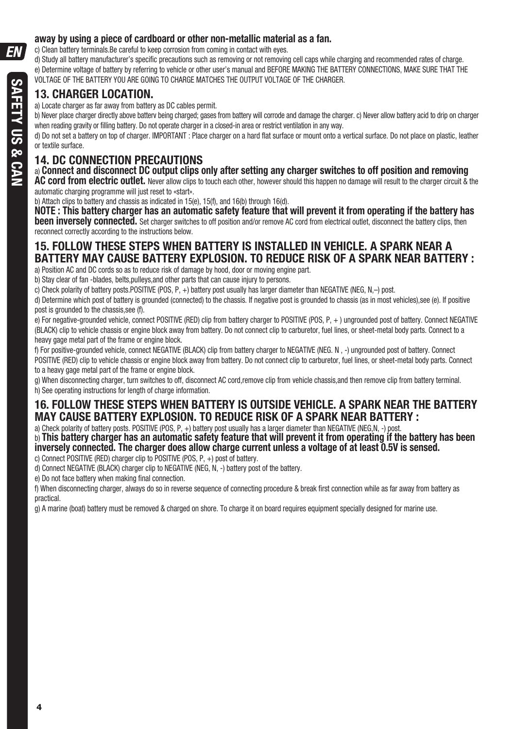### **away by using a piece of cardboard or other non-metallic material as a fan.**

c) Clean battery terminals.Be careful to keep corrosion from coming in contact with eyes.

d) Study all battery manufacturer's specific precautions such as removing or not removing cell caps while charging and recommended rates of charge. e) Determine voltage of battery by referring to vehicle or other user's manual and BEFORE MAKING THE BATTERY CONNECTIONS, MAKE SURE THAT THE VOLTAGE OF THE BATTERY YOU ARE GOING TO CHARGE MATCHES THE OUTPUT VOLTAGE OF THE CHARGER.

### **13. CHARGER LOCATION.**

a) Locate charger as far away from battery as DC cables permit.

b) Never place charger directly above batterv being charged; gases from battery will corrode and damage the charger. c) Never allow battery acid to drip on charger when reading gravity or filling battery. Do not operate charger in a closed-in area or restrict ventilation in any way.

d) Do not set a battery on top of charger. IMPORTANT : Place charger on a hard flat surface or mount onto a vertical surface. Do not place on plastic, leather or textile surface.

### **14. DC CONNECTION PRECAUTIONS**

#### a) **Connect and disconnect DC output clips only after setting any charger switches to off position and removing**

**AC cord from electric outlet.** Never allow clips to touch each other, however should this happen no damage will result to the charger circuit & the automatic charging programme will just reset to «start».

b) Attach clips to battery and chassis as indicated in 15(e), 15(f), and 16(b) through 16(d).

**NOTE : This battery charger has an automatic safety feature that will prevent it from operating if the battery has been inversely connected.** Set charger switches to off position and/or remove AC cord from electrical outlet, disconnect the battery clips, then reconnect correctly according to the instructions below.

#### **15. FOLLOW THESE STEPS WHEN BATTERY IS INSTALLED IN VEHICLE. A SPARK NEAR A BATTERY MAY CAUSE BATTERY EXPLOSION. TO REDUCE RISK OF A SPARK NEAR BATTERY :** a) Position AC and DC cords so as to reduce risk of damage by hood, door or moving engine part.

b) Stay clear of fan -blades, belts pulleys, and other parts that can cause injury to persons.

c) Check polarity of battery posts.POSITIVE (POS, P, +) battery post usually has larger diameter than NEGATIVE (NEG, N,-) post.

d) Determine which post of battery is grounded (connected) to the chassis. If negative post is grounded to chassis (as in most vehicles),see (e). If positive post is grounded to the chassis,see (f).

e) For negative-grounded vehicle, connect POSITIVE (RED) clip from battery charger to POSITIVE (POS, P, + ) ungrounded post of battery. Connect NEGATIVE (BLACK) clip to vehicle chassis or engine block away from battery. Do not connect clip to carburetor, fuel lines, or sheet-metal body parts. Connect to a heavy gage metal part of the frame or engine block.

f) For positive-grounded vehicle, connect NEGATIVE (BLACK) clip from battery charger to NEGATIVE (NEG. N, -) ungrounded post of battery. Connect POSITIVE (RED) clip to vehicle chassis or engine block away from battery. Do not connect clip to carburetor, fuel lines, or sheet-metal body parts. Connect to a heavy gage metal part of the frame or engine block.

g) When disconnecting charger, turn switches to off, disconnect AC cord,remove clip from vehicle chassis,and then remove clip from battery terminal. h) See operating instructions for length of charge information.

### **16. FOLLOW THESE STEPS WHEN BATTERY IS OUTSIDE VEHICLE. A SPARK NEAR THE BATTERY MAY CAUSE BATTERY EXPLOSION. TO REDUCE RISK OF A SPARK NEAR BATTERY :**

a) Check polarity of battery posts. POSITIVE (POS, P, +) battery post usually has a larger diameter than NEGATIVE (NEG,N, -) post.

b) **This battery charger has an automatic safety feature that will prevent it from operating if the battery has been inversely connected. The charger does allow charge current unless a voltage of at least 0.5V is sensed.** 

c) Connect POSITIVE (RED) charger clip to POSITIVE (POS, P, +) post of battery.

d) Connect NEGATIVE (BLACK) charger clip to NEGATIVE (NEG, N, -) battery post of the battery.

e) Do not face battery when making final connection.

f) When disconnecting charger, always do so in reverse sequence of connecting procedure & break first connection while as far away from battery as practical.

g) A marine (boat) battery must be removed & charged on shore. To charge it on board requires equipment specially designed for marine use.

EΝ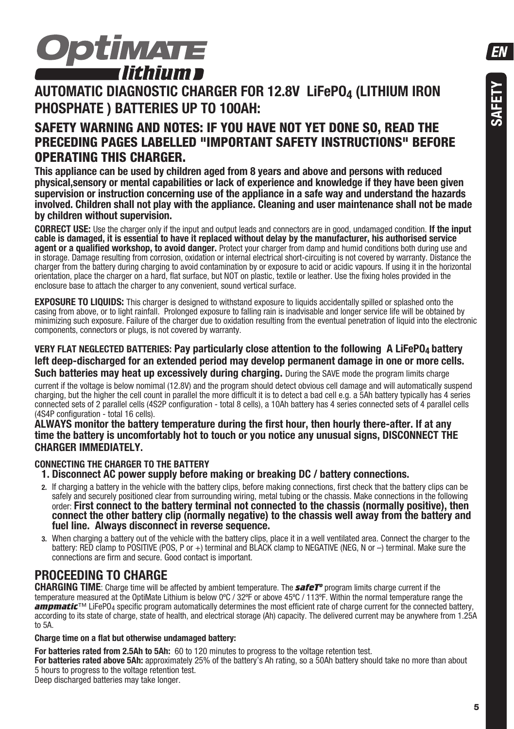

### **AUTOMATIC DIAGNOSTIC CHARGER FOR 12.8V LIFEPO4 (LITHIUM IRON PHOSPHATE ) BATTERIES UP TO 100AH:**

### **SAFETY WARNING AND NOTES: IF YOU HAVE NOT YET DONE SO, READ THE PRECEDING PAGES LABELLED "IMPORTANT SAFETY INSTRUCTIONS" BEFORE OPERATING THIS CHARGER.**

**This appliance can be used by children aged from 8 years and above and persons with reduced physical,sensory or mental capabilities or lack of experience and knowledge if they have been given supervision or instruction concerning use of the appliance in a safe way and understand the hazards involved. Children shall not play with the appliance. Cleaning and user maintenance shall not be made by children without supervision.**

**CORRECT USE:** Use the charger only if the input and output leads and connectors are in good, undamaged condition. **If the input cable is damaged, it is essential to have it replaced without delay by the manufacturer, his authorised service agent or a qualified workshop, to avoid danger.** Protect your charger from damp and humid conditions both during use and in storage. Damage resulting from corrosion, oxidation or internal electrical short-circuiting is not covered by warranty. Distance the charger from the battery during charging to avoid contamination by or exposure to acid or acidic vapours. If using it in the horizontal orientation, place the charger on a hard, flat surface, but NOT on plastic, textile or leather. Use the fixing holes provided in the enclosure base to attach the charger to any convenient, sound vertical surface.

**EXPOSURE TO LIQUIDS:** This charger is designed to withstand exposure to liquids accidentally spilled or splashed onto the casing from above, or to light rainfall. Prolonged exposure to falling rain is inadvisable and longer service life will be obtained by minimizing such exposure. Failure of the charger due to oxidation resulting from the eventual penetration of liquid into the electronic components, connectors or plugs, is not covered by warranty.

#### **VERY FLAT NEGLECTED BATTERIES: Pay particularly close attention to the following A LiFePO4 battery left deep-discharged for an extended period may develop permanent damage in one or more cells. Such batteries may heat up excessively during charging.** During the SAVE mode the program limits charge

current if the voltage is below nomimal (12.8V) and the program should detect obvious cell damage and will automatically suspend charging, but the higher the cell count in parallel the more difficult it is to detect a bad cell e.g. a 5Ah battery typically has 4 series connected sets of 2 parallel cells (4S2P configuration - total 8 cells), a 10Ah battery has 4 series connected sets of 4 parallel cells (4S4P configuration - total 16 cells).

**ALWAYS monitor the battery temperature during the first hour, then hourly there-after. If at any time the battery is uncomfortably hot to touch or you notice any unusual signs, DISCONNECT THE CHARGER IMMEDIATELY.**

#### **CONNECTING THE CHARGER TO THE BATTERY**

- **1. Disconnect AC power supply before making or breaking DC / battery connections.**
- **2.** If charging a battery in the vehicle with the battery clips, before making connections, first check that the battery clips can be safely and securely positioned clear from surrounding wiring, metal tubing or the chassis. Make connections in the following order: **First connect to the battery terminal not connected to the chassis (normally positive), then connect the other battery clip (normally negative) to the chassis well away from the battery and fuel line. Always disconnect in reverse sequence.**
- **3.** When charging a battery out of the vehicle with the battery clips, place it in a well ventilated area. Connect the charger to the battery: RED clamp to POSITIVE (POS, P or +) terminal and BLACK clamp to NEGATIVE (NEG, N or -) terminal. Make sure the connections are firm and secure. Good contact is important.

### **PROCEEDING TO CHARGE**

**CHARGING TIME**: Charge time will be affected by ambient temperature. The *safeTº* program limits charge current if the temperature measured at the OptiMate Lithium is below 0ºC / 32ºF or above 45ºC / 113ºF. Within the normal temperature range the **ampmatic**™ LiFePO<sub>4</sub> specific program automatically determines the most efficient rate of charge current for the connected battery. according to its state of charge, state of health, and electrical storage (Ah) capacity. The delivered current may be anywhere from 1.25A to 5A.

#### **Charge time on a flat but otherwise undamaged battery:**

**For batteries rated from 2.5Ah to 5Ah:** 60 to 120 minutes to progress to the voltage retention test. **For batteries rated above 5Ah:** approximately 25% of the battery's Ah rating, so a 50Ah battery should take no more than about 5 hours to progress to the voltage retention test.

Deep discharged batteries may take longer.

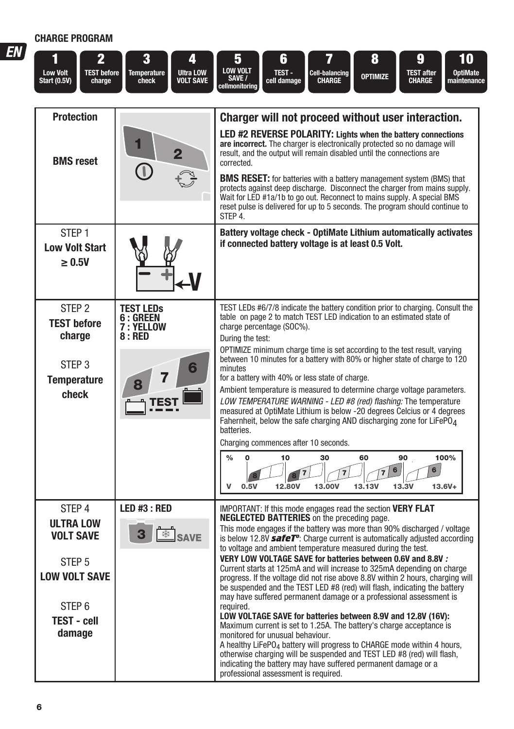| <b>CHARGE PROGRAM</b>                                     |                                   |                                                                               |                                                                                                                                                                                                                                                                                                                                 |
|-----------------------------------------------------------|-----------------------------------|-------------------------------------------------------------------------------|---------------------------------------------------------------------------------------------------------------------------------------------------------------------------------------------------------------------------------------------------------------------------------------------------------------------------------|
| <b>Low Volt</b><br><b>Start (0.5V)</b>                    | 2<br><b>TEST before</b><br>charge | 3<br>4<br><b>Ultra LOW</b><br><b>Temperature</b><br>check<br><b>VOLT SAVE</b> | 5<br>8<br>9<br>10<br>6<br><b>LOW VOLT</b><br>TEST-<br><b>OptiMate</b><br><b>TEST after</b><br>Cell-balancing<br><b>OPTIMIZE</b><br>SAVE /<br>cell damage<br><b>CHARGE</b><br><b>CHARGE</b><br>maintenance<br>cellmonitoring                                                                                                     |
| <b>Protection</b>                                         |                                   |                                                                               | Charger will not proceed without user interaction.                                                                                                                                                                                                                                                                              |
| <b>BMS</b> reset                                          |                                   | 2                                                                             | LED #2 REVERSE POLARITY: Lights when the battery connections<br>are incorrect. The charger is electronically protected so no damage will<br>result, and the output will remain disabled until the connections are<br>corrected.                                                                                                 |
|                                                           |                                   | $\left(\mathbb{D}\right)$                                                     | <b>BMS RESET:</b> for batteries with a battery management system (BMS) that<br>protects against deep discharge. Disconnect the charger from mains supply.<br>Wait for LED #1a/1b to go out. Reconnect to mains supply. A special BMS<br>reset pulse is delivered for up to 5 seconds. The program should continue to<br>STEP 4. |
| STFP <sub>1</sub><br><b>Low Volt Start</b><br>$\geq 0.5V$ |                                   |                                                                               | Battery voltage check - OptiMate Lithium automatically activates<br>if connected battery voltage is at least 0.5 Volt.                                                                                                                                                                                                          |
| STEP <sub>2</sub><br><b>TEST before</b><br>charge         |                                   | <b>TEST LEDS</b><br>6 : GREEN<br>7 : YELLOW<br>8:RED                          | TEST LEDs #6/7/8 indicate the battery condition prior to charging. Consult the<br>table on page 2 to match TEST LED indication to an estimated state of<br>charge percentage (SOC%).<br>During the test:                                                                                                                        |
| STEP <sub>3</sub><br><b>Temperature</b>                   |                                   | 6<br>8                                                                        | OPTIMIZE minimum charge time is set according to the test result, varying<br>between 10 minutes for a battery with 80% or higher state of charge to 120<br>minutes<br>for a battery with 40% or less state of charge.<br>Ambient temperature is measured to determine charge voltage parameters                                 |

Ambient temperature is measured to determine charge voltage parameters.

LOW TEMPERATURE WARNING - LED #8 (red) flashing: The temperature<br>measured at OptiMate Lithium is below -20 degrees Celcius or 4 degrees Fahernheit, below the safe charging AND discharging zone for LiFePO<sub>4</sub><br>batteries.

|                                                     |                   | Charging commences after 10 seconds.                                                                                                                                                                                                                                                                                                                                                                                                              |  |  |
|-----------------------------------------------------|-------------------|---------------------------------------------------------------------------------------------------------------------------------------------------------------------------------------------------------------------------------------------------------------------------------------------------------------------------------------------------------------------------------------------------------------------------------------------------|--|--|
|                                                     |                   | 100%<br>90<br>$\frac{0}{0}$<br>30<br>60<br>10<br>6<br>6<br>$13.6V +$<br>13,00V<br>0.5V<br>12.80V<br>13.13V<br>13.3V                                                                                                                                                                                                                                                                                                                               |  |  |
| STEP 4<br>ULTRA LOW<br><b>VOLT SAVE</b>             | LED #3 : RED<br>3 | <b>IMPORTANT:</b> If this mode engages read the section <b>VERY FLAT</b><br><b>NEGLECTED BATTERIES</b> on the preceding page.<br>This mode engages if the battery was more than 90% discharged / voltage<br>is below 12.8V safeT <sup>o</sup> : Charge current is automatically adjusted according<br>to voltage and ambient temperature measured during the test.                                                                                |  |  |
| STEP <sub>5</sub><br><b>LOW VOLT SAVE</b><br>STEP 6 |                   | VERY LOW VOLTAGE SAVE for batteries between 0.6V and 8.8V :<br>Current starts at 125mA and will increase to 325mA depending on charge<br>progress. If the voltage did not rise above 8.8V within 2 hours, charging will<br>be suspended and the TEST LED #8 (red) will flash, indicating the battery<br>may have suffered permanent damage or a professional assessment is<br>required.                                                           |  |  |
| TEST - cell<br>damage                               |                   | LOW VOLTAGE SAVE for batteries between 8.9V and 12.8V (16V):<br>Maximum current is set to 1.25A. The battery's charge acceptance is<br>monitored for unusual behaviour.<br>A healthy LiFePO <sub>4</sub> battery will progress to CHARGE mode within 4 hours,<br>otherwise charging will be suspended and TEST LED #8 (red) will flash,<br>indicating the battery may have suffered permanent damage or a<br>professional assessment is required. |  |  |

EΛ

**Temperature check**

**TEST**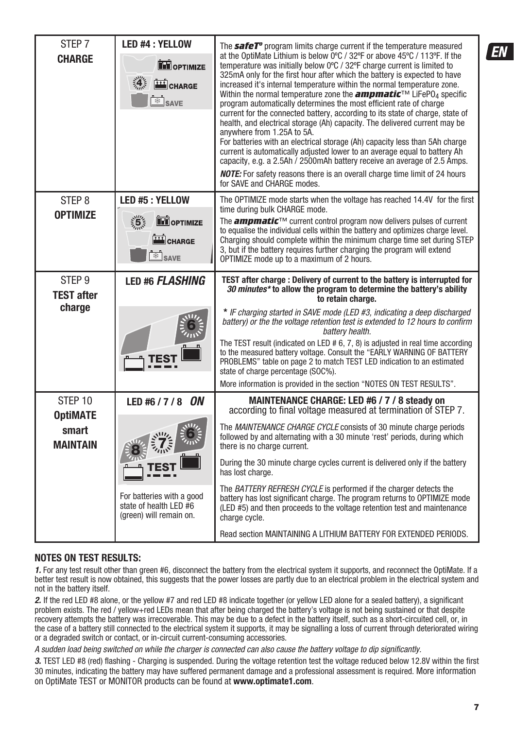| STEP <sub>7</sub><br><b>CHARGE</b>     | <b>LED #4 : YELLOW</b><br><b>THE OPTIMIZE</b><br>$\mathbf{A}$<br>CHARGE<br><b>SAVE</b> | The safeT <sup>°</sup> program limits charge current if the temperature measured<br>at the OptiMate Lithium is below 0°C / 32°F or above 45°C / 113°F. If the<br>temperature was initially below 0°C / 32°F charge current is limited to<br>325mA only for the first hour after which the battery is expected to have<br>increased it's internal temperature within the normal temperature zone.<br>Within the normal temperature zone the <b>ampmatic</b> <sup>TM</sup> LiFePO <sub>4</sub> specific<br>program automatically determines the most efficient rate of charge<br>current for the connected battery, according to its state of charge, state of<br>health, and electrical storage (Ah) capacity. The delivered current may be<br>anywhere from 1.25A to 5A.<br>For batteries with an electrical storage (Ah) capacity less than 5Ah charge<br>current is automatically adjusted lower to an average equal to battery Ah<br>capacity, e.g. a 2.5Ah / 2500mAh battery receive an average of 2.5 Amps.<br><b>NOTE:</b> For safety reasons there is an overall charge time limit of 24 hours<br>for SAVE and CHARGE modes. |
|----------------------------------------|----------------------------------------------------------------------------------------|-------------------------------------------------------------------------------------------------------------------------------------------------------------------------------------------------------------------------------------------------------------------------------------------------------------------------------------------------------------------------------------------------------------------------------------------------------------------------------------------------------------------------------------------------------------------------------------------------------------------------------------------------------------------------------------------------------------------------------------------------------------------------------------------------------------------------------------------------------------------------------------------------------------------------------------------------------------------------------------------------------------------------------------------------------------------------------------------------------------------------------------|
| STEP <sub>8</sub><br><b>OPTIMIZE</b>   | LED #5 : YELLOW                                                                        | The OPTIMIZE mode starts when the voltage has reached 14.4V for the first<br>time during bulk CHARGE mode.                                                                                                                                                                                                                                                                                                                                                                                                                                                                                                                                                                                                                                                                                                                                                                                                                                                                                                                                                                                                                          |
|                                        | $\frac{1}{2}$<br><b>EM</b> OPTIMIZE<br>CHARGE<br>$\frac{1}{2}$ SAVE                    | The <b>ampmatic</b> <sup>TM</sup> current control program now delivers pulses of current<br>to equalise the individual cells within the battery and optimizes charge level.<br>Charging should complete within the minimum charge time set during STEP<br>3, but if the battery requires further charging the program will extend<br>OPTIMIZE mode up to a maximum of 2 hours.                                                                                                                                                                                                                                                                                                                                                                                                                                                                                                                                                                                                                                                                                                                                                      |
| STEP <sub>9</sub><br><b>TEST after</b> | <b>LED #6 FLASHING</b>                                                                 | TEST after charge: Delivery of current to the battery is interrupted for<br>30 minutes* to allow the program to determine the battery's ability<br>to retain charge.                                                                                                                                                                                                                                                                                                                                                                                                                                                                                                                                                                                                                                                                                                                                                                                                                                                                                                                                                                |
| charge                                 |                                                                                        | * IF charging started in SAVE mode (LED #3, indicating a deep discharged<br>battery) or the the voltage retention test is extended to 12 hours to confirm<br>battery health.                                                                                                                                                                                                                                                                                                                                                                                                                                                                                                                                                                                                                                                                                                                                                                                                                                                                                                                                                        |
|                                        |                                                                                        | The TEST result (indicated on LED # 6, 7, 8) is adjusted in real time according<br>to the measured battery voltage. Consult the "EARLY WARNING OF BATTERY<br>PROBLEMS" table on page 2 to match TEST LED indication to an estimated<br>state of charge percentage (SOC%).                                                                                                                                                                                                                                                                                                                                                                                                                                                                                                                                                                                                                                                                                                                                                                                                                                                           |
| STEP <sub>10</sub>                     | LED #6 / 7 / 8 ON                                                                      | More information is provided in the section "NOTES ON TEST RESULTS".<br>MAINTENANCE CHARGE: LED #6 / 7 / 8 steady on                                                                                                                                                                                                                                                                                                                                                                                                                                                                                                                                                                                                                                                                                                                                                                                                                                                                                                                                                                                                                |
| <b>OptiMATE</b>                        |                                                                                        | according to final voltage measured at termination of STEP 7.                                                                                                                                                                                                                                                                                                                                                                                                                                                                                                                                                                                                                                                                                                                                                                                                                                                                                                                                                                                                                                                                       |
| smart<br><b>MAINTAIN</b>               |                                                                                        | The <i>MAINTENANCE CHARGE CYCLE</i> consists of 30 minute charge periods<br>followed by and alternating with a 30 minute 'rest' periods, during which<br>there is no charge current.                                                                                                                                                                                                                                                                                                                                                                                                                                                                                                                                                                                                                                                                                                                                                                                                                                                                                                                                                |
|                                        |                                                                                        | During the 30 minute charge cycles current is delivered only if the battery<br>has lost charge.                                                                                                                                                                                                                                                                                                                                                                                                                                                                                                                                                                                                                                                                                                                                                                                                                                                                                                                                                                                                                                     |
|                                        | For batteries with a good<br>state of health LED #6<br>(green) will remain on.         | The BATTERY REFRESH CYCLE is performed if the charger detects the<br>battery has lost significant charge. The program returns to OPTIMIZE mode<br>(LED #5) and then proceeds to the voltage retention test and maintenance<br>charge cycle.                                                                                                                                                                                                                                                                                                                                                                                                                                                                                                                                                                                                                                                                                                                                                                                                                                                                                         |
|                                        |                                                                                        | Read section MAINTAINING A LITHIUM BATTERY FOR EXTENDED PERIODS.                                                                                                                                                                                                                                                                                                                                                                                                                                                                                                                                                                                                                                                                                                                                                                                                                                                                                                                                                                                                                                                                    |

#### **NOTES ON TEST RESULTS:**

1. For any test result other than green #6, disconnect the battery from the electrical system it supports, and reconnect the OptiMate. If a better test result is now obtained, this suggests that the power losses are partly due to an electrical problem in the electrical system and not in the battery itself.

2. If the red LED #8 alone, or the yellow #7 and red LED #8 indicate together (or yellow LED alone for a sealed battery), a significant problem exists. The red / yellow+red LEDs mean that after being charged the battery's voltage is not being sustained or that despite recovery attempts the battery was irrecoverable. This may be due to a defect in the battery itself, such as a short-circuited cell, or, in the case of a battery still connected to the electrical system it supports, it may be signalling a loss of current through deteriorated wiring or a degraded switch or contact, or in-circuit current-consuming accessories.

A sudden load being switched on while the charger is connected can also cause the battery voltage to dip significantly.

3. TEST LED #8 (red) flashing - Charging is suspended. During the voltage retention test the voltage reduced below 12.8V within the first 30 minutes, indicating the battery may have suffered permanent damage and a professional assessment is required. More information on OptiMate TEST or MONITOR products can be found at **www.optimate1.com**.

FМ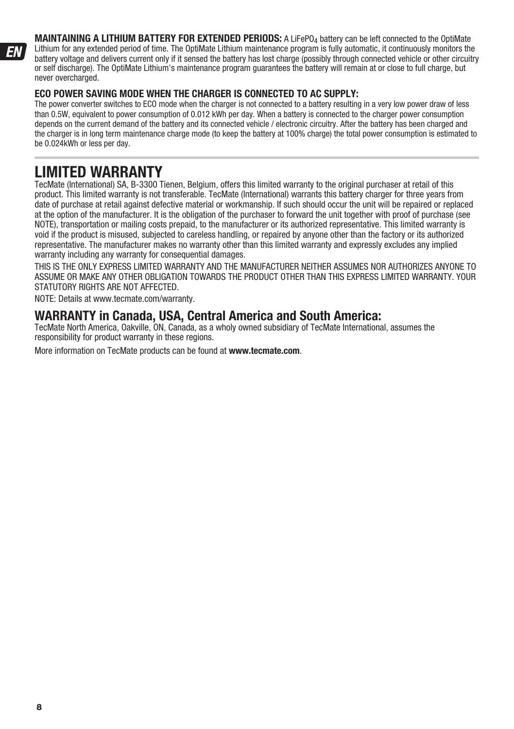**MAINTAINING A LITHIUM BATTERY FOR EXTENDED PERIODS:** A LiFePO<sub>4</sub> battery can be left connected to the OptiMate Lithium for any extended period of time. The OptiMate Lithium maintenance program is fully automatic, it continuously monitors the battery voltage and delivers current only if it sensed the battery has lost charge (possibly through connected vehicle or other circuitry or self discharge). The OptiMate Lithium's maintenance program guarantees the battery will remain at or close to full charge, but never overcharged.

#### **ECO POWER SAVING MODE WHEN THE CHARGER IS CONNECTED TO AC SUPPLY:**

The power converter switches to ECO mode when the charger is not connected to a battery resulting in a very low power draw of less than 0.5W, equivalent to power consumption of 0.012 kWh per day. When a battery is connected to the charger power consumption depends on the current demand of the battery and its connected vehicle / electronic circuitry. After the battery has been charged and the charger is in long term maintenance charge mode (to keep the battery at 100% charge) the total power consumption is estimated to be 0.024kWh or less per day.

## **LIMITED WARRANTY**

TecMate (International) SA, B-3300 Tienen, Belgium, offers this limited warranty to the original purchaser at retail of this product. This limited warranty is not transferable. TecMate (International) warrants this battery charger for three years from date of purchase at retail against defective material or workmanship. If such should occur the unit will be repaired or replaced at the option of the manufacturer. It is the obligation of the purchaser to forward the unit together with proof of purchase (see NOTE), transportation or mailing costs prepaid, to the manufacturer or its authorized representative. This limited warranty is void if the product is misused, subjected to careless handling, or repaired by anyone other than the factory or its authorized representative. The manufacturer makes no warranty other than this limited warranty and expressly excludes any implied warranty including any warranty for consequential damages.

THIS IS THE ONLY EXPRESS LIMITED WARRANTY AND THE MANUFACTURER NEITHER ASSUMES NOR AUTHORIZES ANYONE TO ASSUME OR MAKE ANY OTHER OBLIGATION TOWARDS THE PRODUCT OTHER THAN THIS EXPRESS LIMITED WARRANTY. YOUR STATUTORY RIGHTS ARE NOT AFFECTED.

NOTE: Details at www.tecmate.com/warranty.

### **WARRANTY in Canada, USA, Central America and South America:**

TecMate North America, Oakville, ON, Canada, as a wholy owned subsidiary of TecMate International, assumes the responsibility for product warranty in these regions.

More information on TecMate products can be found at **www.tecmate.com**.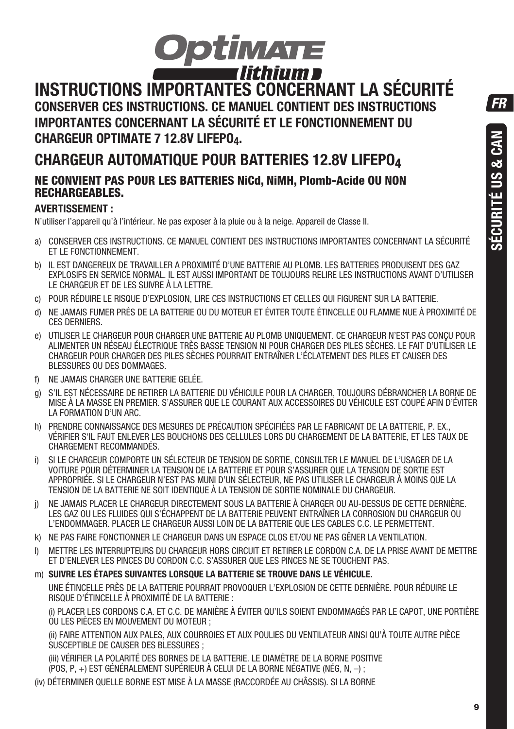**FR** 



### **INSTRUCTIONS IMPORTANTES CONCERNANT LA SÉCURITÉ CONSERVER CES INSTRUCTIONS. CE MANUEL CONTIENT DES INSTRUCTIONS IMPORTANTES CONCERNANT LA SÉCURITÉ ET LE FONCTIONNEMENT DU CHARGEUR OPTIMATE 7 12.8V LIFEPO4.**

# **CHARGEUR AUTOMATIQUE POUR BATTERIES 12.8V LIFEPO4**

### **NE CONVIENT PAS POUR LES BATTERIES NiCd, NiMH, Plomb-Acide OU NON RECHARGEABLES.**

### **AVERTISSEMENT :**

N'utiliser l'appareil qu'à l'intérieur. Ne pas exposer à la pluie ou à la neige. Appareil de Classe II.

- a) CONSERVER CES INSTRUCTIONS. CE MANUEL CONTIENT DES INSTRUCTIONS IMPORTANTES CONCERNANT LA SÉCURITÉ ET LE FONCTIONNEMENT.
- b) IL EST DANGEREUX DE TRAVAILLER A PROXIMITÉ D'UNE BATTERIE AU PLOMB. LES BATTERIES PRODUISENT DES GAZ EXPLOSIFS EN SERVICE NORMAL. IL EST AUSSI IMPORTANT DE TOUJOURS RELIRE LES INSTRUCTIONS AVANT D'UTILISER LE CHARGEUR ET DE LES SUIVRE À LA LETTRE.
- c) POUR RÉDUIRE LE RISQUE D'EXPLOSION, LIRE CES INSTRUCTIONS ET CELLES QUI FIGURENT SUR LA BATTERIE.
- d) NE JAMAIS FUMER PRÈS DE LA BATTERIE OU DU MOTEUR ET ÉVITER TOUTE ÉTINCELLE OU FLAMME NUE À PROXIMITÉ DE CES DERNIERS.
- e) UTILISER LE CHARGEUR POUR CHARGER UNE BATTERIE AU PLOMB UNIQUEMENT. CE CHARGEUR N'EST PAS CONÇU POUR ALIMENTER UN RÉSEAU ÉLECTRIQUE TRÈS BASSE TENSION NI POUR CHARGER DES PILES SÈCHES. LE FAIT D'UTILISER LE CHARGEUR POUR CHARGER DES PILES SÈCHES POURRAIT ENTRAÎNER L'ÉCLATEMENT DES PILES ET CAUSER DES BLESSURES OU DES DOMMAGES.
- f) NE JAMAIS CHARGER UNE BATTERIE GELÉE.
- g) S'IL EST NÉCESSAIRE DE RETIRER LA BATTERIE DU VÉHICULE POUR LA CHARGER, TOUJOURS DÉBRANCHER LA BORNE DE MISE À LA MASSE EN PREMIER. S'ASSURER QUE LE COURANT AUX ACCESSOIRES DU VÉHICULE EST COUPÉ AFIN D'ÉVITER LA FORMATION D'UN ARC.
- h) PRENDRE CONNAISSANCE DES MESURES DE PRÉCAUTION SPÉCIFIÉES PAR LE FABRICANT DE LA BATTERIE, P. EX., VÉRIFIER S'IL FAUT ENLEVER LES BOUCHONS DES CELLULES LORS DU CHARGEMENT DE LA BATTERIE, ET LES TAUX DE CHARGEMENT RECOMMANDÉS.
- i) SI LE CHARGEUR COMPORTE UN SÉLECTEUR DE TENSION DE SORTIE, CONSULTER LE MANUEL DE L'USAGER DE LA VOITURE POUR DÉTERMINER LA TENSION DE LA BATTERIE ET POUR S'ASSURER QUE LA TENSION DE SORTIE EST APPROPRIÉE. SI LE CHARGEUR N'EST PAS MUNI D'UN SÉLECTEUR, NE PAS UTILISER LE CHARGEUR À MOINS QUE LA TENSION DE LA BATTERIE NE SOIT IDENTIQUE À LA TENSION DE SORTIE NOMINALE DU CHARGEUR.
- j) NE JAMAIS PLACER LE CHARGEUR DIRECTEMENT SOUS LA BATTERIE À CHARGER OU AU-DESSUS DE CETTE DERNIÈRE. LES GAZ OU LES FLUIDES QUI S'ÉCHAPPENT DE LA BATTERIE PEUVENT ENTRAÎNER LA CORROSION DU CHARGEUR OU L'ENDOMMAGER. PLACER LE CHARGEUR AUSSI LOIN DE LA BATTERIE QUE LES CABLES C.C. LE PERMETTENT.
- k) NE PAS FAIRE FONCTIONNER LE CHARGEUR DANS UN ESPACE CLOS ET/OU NE PAS GÊNER LA VENTILATION.
- l) METTRE LES INTERRUPTEURS DU CHARGEUR HORS CIRCUIT ET RETIRER LE CORDON C.A. DE LA PRISE AVANT DE METTRE ET D'ENLEVER LES PINCES DU CORDON C.C. S'ASSURER QUE LES PINCES NE SE TOUCHENT PAS.
- m) **SUIVRE LES ÉTAPES SUIVANTES LORSQUE LA BATTERIE SE TROUVE DANS LE VÉHICULE.**

 UNE ÉTINCELLE PRÈS DE LA BATTERIE POURRAIT PROVOQUER L'EXPLOSION DE CETTE DERNIÈRE. POUR RÉDUIRE LE RISQUE D'ÉTINCELLE À PROXIMITÉ DE LA BATTERIE :

 (i) PLACER LES CORDONS C.A. ET C.C. DE MANIÈRE À ÉVITER QU'ILS SOIENT ENDOMMAGÉS PAR LE CAPOT, UNE PORTIÈRE OU LES PIÈCES EN MOUVEMENT DU MOTEUR ;

 (ii) FAIRE ATTENTION AUX PALES, AUX COURROIES ET AUX POULIES DU VENTILATEUR AINSI QU'À TOUTE AUTRE PIÈCE  $\overline{\text{S}}$ USCEPTIBLE DE CAUSER DES BLESSURES ;

 (iii) VÉRIFIER LA POLARITÉ DES BORNES DE LA BATTERIE. LE DIAMÈTRE DE LA BORNE POSITIVE (POS, P, +) EST GÉNÉRALEMENT SUPÉRIEUR À CELUI DE LA BORNE NÉGATIVE (NÉG, N, –) ;

(iv) DÉTERMINER QUELLE BORNE EST MISE À LA MASSE (RACCORDÉE AU CHÂSSIS). SI LA BORNE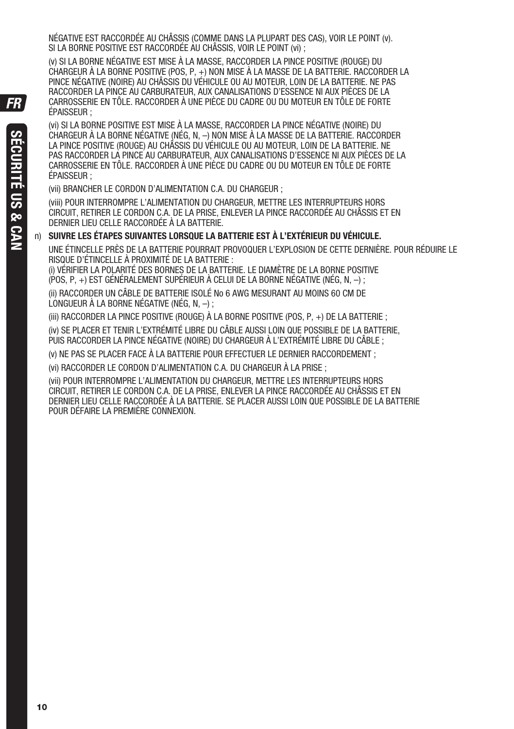NÉGATIVE EST RACCORDÉE AU CHÂSSIS (COMME DANS LA PLUPART DES CAS), VOIR LE POINT (v). SI LA BORNE POSITIVE EST RACCORDÉE AU CHÂSSIS, VOIR LE POINT (vi) ;

 (v) SI LA BORNE NÉGATIVE EST MISE À LA MASSE, RACCORDER LA PINCE POSITIVE (ROUGE) DU CHARGEUR À LA BORNE POSITIVE (POS, P, +) NON MISE À LA MASSE DE LA BATTERIE. RACCORDER LA PINCE NÉGATIVE (NOIRE) AU CHÂSSIS DU VÉHICULE OU AU MOTEUR, LOIN DE LA BATTERIE. NE PAS RACCORDER LA PINCE AU CARBURATEUR, AUX CANALISATIONS D'ESSENCE NI AUX PIÈCES DE LA CARROSSERIE EN TÔLE. RACCORDER À UNE PIÈCE DU CADRE OU DU MOTEUR EN TÔLE DE FORTE ÉPAISSEUR ;

 (vi) SI LA BORNE POSITIVE EST MISE À LA MASSE, RACCORDER LA PINCE NÉGATIVE (NOIRE) DU CHARGEUR À LA BORNE NÉGATIVE (NÉG, N, –) NON MISE À LA MASSE DE LA BATTERIE. RACCORDER LA PINCE POSITIVE (ROUGE) AU CHÂSSIS DU VÉHICULE OU AU MOTEUR, LOIN DE LA BATTERIE. NE PAS RACCORDER LA PINCE AU CARBURATEUR, AUX CANALISATIONS D'ESSENCE NI AUX PIÈCES DE LA CARROSSERIE EN TÔLE. RACCORDER À UNE PIÈCE DU CADRE OU DU MOTEUR EN TÔLE DE FORTE ÉPAISSEUR ;

(vii) BRANCHER LE CORDON D'ALIMENTATION C.A. DU CHARGEUR ;

 (viii) POUR INTERROMPRE L'ALIMENTATION DU CHARGEUR, METTRE LES INTERRUPTEURS HORS CIRCUIT, RETIRER LE CORDON C.A. DE LA PRISE, ENLEVER LA PINCE RACCORDÉE AU CHÂSSIS ET EN DERNIER LIEU CELLE RACCORDÉE À LA BATTERIE.

#### n) **SUIVRE LES ÉTAPES SUIVANTES LORSQUE LA BATTERIE EST À L'EXTÉRIEUR DU VÉHICULE.**

 UNE ÉTINCELLE PRÈS DE LA BATTERIE POURRAIT PROVOQUER L'EXPLOSION DE CETTE DERNIÈRE. POUR RÉDUIRE LE RISQUE D'ÉTINCELLE À PROXIMITÉ DE LA BATTERIE :

 (i) VÉRIFIER LA POLARITÉ DES BORNES DE LA BATTERIE. LE DIAMÈTRE DE LA BORNE POSITIVE  $(POS, P, +)$  EST GÉNÉRAL EMENT SUPÉRIEUR À CELUI DE LA BORNE NÉGATIVE (NÉG, N, –) ;

 (ii) RACCORDER UN CÂBLE DE BATTERIE ISOLÉ No 6 AWG MESURANT AU MOINS 60 CM DE LONGUEUR À LA BORNE NÉGATIVE (NÉG, N, –) ;

(iii) RACCORDER LA PINCE POSITIVE (ROUGE) À LA BORNE POSITIVE (POS, P, +) DE LA BATTERIE ;

 (iv) SE PLACER ET TENIR L'EXTRÉMITÉ LIBRE DU CÂBLE AUSSI LOIN QUE POSSIBLE DE LA BATTERIE, PUIS RACCORDER LA PINCE NÉGATIVE (NOIRE) DU CHARGEUR À L'EXTRÉMITÉ LIBRE DU CÂBLE ;

(v) NE PAS SE PLACER FACE À LA BATTERIE POUR EFFECTUER LE DERNIER RACCORDEMENT ;

(vi) RACCORDER LE CORDON D'ALIMENTATION C.A. DU CHARGEUR À LA PRISE ;

 (vii) POUR INTERROMPRE L'ALIMENTATION DU CHARGEUR, METTRE LES INTERRUPTEURS HORS CIRCUIT, RETIRER LE CORDON C.A. DE LA PRISE, ENLEVER LA PINCE RACCORDÉE AU CHÂSSIS ET EN DERNIER LIEU CELLE RACCORDÉE À LA BATTERIE. SE PLACER AUSSI LOIN QUE POSSIBLE DE LA BATTERIE POUR DÉFAIRE LA PREMIÈRE CONNEXION.

FR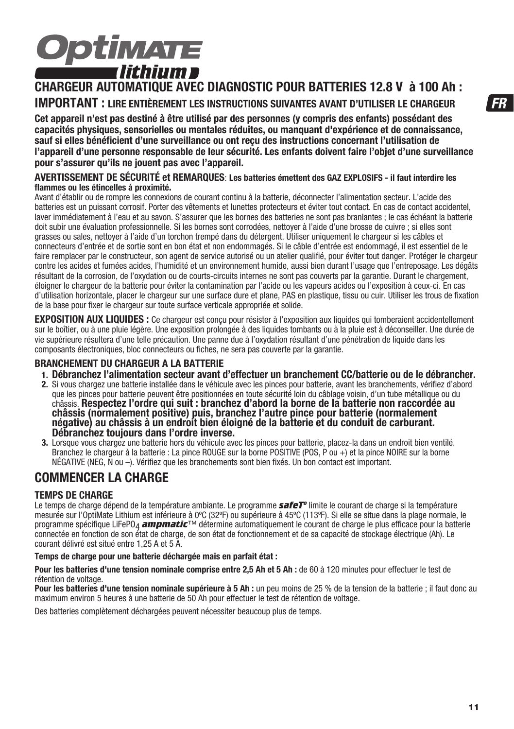# **Optimate** r lithium e

### **CHARGEUR AUTOMATIQUE AVEC DIAGNOSTIC POUR BATTERIES 12.8 V à 100 Ah : IMPORTANT : LIRE ENTIÈREMENT LES INSTRUCTIONS SUIVANTES AVANT D'UTILISER LE CHARGEUR**

**Cet appareil n'est pas destiné à être utilisé par des personnes (y compris des enfants) possédant des capacités physiques, sensorielles ou mentales réduites, ou manquant d'expérience et de connaissance, sauf si elles bénéficient d'une surveillance ou ont reçu des instructions concernant l'utilisation de l'appareil d'une personne responsable de leur sécurité. Les enfants doivent faire l'objet d'une surveillance pour s'assurer qu'ils ne jouent pas avec l'appareil.**

#### **AVERTISSEMENT DE SÉCURITÉ et REMARQUES**: **Les batteries émettent des GAZ EXPLOSIFS - il faut interdire les flammes ou les étincelles à proximité.**

Avant d'établir ou de rompre les connexions de courant continu à la batterie, déconnecter l'alimentation secteur. L'acide des batteries est un puissant corrosif. Porter des vêtements et lunettes protecteurs et éviter tout contact. En cas de contact accidentel, laver immédiatement à l'eau et au savon. S'assurer que les bornes des batteries ne sont pas branlantes ; le cas échéant la batterie doit subir une évaluation professionnelle. Si les bornes sont corrodées, nettoyer à l'aide d'une brosse de cuivre ; si elles sont grasses ou sales, nettoyer à l'aide d'un torchon trempé dans du détergent. Utiliser uniquement le chargeur si les câbles et connecteurs d'entrée et de sortie sont en bon état et non endommagés. Si le câble d'entrée est endommagé, il est essentiel de le faire remplacer par le constructeur, son agent de service autorisé ou un atelier qualifié, pour éviter tout danger. Protéger le chargeur contre les acides et fumées acides, l'humidité et un environnement humide, aussi bien durant l'usage que l'entreposage. Les dégâts résultant de la corrosion, de l'oxydation ou de courts-circuits internes ne sont pas couverts par la garantie. Durant le chargement, éloigner le chargeur de la batterie pour éviter la contamination par l'acide ou les vapeurs acides ou l'exposition à ceux-ci. En cas d'utilisation horizontale, placer le chargeur sur une surface dure et plane, PAS en plastique, tissu ou cuir. Utiliser les trous de fixation de la base pour fixer le chargeur sur toute surface verticale appropriée et solide.

**EXPOSITION AUX LIQUIDES :** Ce chargeur est conçu pour résister à l'exposition aux liquides qui tomberaient accidentellement sur le boîtier, ou à une pluie légère. Une exposition prolongée à des liquides tombants ou à la pluie est à déconseiller. Une durée de vie supérieure résultera d'une telle précaution. Une panne due à l'oxydation résultant d'une pénétration de liquide dans les composants électroniques, bloc connecteurs ou fiches, ne sera pas couverte par la garantie.

#### **BRANCHEMENT DU CHARGEUR A LA BATTERIE**

- **1. Débranchez l'alimentation secteur avant d'effectuer un branchement CC/batterie ou de le débrancher.**
- 2. Si vous chargez une batterie installée dans le véhicule avec les pinces pour batterie, avant les branchements, vérifiez d'abord que les pinces pour batterie peuvent être positionnées en toute sécurité loin du câblage voisin, d'un tube métallique ou du<br>châssis. Respectez l'ordre qui suit : branchez d'abord la borne de la batterie non raccordée au châssis (normalement positive) puis, branchez l'autre pince pour batterie (normalement **négative) au châssis à un endroit bien éloigné de la batterie et du conduit de carburant. Débranchez toujours dans l'ordre inverse.**
- **3.** Lorsque vous chargez une batterie hors du véhicule avec les pinces pour batterie, placez-la dans un endroit bien ventilé. Branchez le chargeur à la batterie : La pince ROUGE sur la borne POSITIVE (POS, P ou +) et la pince NOIRE sur la borne NÉGATIVE (NEG, N ou –). Vérifiez que les branchements sont bien fixés. Un bon contact est important.

### **COMMENCER LA CHARGE**

#### **TEMPS DE CHARGE**

Le temps de charge dépend de la température ambiante. Le programme *safeTº* limite le courant de charge si la température mesurée sur l'OptiMate Lithium est inférieure à 0ºC (32ºF) ou supérieure à 45ºC (113ºF). Si elle se situe dans la plage normale, le programme spécifique LiFePO4 *ampmatic*™ détermine automatiquement le courant de charge le plus efficace pour la batterie connectée en fonction de son état de charge, de son état de fonctionnement et de sa capacité de stockage électrique (Ah). Le courant délivré est situé entre 1,25 A et 5 A.

#### **Temps de charge pour une batterie déchargée mais en parfait état :**

Pour les batteries d'une tension nominale comprise entre 2,5 Ah et 5 Ah : de 60 à 120 minutes pour effectuer le test de rétention de voltage.

**Pour les batteries d'une tension nominale supérieure à 5 Ah :** un peu moins de 25 % de la tension de la batterie ; il faut donc au maximum environ 5 heures à une batterie de 50 Ah pour effectuer le test de rétention de voltage.

Des batteries complètement déchargées peuvent nécessiter beaucoup plus de temps.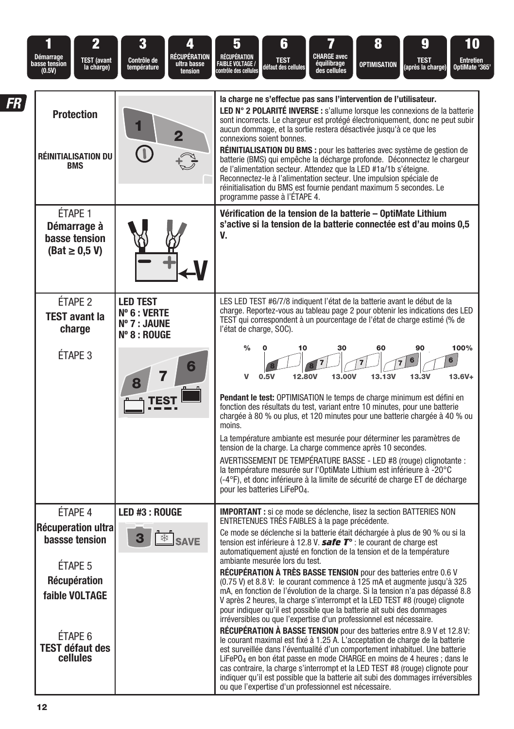| <b>Démarrage</b><br>basse tension<br>(0.5V) | $\overline{2}$<br><b>TEST</b> (avant<br>la charge)                                                                                            | 3<br><b>RÉCUPÉRATION</b><br>Contrôle de<br>ultra basse<br>température<br>tension | 6<br>8<br>10<br>5<br>9<br><b>CHARGE avec</b><br>RÉCUPÉRATION<br><b>TEST</b><br><b>TEST</b><br><b>Entretien</b><br><b>FAIBLE VOLTAGE /</b><br>équilibrage<br>des cellules<br>OPTIMISATION<br>(après la charge)<br>défaut des cellules<br>OptiMate '365<br>contrôle des cellules                                                                                                                                                                                                                                                                                                                                                                                                                                                                                                                                                                                                                                                                                                                                                                                                                                                                                                                                                                                                                                                                                                                                                                          |
|---------------------------------------------|-----------------------------------------------------------------------------------------------------------------------------------------------|----------------------------------------------------------------------------------|---------------------------------------------------------------------------------------------------------------------------------------------------------------------------------------------------------------------------------------------------------------------------------------------------------------------------------------------------------------------------------------------------------------------------------------------------------------------------------------------------------------------------------------------------------------------------------------------------------------------------------------------------------------------------------------------------------------------------------------------------------------------------------------------------------------------------------------------------------------------------------------------------------------------------------------------------------------------------------------------------------------------------------------------------------------------------------------------------------------------------------------------------------------------------------------------------------------------------------------------------------------------------------------------------------------------------------------------------------------------------------------------------------------------------------------------------------|
| FR                                          | <b>Protection</b><br><b>RÉINITIALISATION DU</b><br><b>BMS</b>                                                                                 | 2                                                                                | la charge ne s'effectue pas sans l'intervention de l'utilisateur.<br>LED N° 2 POLARITÉ INVERSE : s'allume lorsque les connexions de la batterie<br>sont incorrects. Le chargeur est protégé électroniquement, donc ne peut subir<br>aucun dommage, et la sortie restera désactivée jusqu'à ce que les<br>connexions soient bonnes.<br>RÉINITIALISATION DU BMS : pour les batteries avec système de gestion de<br>batterie (BMS) qui empêche la décharge profonde. Déconnectez le chargeur<br>de l'alimentation secteur. Attendez que la LED #1a/1b s'éteigne.<br>Reconnectez-le à l'alimentation secteur. Une impulsion spéciale de<br>réinitialisation du BMS est fournie pendant maximum 5 secondes. Le<br>programme passe à l'ÉTAPE 4.                                                                                                                                                                                                                                                                                                                                                                                                                                                                                                                                                                                                                                                                                                               |
|                                             | ÉTAPE 1<br>Démarrage à<br>basse tension<br>$(Bat \geq 0.5 V)$                                                                                 |                                                                                  | Vérification de la tension de la batterie – OptiMate Lithium<br>s'active si la tension de la batterie connectée est d'au moins 0,5<br>V.                                                                                                                                                                                                                                                                                                                                                                                                                                                                                                                                                                                                                                                                                                                                                                                                                                                                                                                                                                                                                                                                                                                                                                                                                                                                                                                |
|                                             | ÉTAPE <sub>2</sub><br><b>TEST avant la</b><br>charge                                                                                          | <b>LED TEST</b><br>$N^{\circ} 6: VERTE$<br>Nº 7 : JAUNE<br>$N^{\circ}$ 8 : ROUGE | LES LED TEST #6/7/8 indiquent l'état de la batterie avant le début de la<br>charge. Reportez-vous au tableau page 2 pour obtenir les indications des LED<br>TEST qui correspondent à un pourcentage de l'état de charge estimé (% de<br>l'état de charge, SOC).                                                                                                                                                                                                                                                                                                                                                                                                                                                                                                                                                                                                                                                                                                                                                                                                                                                                                                                                                                                                                                                                                                                                                                                         |
|                                             | ÉTAPE <sub>3</sub>                                                                                                                            |                                                                                  | 100%<br>$\%$<br>30<br>60<br>90<br>10<br>6<br>13,00V<br>13.13V<br>13.3V<br>v<br>0.5V<br>12,80V<br>$13.6V +$<br><b>Pendant le test:</b> OPTIMISATION le temps de charge minimum est défini en<br>fonction des résultats du test, variant entre 10 minutes, pour une batterie<br>chargée à 80 % ou plus, et 120 minutes pour une batterie chargée à 40 % ou<br>moins.<br>La température ambiante est mesurée pour déterminer les paramètres de<br>tension de la charge. La charge commence après 10 secondes.<br>AVERTISSEMENT DE TEMPÉRATURE BASSE - LED #8 (rouge) clignotante :<br>la température mesurée sur l'OptiMate Lithium est inférieure à -20°C<br>(-4°F), et donc inférieure à la limite de sécurité de charge ET de décharge<br>pour les batteries LiFePO <sub>4</sub> .                                                                                                                                                                                                                                                                                                                                                                                                                                                                                                                                                                                                                                                                      |
|                                             | ÉTAPE 4<br>Récuperation ultra<br>bassse tension<br>ÉTAPE 5<br>Récupération<br>faible VOLTAGE<br>ÉTAPE 6<br><b>TEST défaut des</b><br>cellules | LED #3 : ROUGE                                                                   | <b>IMPORTANT</b> : si ce mode se déclenche, lisez la section BATTERIES NON<br>ENTRETENUES TRÈS FAIBLES à la page précédente.<br>Ce mode se déclenche si la batterie était déchargée à plus de 90 % ou si la<br>tension est inférieure à 12.8 V. <b>safe <math>T^{\circ}</math></b> : le courant de charge est<br>automatiquement ajusté en fonction de la tension et de la température<br>ambiante mesurée lors du test.<br>RÉCUPÉRATION À TRÈS BASSE TENSION pour des batteries entre 0.6 V<br>(0.75 V) et 8.8 V: le courant commence à 125 mA et augmente jusqu'à 325<br>mA, en fonction de l'évolution de la charge. Si la tension n'a pas dépassé 8.8<br>V après 2 heures, la charge s'interrompt et la LED TEST #8 (rouge) clignote<br>pour indiquer qu'il est possible que la batterie ait subi des dommages<br>irréversibles ou que l'expertise d'un professionnel est nécessaire.<br>RÉCUPÉRATION À BASSE TENSION pour des batteries entre 8.9 V et 12.8 V:<br>le courant maximal est fixé à 1.25 A. L'acceptation de charge de la batterie<br>est surveillée dans l'éventualité d'un comportement inhabituel. Une batterie<br>LiFePO <sub>4</sub> en bon état passe en mode CHARGE en moins de 4 heures ; dans le<br>cas contraire, la charge s'interrompt et la LED TEST #8 (rouge) clignote pour<br>indiquer qu'il est possible que la batterie ait subi des dommages irréversibles<br>ou que l'expertise d'un professionnel est nécessaire. |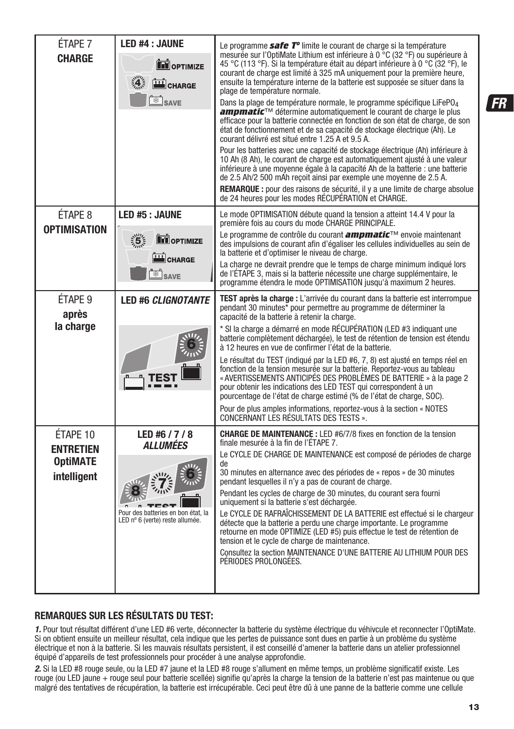| ÉTAPE 7<br><b>CHARGE</b>                                       | <b>LED #4 : JAUNE</b><br><b>THE OPTIMIZE</b><br>CHARGE<br>્ર4્<br>SAVE                                           | Le programme <b>safe T<sup>o</sup></b> limite le courant de charge si la température<br>mesurée sur l'OptiMate Lithium est inférieure à 0 °C (32 °F) ou supérieure à<br>45 °C (113 °F). Si la température était au départ inférieure à 0 °C (32 °F), le<br>courant de charge est limité à 325 mA uniquement pour la première heure,<br>ensuite la température interne de la batterie est supposée se situer dans la<br>plage de température normale.<br>Dans la plage de température normale, le programme spécifique LiFePO <sub>4</sub><br>ampmatic™ détermine automatiquement le courant de charge le plus<br>efficace pour la batterie connectée en fonction de son état de charge, de son<br>état de fonctionnement et de sa capacité de stockage électrique (Ah). Le<br>courant délivré est situé entre 1.25 A et 9.5 A.<br>Pour les batteries avec une capacité de stockage électrique (Ah) inférieure à<br>10 Ah (8 Ah), le courant de charge est automatiquement ajusté à une valeur<br>inférieure à une moyenne égale à la capacité Ah de la batterie : une batterie<br>de 2.5 Ah/2 500 mAh recoit ainsi par exemple une moyenne de 2.5 A.<br><b>REMARQUE :</b> pour des raisons de sécurité, il y a une limite de charge absolue<br>de 24 heures pour les modes RÉCUPÉRATION et CHARGE. |
|----------------------------------------------------------------|------------------------------------------------------------------------------------------------------------------|----------------------------------------------------------------------------------------------------------------------------------------------------------------------------------------------------------------------------------------------------------------------------------------------------------------------------------------------------------------------------------------------------------------------------------------------------------------------------------------------------------------------------------------------------------------------------------------------------------------------------------------------------------------------------------------------------------------------------------------------------------------------------------------------------------------------------------------------------------------------------------------------------------------------------------------------------------------------------------------------------------------------------------------------------------------------------------------------------------------------------------------------------------------------------------------------------------------------------------------------------------------------------------------------------|
| ÉTAPE 8<br><b>OPTIMISATION</b>                                 | LED #5 : JAUNE<br>$\frac{1}{2}$<br><b>TH</b> OPTIMIZE<br>CHARGE<br>$\frac{1}{2}$ SAVE                            | Le mode OPTIMISATION débute quand la tension a atteint 14.4 V pour la<br>première fois au cours du mode CHARGE PRINCIPALE.<br>Le programme de contrôle du courant <i>ampmatic</i> ™ envoie maintenant<br>des impulsions de courant afin d'égaliser les cellules individuelles au sein de<br>la batterie et d'optimiser le niveau de charge.<br>La charge ne devrait prendre que le temps de charge minimum indiqué lors<br>de l'ÉTAPE 3, mais si la batterie nécessite une charge supplémentaire, le<br>programme étendra le mode OPTIMISATION jusqu'à maximum 2 heures.                                                                                                                                                                                                                                                                                                                                                                                                                                                                                                                                                                                                                                                                                                                           |
| ÉTAPE <sub>9</sub><br>après<br>la charge                       | <b>LED #6 CLIGNOTANTE</b>                                                                                        | TEST après la charge : L'arrivée du courant dans la batterie est interrompue<br>pendant 30 minutes* pour permettre au programme de déterminer la<br>capacité de la batterie à retenir la charge.<br>* SI la charge a démarré en mode RÉCUPÉRATION (LED #3 indiquant une<br>batterie complètement déchargée), le test de rétention de tension est étendu<br>à 12 heures en vue de confirmer l'état de la batterie.<br>Le résultat du TEST (indiqué par la LED #6, 7, 8) est ajusté en temps réel en<br>fonction de la tension mesurée sur la batterie. Reportez-vous au tableau<br>« AVERTISSEMENTS ANTICIPÉS DES PROBLÈMES DE BATTERIE » à la page 2<br>pour obtenir les indications des LED TEST qui correspondent à un<br>pourcentage de l'état de charge estimé (% de l'état de charge, SOC).<br>Pour de plus amples informations, reportez-vous à la section « NOTES<br>CONCERNANT LES RÉSULTATS DES TESTS ».                                                                                                                                                                                                                                                                                                                                                                                  |
| ÉTAPE 10<br><b>ENTRETIEN</b><br><b>OptiMATE</b><br>intelligent | LED #6 $/7/8$<br><i><b>ALLUMÉES</b></i><br>Pour des batteries en bon état, la<br>LED nº 6 (verte) reste allumée. | <b>CHARGE DE MAINTENANCE:</b> LED #6/7/8 fixes en fonction de la tension<br>finale mesurée à la fin de l'ÉTAPE 7.<br>Le CYCLE DE CHARGE DE MAINTENANCE est composé de périodes de charge<br>de<br>30 minutes en alternance avec des périodes de « repos » de 30 minutes<br>pendant lesquelles il n'y a pas de courant de charge.<br>Pendant les cycles de charge de 30 minutes, du courant sera fourni<br>uniquement si la batterie s'est déchargée.<br>Le CYCLE DE RAFRAÎCHISSEMENT DE LA BATTERIE est effectué si le chargeur<br>détecte que la batterie a perdu une charge importante. Le programme<br>retourne en mode OPTIMIZE (LED #5) puis effectue le test de rétention de<br>tension et le cycle de charge de maintenance.<br>Consultez la section MAINTENANCE D'UNE BATTERIE AU LITHIUM POUR DES<br>PÉRIODES PROLONGÉES.                                                                                                                                                                                                                                                                                                                                                                                                                                                                 |

#### **REMARQUES SUR LES RÉSULTATS DU TEST:**

1. Pour tout résultat différent d'une LED #6 verte, déconnecter la batterie du système électrique du véhivcule et reconnecter l'OptiMate. Si on obtient ensuite un meilleur résultat, cela indique que les pertes de puissance sont dues en partie à un problème du système électrique et non à la batterie. Si les mauvais résultats persistent, il est conseillé d'amener la batterie dans un atelier professionnel équipé d'appareils de test professionnels pour procéder à une analyse approfondie.

2. Si la LED #8 rouge seule, ou la LED #7 jaune et la LED #8 rouge s'allument en même temps, un problème significatif existe. Les rouge (ou LED jaune + rouge seul pour batterie scellée) signifie qu'après la charge la tension de la batterie n'est pas maintenue ou que malgré des tentatives de récupération, la batterie est irrécupérable. Ceci peut être dû à une panne de la batterie comme une cellule

**FR** 

**13**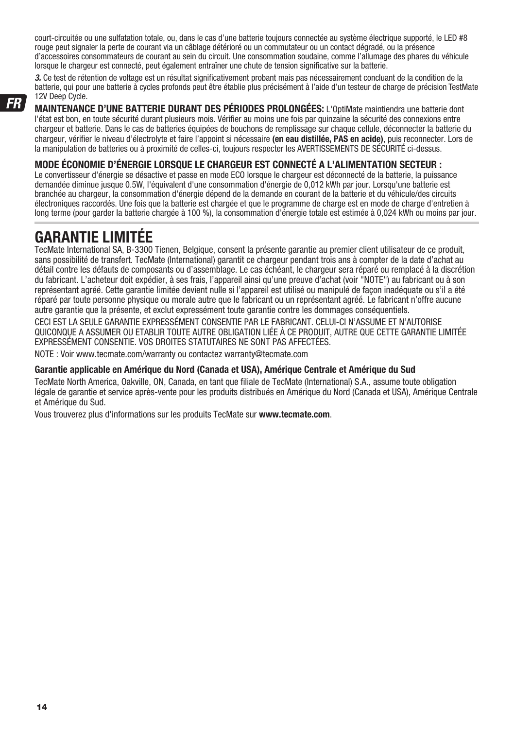court-circuitée ou une sulfatation totale, ou, dans le cas d'une batterie toujours connectée au système électrique supporté, le LED #8 rouge peut signaler la perte de courant via un câblage détérioré ou un commutateur ou un contact dégradé, ou la présence d'accessoires consommateurs de courant au sein du circuit. Une consommation soudaine, comme l'allumage des phares du véhicule lorsque le chargeur est connecté, peut également entraîner une chute de tension significative sur la batterie.

3. Ce test de rétention de voltage est un résultat significativement probant mais pas nécessairement concluant de la condition de la batterie, qui pour une batterie à cycles profonds peut être établie plus précisément à l'aide d'un testeur de charge de précision TestMate 12V Deep Cycle.

**MAINTENANCE D'UNE BATTERIE DURANT DES PÉRIODES PROLONGÉES:** L'OptiMate maintiendra une batterie dont l'état est bon, en toute sécurité durant plusieurs mois. Vérifier au moins une fois par quinzaine la sécurité des connexions entre chargeur et batterie. Dans le cas de batteries équipées de bouchons de remplissage sur chaque cellule, déconnecter la batterie du chargeur, vérifier le niveau d'électrolyte et faire l'appoint si nécessaire **(en eau distillée, PAS en acide)**, puis reconnecter. Lors de la manipulation de batteries ou à proximité de celles-ci, toujours respecter les AVERTISSEMENTS DE SÉCURITÉ ci-dessus.

#### **MODE ÉCONOMIE D'ÉNERGIE LORSQUE LE CHARGEUR EST CONNECTÉ A L'ALIMENTATION SECTEUR :**

Le convertisseur d'énergie se désactive et passe en mode ECO lorsque le chargeur est déconnecté de la batterie, la puissance demandée diminue jusque 0.5W, l'équivalent d'une consommation d'énergie de 0,012 kWh par jour. Lorsqu'une batterie est branchée au chargeur, la consommation d'énergie dépend de la demande en courant de la batterie et du véhicule/des circuits électroniques raccordés. Une fois que la batterie est chargée et que le programme de charge est en mode de charge d'entretien à long terme (pour garder la batterie chargée à 100 %), la consommation d'énergie totale est estimée à 0,024 kWh ou moins par jour.

# **GARANTIE LIMITÉE**

TecMate International SA, B-3300 Tienen, Belgique, consent la présente garantie au premier client utilisateur de ce produit, sans possibilité de transfert. TecMate (International) garantit ce chargeur pendant trois ans à compter de la date d'achat au détail contre les défauts de composants ou d'assemblage. Le cas échéant, le chargeur sera réparé ou remplacé à la discrétion du fabricant. L'acheteur doit expédier, à ses frais, l'appareil ainsi qu'une preuve d'achat (voir "NOTE") au fabricant ou à son représentant agréé. Cette garantie limitée devient nulle si l'appareil est utilisé ou manipulé de façon inadéquate ou s'il a été réparé par toute personne physique ou morale autre que le fabricant ou un représentant agréé. Le fabricant n'offre aucune autre garantie que la présente, et exclut expressément toute garantie contre les dommages conséquentiels. CECI EST LA SEULE GARANTIE EXPRESSÉMENT CONSENTIE PAR LE FABRICANT. CELUI-CI N'ASSUME ET N'AUTORISE QUICONQUE A ASSUMER OU ETABLIR TOUTE AUTRE OBLIGATION LIÉE À CE PRODUIT, AUTRE QUE CETTE GARANTIE LIMITÉE EXPRESSÉMENT CONSENTIE. VOS DROITES STATUTAIRES NE SONT PAS AFFECTÉES.

NOTE : Voir www.tecmate.com/warranty ou contactez warranty@tecmate.com

#### **Garantie applicable en Amérique du Nord (Canada et USA), Amérique Centrale et Amérique du Sud**

TecMate North America, Oakville, ON, Canada, en tant que filiale de TecMate (International) S.A., assume toute obligation légale de garantie et service après-vente pour les produits distribués en Amérique du Nord (Canada et USA), Amérique Centrale et Amérique du Sud.

Vous trouverez plus d'informations sur les produits TecMate sur **www.tecmate.com**.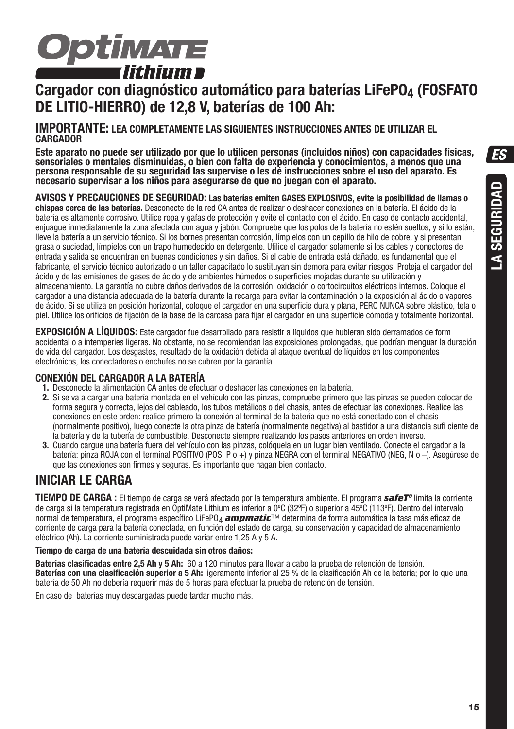

# **Cargador con diagnóstico automático para baterías LiFePO4 (FOSFATO DE LITIO-HIERRO) de 12,8 V, baterías de 100 Ah:**

#### **IMPORTANTE: LEA COMPLETAMENTE LAS SIGUIENTES INSTRUCCIONES ANTES DE UTILIZAR EL CARGADOR**

**Este aparato no puede ser utilizado por que lo utilicen personas (incluidos niños) con capacidades físicas, sensoriales o mentales disminuidas, o bien con falta de experiencia y conocimientos, a menos que una persona responsable de su seguridad las supervise o les dé instrucciones sobre el uso del aparato. Es necesario supervisar a los niños para asegurarse de que no juegan con el aparato.**

**AVISOS Y PRECAUCIONES DE SEGURIDAD: Las baterías emiten GASES EXPLOSIVOS, evite la posibilidad de llamas o chispas cerca de las baterías.** Desconecte de la red CA antes de realizar o deshacer conexiones en la batería. El ácido de la batería es altamente corrosivo. Utilice ropa y gafas de protección y evite el contacto con el ácido. En caso de contacto accidental, enjuague inmediatamente la zona afectada con agua y jabón. Compruebe que los polos de la batería no estén sueltos, y si lo están, lleve la batería a un servicio técnico. Si los bornes presentan corrosión, límpielos con un cepillo de hilo de cobre, y si presentan grasa o suciedad, límpielos con un trapo humedecido en detergente. Utilice el cargador solamente si los cables y conectores de entrada y salida se encuentran en buenas condiciones y sin daños. Si el cable de entrada está dañado, es fundamental que el fabricante, el servicio técnico autorizado o un taller capacitado lo sustituyan sin demora para evitar riesgos. Proteja el cargador del ácido y de las emisiones de gases de ácido y de ambientes húmedos o superficies mojadas durante su utilización y almacenamiento. La garantía no cubre daños derivados de la corrosión, oxidación o cortocircuitos eléctricos internos. Coloque el cargador a una distancia adecuada de la batería durante la recarga para evitar la contaminación o la exposición al ácido o vapores de ácido. Si se utiliza en posición horizontal, coloque el cargador en una superficie dura y plana, PERO NUNCA sobre plástico, tela o piel. Utilice los orificios de fijación de la base de la carcasa para fijar el cargador en una superficie cómoda y totalmente horizontal.

**EXPOSICIÓN A LÍQUIDOS:** Este cargador fue desarrollado para resistir a líquidos que hubieran sido derramados de form accidental o a intemperies ligeras. No obstante, no se recomiendan las exposiciones prolongadas, que podrían menguar la duración de vida del cargador. Los desgastes, resultado de la oxidación debida al ataque eventual de líquidos en los componentes electrónicos, los conectadores o enchufes no se cubren por la garantía.

#### **CONEXIÓN DEL CARGADOR A LA BATERÍA**

- **1.** Desconecte la alimentación CA antes de efectuar o deshacer las conexiones en la batería.
- **2.** Si se va a cargar una batería montada en el vehículo con las pinzas, compruebe primero que las pinzas se pueden colocar de forma segura y correcta, lejos del cableado, los tubos metálicos o del chasis, antes de efectuar las conexiones. Realice las conexiones en este orden: realice primero la conexión al terminal de la batería que no está conectado con el chasis (normalmente positivo), luego conecte la otra pinza de batería (normalmente negativa) al bastidor a una distancia sufi ciente de la batería y de la tubería de combustible. Desconecte siempre realizando los pasos anteriores en orden inverso.
- **3.** Cuando cargue una batería fuera del vehículo con las pinzas, colóquela en un lugar bien ventilado. Conecte el cargador a la batería: pinza ROJA con el terminal POSITIVO (POS, P o +) y pinza NEGRA con el terminal NEGATIVO (NEG, N o –). Asegúrese de que las conexiones son firmes y seguras. Es importante que hagan bien contacto.

### **INICIAR LE CARGA**

**TIEMPO DE CARGA :** El tiempo de carga se verá afectado por la temperatura ambiente. El programa *safeTº* limita la corriente de carga si la temperatura registrada en OptiMate Lithium es inferior a 0ºC (32ºF) o superior a 45ºC (113ºF). Dentro del intervalo normal de temperatura, el programa específico LiFePO4 *ampmatic*™ determina de forma automática la tasa más eficaz de corriente de carga para la batería conectada, en función del estado de carga, su conservación y capacidad de almacenamiento eléctrico (Ah). La corriente suministrada puede variar entre 1,25 A y 5 A.

#### **Tiempo de carga de una batería descuidada sin otros daños:**

**Baterías clasificadas entre 2,5 Ah y 5 Ah:** 60 a 120 minutos para llevar a cabo la prueba de retención de tensión. **Baterías con una clasificación superior a 5 Ah:** ligeramente inferior al 25 % de la clasificación Ah de la batería; por lo que una batería de 50 Ah no debería requerir más de 5 horas para efectuar la prueba de retención de tensión.

En caso de baterías muy descargadas puede tardar mucho más.

**ES**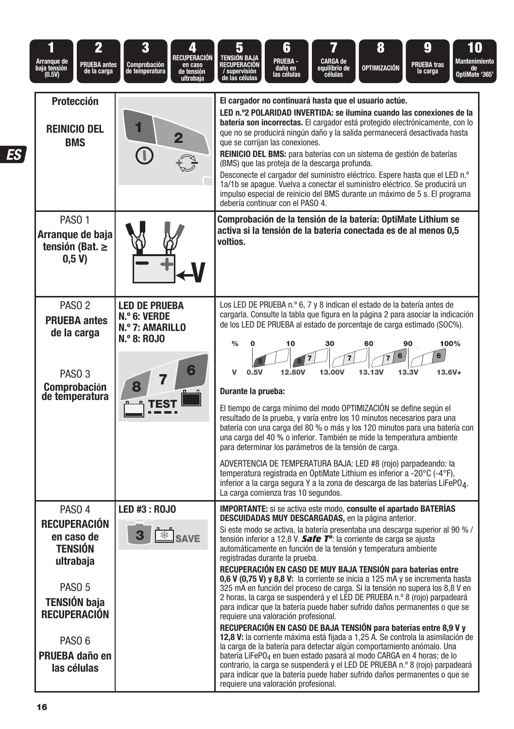| 2<br>il<br>Arranque de<br>baja tensión<br>(0.5V)<br><b>PRUEBA</b> antes<br>de la carga                                                                                                                         | 3<br>RECUPERACIÓN<br><b>Comprobación</b><br>en caso<br>de tensión<br>de temperatura<br>ultrabaja | 6<br>8<br>9<br>7<br>10<br>อ<br>TENSIÓN BAJA<br><b>PRUEBA -</b><br>CARGA de<br>equilibrio de<br>células<br>Mantenimiento<br><b>PRUEBA tras</b><br><u>Recuperación</u><br>OPTIMIZACIÓN<br>daño en<br>las células<br>de<br>'0ptiMate '365<br>/ supervisión<br>de las células<br>la carga                                                                                                                                                                                                                                                                                                                                                                                                                                                                                                                                                                                                                                                                                                                                                                                                                                                                                                                                                                                                                                                                                                   |
|----------------------------------------------------------------------------------------------------------------------------------------------------------------------------------------------------------------|--------------------------------------------------------------------------------------------------|-----------------------------------------------------------------------------------------------------------------------------------------------------------------------------------------------------------------------------------------------------------------------------------------------------------------------------------------------------------------------------------------------------------------------------------------------------------------------------------------------------------------------------------------------------------------------------------------------------------------------------------------------------------------------------------------------------------------------------------------------------------------------------------------------------------------------------------------------------------------------------------------------------------------------------------------------------------------------------------------------------------------------------------------------------------------------------------------------------------------------------------------------------------------------------------------------------------------------------------------------------------------------------------------------------------------------------------------------------------------------------------------|
| <b>Protección</b><br><b>REINICIO DEL</b><br><b>BMS</b>                                                                                                                                                         |                                                                                                  | El cargador no continuará hasta que el usuario actúe.<br>LED n.º2 POLARIDAD INVERTIDA: se ilumina cuando las conexiones de la<br>batería son incorrectas. El cargador está protegido electrónicamente, con lo<br>que no se producirá ningún daño y la salida permanecerá desactivada hasta<br>que se corrijan las conexiones.<br><b>REINICIO DEL BMS:</b> para baterías con un sistema de gestión de baterías<br>(BMS) que las proteja de la descarga profunda.<br>Desconecte el cargador del suministro eléctrico. Espere hasta que el LED n.º<br>1a/1b se apaque. Vuelva a conectar el suministro eléctrico. Se producirá un<br>impulso especial de reinicio del BMS durante un máximo de 5 s. El programa<br>debería continuar con el PASO 4.                                                                                                                                                                                                                                                                                                                                                                                                                                                                                                                                                                                                                                        |
| PASO <sub>1</sub><br>Arranque de baja<br>tensión (Bat. $\geq$<br>0,5 V                                                                                                                                         |                                                                                                  | Comprobación de la tensión de la batería: OptiMate Lithium se<br>activa si la tensión de la batería conectada es de al menos 0,5<br>voltios.                                                                                                                                                                                                                                                                                                                                                                                                                                                                                                                                                                                                                                                                                                                                                                                                                                                                                                                                                                                                                                                                                                                                                                                                                                            |
| PASO <sub>2</sub><br><b>PRUEBA</b> antes<br>de la carga<br>PASO <sub>3</sub><br>Comprobación<br>de temperatura                                                                                                 | <b>LED DE PRUEBA</b><br>N.º 6: VERDE<br>N.º 7: AMARILLO<br><b>N.º 8: ROJO</b>                    | Los LED DE PRUEBA n.º 6, 7 y 8 indican el estado de la batería antes de<br>cargarla. Consulte la tabla que figura en la página 2 para asociar la indicación<br>de los LED DE PRUEBA al estado de porcentaje de carga estimado (SOC%).<br>100%<br>$\frac{0}{0}$<br>10<br>30<br>60<br>90<br>6<br>6<br>13.13V<br>13.3V<br>$13.6V +$<br>$\mathbf{v}$<br>0.5V<br>12,80V<br>13,00V<br>Durante la prueba:<br>El tiempo de carga mínimo del modo OPTIMIZACIÓN se define según el<br>resultado de la prueba, y varía entre los 10 minutos necesarios para una<br>batería con una carga del 80 % o más y los 120 minutos para una batería con<br>una carga del 40 % o inferior. También se mide la temperatura ambiente<br>para determinar los parámetros de la tensión de carga.<br>ADVERTENCIA DE TEMPERATURA BAJA: LED #8 (rojo) parpadeando: la<br>temperatura registrada en OptiMate Lithium es inferior a -20°C (-4°F),<br>inferior a la carga segura Y a la zona de descarga de las baterías LiFePO4.<br>La carga comienza tras 10 segundos.                                                                                                                                                                                                                                                                                                                                               |
| PASO <sub>4</sub><br><b>RECUPERACIÓN</b><br>en caso de<br><b>TENSIÓN</b><br>ultrabaja<br>PASO <sub>5</sub><br><b>TENSIÓN baja</b><br><b>RECUPERACIÓN</b><br>PASO <sub>6</sub><br>PRUEBA daño en<br>las células | LED #3 : ROJO<br><b>SAVE</b>                                                                     | <b>IMPORTANTE:</b> si se activa este modo, consulte el apartado BATERIAS<br><b>DESCUIDADAS MUY DESCARGADAS</b> , en la página anterior.<br>Si este modo se activa, la batería presentaba una descarga superior al 90 % /<br>tensión inferior a 12,8 V. <b>Safe T<sup>o</sup>:</b> la corriente de carga se ajusta<br>automáticamente en función de la tensión y temperatura ambiente<br>registradas durante la prueba.<br>RECUPERACIÓN EN CASO DE MUY BAJA TENSIÓN para baterías entre<br>0.6 V (0.75 V) y 8.8 V: la corriente se inicia a 125 mA y se incrementa hasta<br>325 mA en función del proceso de carga. Si la tensión no supera los 8,8 V en<br>2 horas, la carga se suspenderá y el LED DE PRUEBA n.º 8 (rojo) parpadeará<br>para indicar que la batería puede haber sufrido daños permanentes o que se<br>requiere una valoración profesional.<br>RECUPERACIÓN EN CASO DE BAJA TENSIÓN para baterías entre 8,9 V y<br>12,8 V: la corriente máxima está fijada a 1,25 A. Se controla la asimilación de<br>la carga de la batería para detectar algún comportamiento anómalo. Una<br>batería LiFePO <sub>4</sub> en buen estado pasará al modo CARGA en 4 horas; de lo<br>contrario, la carga se suspenderá y el LED DE PRUEBA n.º 8 (rojo) parpadeará<br>para indicar que la batería puede haber sufrido daños permanentes o que se<br>requiere una valoración profesional. |

 $\overline{ES}$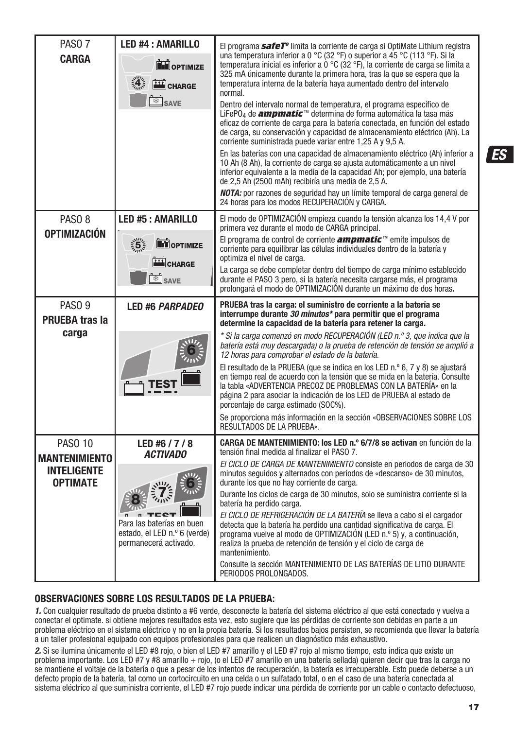| PASO <sub>7</sub><br><b>CARGA</b>                                               | <b>LED #4: AMARILLO</b><br><b>TH</b> OPTIMIZE<br>4.5<br>CHARGE<br><sup>※</sup> SAVE                                     | El programa <i>safeT<sup>o</sup></i> limita la corriente de carga si OptiMate Lithium registra<br>una temperatura inferior a 0 °C (32 °F) o superior a 45 °C (113 °F). Si la<br>temperatura inicial es inferior a $0^{\circ}$ C (32 $^{\circ}$ F), la corriente de carga se limita a<br>325 mA únicamente durante la primera hora, tras la que se espera que la<br>temperatura interna de la batería haya aumentado dentro del intervalo<br>normal.<br>Dentro del intervalo normal de temperatura, el programa específico de<br>LiFePO4 de <b>ampmatic</b> <sup>™</sup> determina de forma automática la tasa más<br>eficaz de corriente de carga para la batería conectada, en función del estado<br>de carga, su conservación y capacidad de almacenamiento eléctrico (Ah). La<br>corriente suministrada puede variar entre 1,25 A y 9,5 A.<br>En las baterías con una capacidad de almacenamiento eléctrico (Ah) inferior a<br>10 Ah (8 Ah), la corriente de carga se ajusta automáticamente a un nivel<br>inferior equivalente a la media de la capacidad Ah; por ejemplo, una batería<br>de 2.5 Ah (2500 mAh) recibiría una media de 2.5 A.<br>NOTA: por razones de sequridad hay un límite temporal de carga general de<br>24 horas para los modos RECUPERACIÓN y CARGA. |
|---------------------------------------------------------------------------------|-------------------------------------------------------------------------------------------------------------------------|--------------------------------------------------------------------------------------------------------------------------------------------------------------------------------------------------------------------------------------------------------------------------------------------------------------------------------------------------------------------------------------------------------------------------------------------------------------------------------------------------------------------------------------------------------------------------------------------------------------------------------------------------------------------------------------------------------------------------------------------------------------------------------------------------------------------------------------------------------------------------------------------------------------------------------------------------------------------------------------------------------------------------------------------------------------------------------------------------------------------------------------------------------------------------------------------------------------------------------------------------------------------------------|
| PASO <sub>8</sub><br><b>OPTIMIZACIÓN</b>                                        | <b>LED #5: AMARILLO</b><br>$\frac{1}{2}$ 5 $\frac{1}{2}$<br><b>THE OPTIMIZE</b><br>CHARGE<br><b>SAVE</b>                | El modo de OPTIMIZACIÓN empieza cuando la tensión alcanza los 14,4 V por<br>primera vez durante el modo de CARGA principal.<br>El programa de control de corriente <b>ampmatic</b> <sup><math>m</math></sup> emite impulsos de<br>corriente para equilibrar las células individuales dentro de la batería y<br>optimiza el nivel de carga.<br>La carga se debe completar dentro del tiempo de carga mínimo establecido<br>durante el PASO 3 pero, si la batería necesita cargarse más, el programa<br>prolongará el modo de OPTIMIZACIÓN durante un máximo de dos horas.                                                                                                                                                                                                                                                                                                                                                                                                                                                                                                                                                                                                                                                                                                       |
| PASO <sub>9</sub><br><b>PRUEBA tras la</b><br>carga                             | <b>LED #6 PARPADEO</b>                                                                                                  | PRUEBA tras la carga: el suministro de corriente a la batería se<br>interrumpe durante 30 minutos* para permitir que el programa<br>determine la capacidad de la batería para retener la carga.<br>* Si la carga comenzó en modo RECUPERACIÓN (LED n.º 3, que indica que la<br>batería está muy descargada) o la prueba de retención de tensión se amplió a<br>12 horas para comprobar el estado de la batería.<br>El resultado de la PRUEBA (que se indica en los LED n.º 6, 7 y 8) se ajustará<br>en tiempo real de acuerdo con la tensión que se mida en la batería. Consulte<br>la tabla «ADVERTENCIA PRECOZ DE PROBLEMAS CON LA BATERÍA» en la<br>página 2 para asociar la indicación de los LED de PRUEBA al estado de<br>porcentaje de carga estimado (SOC%).<br>Se proporciona más información en la sección «OBSERVACIONES SOBRE LOS<br>RESULTADOS DE LA PRUEBA».                                                                                                                                                                                                                                                                                                                                                                                                     |
| <b>PASO 10</b><br><b>MANTENIMIENTO</b><br><b>INTELIGENTE</b><br><b>OPTIMATE</b> | LED #6 / 7 / 8<br><b>ACTIVADO</b><br>Para las baterías en buen<br>estado, el LED n.º 6 (verde)<br>permanecerá activado. | <b>CARGA DE MANTENIMIENTO: los LED n.º 6/7/8 se activan</b> en función de la<br>tensión final medida al finalizar el PASO 7.<br>El CICLO DE CARGA DE MANTENIMIENTO consiste en periodos de carga de 30<br>minutos seguidos y alternados con periodos de «descanso» de 30 minutos,<br>durante los que no hay corriente de carga.<br>Durante los ciclos de carga de 30 minutos, solo se suministra corriente si la<br>batería ha perdido carga.<br>El CICLO DE REFRIGERACIÓN DE LA BATERÍA se lleva a cabo si el cargador<br>detecta que la batería ha perdido una cantidad significativa de carga. El<br>programa vuelve al modo de OPTIMIZACIÓN (LED n.º 5) y, a continuación,<br>realiza la prueba de retención de tensión y el ciclo de carga de<br>mantenimiento.<br>Consulte la sección MANTENIMIENTO DE LAS BATERÍAS DE LITIO DURANTE<br>PERIODOS PROLONGADOS.                                                                                                                                                                                                                                                                                                                                                                                                            |

#### **OBSERVACIONES SOBRE LOS RESULTADOS DE LA PRUEBA:**

1. Con cualquier resultado de prueba distinto a #6 verde, desconecte la batería del sistema eléctrico al que está conectado y vuelva a conectar el optimate. si obtiene mejores resultados esta vez, esto sugiere que las pérdidas de corriente son debidas en parte a un problema eléctrico en el sistema eléctrico y no en la propia batería. Si los resultados bajos persisten, se recomienda que llevar la batería a un taller profesional equipado con equipos profesionales para que realicen un diagnóstico más exhaustivo.

2. Si se ilumina únicamente el LED #8 rojo, o bien el LED #7 amarillo y el LED #7 rojo al mismo tiempo, esto indica que existe un problema importante. Los LED #7 y #8 amarillo + rojo, (o el LED #7 amarillo en una batería sellada) quieren decir que tras la carga no se mantiene el voltaje de la batería o que a pesar de los intentos de recuperación, la batería es irrecuperable. Esto puede deberse a un defecto propio de la batería, tal como un cortocircuito en una celda o un sulfatado total, o en el caso de una batería conectada al sistema eléctrico al que suministra corriente, el LED #7 rojo puede indicar una pérdida de corriente por un cable o contacto defectuoso, **ES**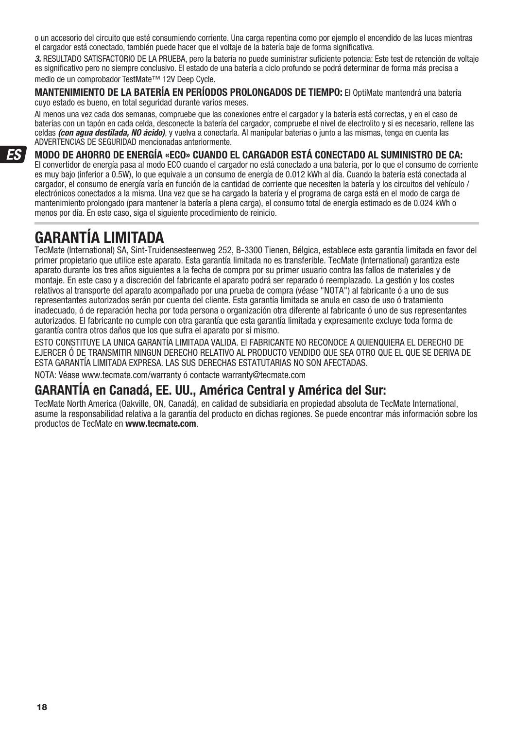o un accesorio del circuito que esté consumiendo corriente. Una carga repentina como por ejemplo el encendido de las luces mientras el cargador está conectado, también puede hacer que el voltaje de la batería baje de forma significativa.

3. RESULTADO SATISFACTORIO DE LA PRUEBA, pero la batería no puede suministrar suficiente potencia: Este test de retención de voltaje es significativo pero no siempre conclusivo. El estado de una batería a ciclo profundo se podrá determinar de forma más precisa a medio de un comprobador TestMate™ 12V Deep Cycle.

**MANTENIMIENTO DE LA BATERÍA EN PERÍODOS PROLONGADOS DE TIEMPO:** El OptiMate mantendrá una batería cuyo estado es bueno, en total seguridad durante varios meses.

Al menos una vez cada dos semanas, compruebe que las conexiones entre el cargador y la batería está correctas, y en el caso de baterías con un tapón en cada celda, desconecte la batería del cargador, compruebe el nivel de electrolito y si es necesario, rellene las celdas (con agua destilada, NO ácido), y vuelva a conectarla. Al manipular baterías o junto a las mismas, tenga en cuenta las ADVERTENCIAS DE SEGURIDAD mencionadas anteriormente.

#### **MODO DE AHORRO DE ENERGÍA «ECO» CUANDO EL CARGADOR ESTÁ CONECTADO AL SUMINISTRO DE CA:**  El convertidor de energía pasa al modo ECO cuando el cargador no está conectado a una batería, por lo que el consumo de corriente es muy bajo (inferior a 0.5W), lo que equivale a un consumo de energía de 0.012 kWh al día. Cuando la batería está conectada al cargador, el consumo de energía varía en función de la cantidad de corriente que necesiten la batería y los circuitos del vehículo / electrónicos conectados a la misma. Una vez que se ha cargado la batería y el programa de carga está en el modo de carga de mantenimiento prolongado (para mantener la batería a plena carga), el consumo total de energía estimado es de 0.024 kWh o menos por día. En este caso, siga el siguiente procedimiento de reinicio.

# **GARANTÍA LIMITADA**

TecMate (International) SA, Sint-Truidensesteenweg 252, B-3300 Tienen, Bélgica, establece esta garantía limitada en favor del primer propietario que utilice este aparato. Esta garantía limitada no es transferible. TecMate (International) garantiza este aparato durante los tres años siguientes a la fecha de compra por su primer usuario contra las fallos de materiales y de montaje. En este caso y a discreción del fabricante el aparato podrá ser reparado ó reemplazado. La gestión y los costes relativos al transporte del aparato acompañado por una prueba de compra (véase "NOTA") al fabricante ó a uno de sus representantes autorizados serán por cuenta del cliente. Esta garantía limitada se anula en caso de uso ó tratamiento inadecuado, ó de reparación hecha por toda persona o organización otra diferente al fabricante ó uno de sus representantes autorizados. El fabricante no cumple con otra garantía que esta garantía limitada y expresamente excluye toda forma de garantía contra otros daños que los que sufra el aparato por sí mismo.

ESTO CONSTITUYE LA UNICA GARANTÍA LIMITADA VALIDA. El FABRICANTE NO RECONOCE A QUIENQUIERA EL DERECHO DE EJERCER Ó DE TRANSMITIR NINGUN DERECHO RELATIVO AL PRODUCTO VENDIDO QUE SEA OTRO QUE EL QUE SE DERIVA DE ESTA GARANTÍA LIMITADA EXPRESA. LAS SUS DERECHAS ESTATUTARIAS NO SON AFECTADAS.

NOTA: Véase www.tecmate.com/warranty ó contacte warranty@tecmate.com

### **GARANTÍA en Canadá, EE. UU., América Central y América del Sur:**

TecMate North America (Oakville, ON, Canadá), en calidad de subsidiaria en propiedad absoluta de TecMate International, asume la responsabilidad relativa a la garantía del producto en dichas regiones. Se puede encontrar más información sobre los productos de TecMate en **www.tecmate.com**.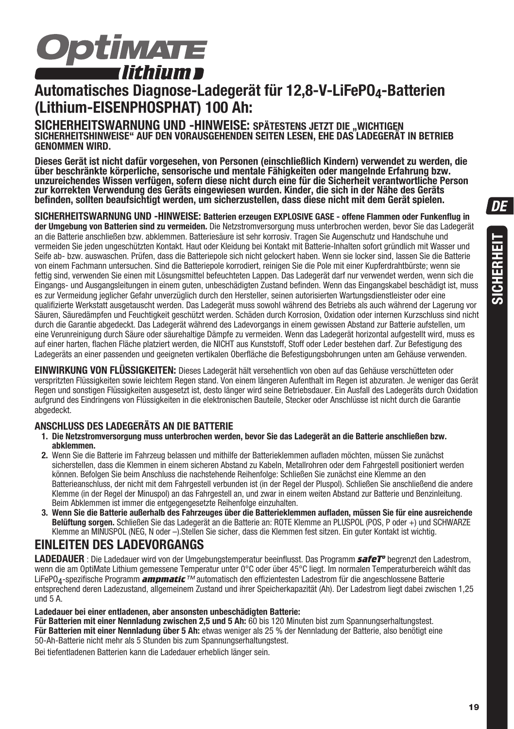

# **Automatisches Diagnose-Ladegerät für 12,8-V-LiFePO4-Batterien (Lithium-EISENPHOSPHAT) 100 Ah:**

SICHERHEITSWARNUNG UND -HINWEISE: SPÄTESTENS JETZT DIE "WICHTIGEN<br>SICHERHEITSHINWEISE" AUF DEN VORAUSGEHENDEN SEITEN LESEN, EHE DAS LADEGERÄT IN BETRIEB **GENOMMEN WIRD.**

**Dieses Gerät ist nicht dafür vorgesehen, von Personen (einschließlich Kindern) verwendet zu werden, die über beschränkte körperliche, sensorische und mentale Fähigkeiten oder mangelnde Erfahrung bzw. unzureichendes Wissen verfügen, sofern diese nicht durch eine für die Sicherheit verantwortliche Person zur korrekten Verwendung des Geräts eingewiesen wurden. Kinder, die sich in der Nähe des Geräts befinden, sollten beaufsichtigt werden, um sicherzustellen, dass diese nicht mit dem Gerät spielen.**

**SICHERHEITSWARNUNG UND -HINWEISE: Batterien erzeugen EXPLOSIVE GASE - offene Flammen oder Funkenflug in der Umgebung von Batterien sind zu vermeiden.** Die Netzstromversorgung muss unterbrochen werden, bevor Sie das Ladegerät an die Batterie anschließen bzw. abklemmen. Batteriesäure ist sehr korrosiv. Tragen Sie Augenschutz und Handschuhe und vermeiden Sie jeden ungeschützten Kontakt. Haut oder Kleidung bei Kontakt mit Batterie-Inhalten sofort gründlich mit Wasser und Seife ab- bzw. auswaschen. Prüfen, dass die Batteriepole sich nicht gelockert haben. Wenn sie locker sind, lassen Sie die Batterie von einem Fachmann untersuchen. Sind die Batteriepole korrodiert, reinigen Sie die Pole mit einer Kupferdrahtbürste; wenn sie fettig sind, verwenden Sie einen mit Lösungsmittel befeuchteten Lappen. Das Ladegerät darf nur verwendet werden, wenn sich die Eingangs- und Ausgangsleitungen in einem guten, unbeschädigten Zustand befinden. Wenn das Eingangskabel beschädigt ist, muss es zur Vermeidung jeglicher Gefahr unverzüglich durch den Hersteller, seinen autorisierten Wartungsdienstleister oder eine qualifizierte Werkstatt ausgetauscht werden. Das Ladegerät muss sowohl während des Betriebs als auch während der Lagerung vor Säuren, Säuredämpfen und Feuchtigkeit geschützt werden. Schäden durch Korrosion, Oxidation oder internen Kurzschluss sind nicht durch die Garantie abgedeckt. Das Ladegerät während des Ladevorgangs in einem gewissen Abstand zur Batterie aufstellen, um eine Verunreinigung durch Säure oder säurehaltige Dämpfe zu vermeiden. Wenn das Ladegerät horizontal aufgestellt wird, muss es auf einer harten, flachen Fläche platziert werden, die NICHT aus Kunststoff, Stoff oder Leder bestehen darf. Zur Befestigung des Ladegeräts an einer passenden und geeigneten vertikalen Oberfläche die Befestigungsbohrungen unten am Gehäuse verwenden.

**EINWIRKUNG VON FLÜSSIGKEITEN:** Dieses Ladegerät hält versehentlich von oben auf das Gehäuse verschütteten oder verspritzten Flüssigkeiten sowie leichtem Regen stand. Von einem längeren Aufenthalt im Regen ist abzuraten. Je weniger das Gerät Regen und sonstigen Flüssigkeiten ausgesetzt ist, desto länger wird seine Betriebsdauer. Ein Ausfall des Ladegeräts durch Oxidation aufgrund des Eindringens von Flüssigkeiten in die elektronischen Bauteile, Stecker oder Anschlüsse ist nicht durch die Garantie abgedeckt.

#### **ANSCHLUSS DES LADEGERÄTS AN DIE BATTERIE**

- **1. Die Netzstromversorgung muss unterbrochen werden, bevor Sie das Ladegerät an die Batterie anschließen bzw. abklemmen.**
- **2.** Wenn Sie die Batterie im Fahrzeug belassen und mithilfe der Batterieklemmen aufladen möchten, müssen Sie zunächst sicherstellen, dass die Klemmen in einem sicheren Abstand zu Kabeln, Metallrohren oder dem Fahrgestell positioniert werden können. Befolgen Sie beim Anschluss die nachstehende Reihenfolge: Schließen Sie zunächst eine Klemme an den Batterieanschluss, der nicht mit dem Fahrgestell verbunden ist (in der Regel der Pluspol). Schließen Sie anschließend die andere Klemme (in der Regel der Minuspol) an das Fahrgestell an, und zwar in einem weiten Abstand zur Batterie und Benzinleitung. Beim Abklemmen ist immer die entgegengesetzte Reihenfolge einzuhalten.
- **3. Wenn Sie die Batterie außerhalb des Fahrzeuges über die Batterieklemmen aufladen, müssen Sie für eine ausreichende Belüftung sorgen.** Schließen Sie das Ladegerät an die Batterie an: ROTE Klemme an PLUSPOL (POS, P oder +) und SCHWARZE Klemme an MINUSPOL (NEG, N oder –).Stellen Sie sicher, dass die Klemmen fest sitzen. Ein guter Kontakt ist wichtig.

### **EINLEITEN DES LADEVORGANGS**

**LADEDAUER** : Die Ladedauer wird von der Umgebungstemperatur beeinflusst. Das Programm *safeTº* begrenzt den Ladestrom, wenn die am OptiMate Lithium gemessene Temperatur unter 0°C oder über 45°C liegt. Im normalen Temperaturbereich wählt das LiFePO4-spezifische Programm *ampmatic*™ automatisch den effizientesten Ladestrom für die angeschlossene Batterie entsprechend deren Ladezustand, allgemeinem Zustand und ihrer Speicherkapazität (Ah). Der Ladestrom liegt dabei zwischen 1,25 und 5 A.

**Ladedauer bei einer entladenen, aber ansonsten unbeschädigten Batterie:**

**Für Batterien mit einer Nennladung zwischen 2,5 und 5 Ah:** 60 bis 120 Minuten bist zum Spannungserhaltungstest. Für Batterien mit einer Nennladung über 5 Ah: etwas weniger als 25 % der Nennladung der Batterie, also benötigt eine 50-Ah-Batterie nicht mehr als 5 Stunden bis zum Spannungserhaltungstest.

Bei tiefentladenen Batterien kann die Ladedauer erheblich länger sein.

**SICHERHEIT**

SICHERHEIT

**19**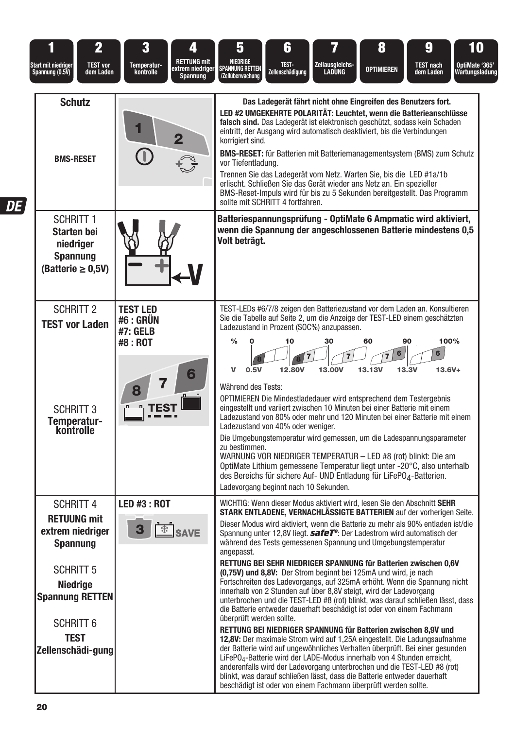| $\overline{\mathbf{2}}$                                                                                        | 3                            | 4                                                  | 5                                                                 | 6                                                                                          | 7                                                                                                                                                                                                                                                                                                                                                                                                                                                                                                                                                                                                                                                                                                                                                                                                                                                                                                                                                                                                   | 8                 | 9                                           | 10                               |
|----------------------------------------------------------------------------------------------------------------|------------------------------|----------------------------------------------------|-------------------------------------------------------------------|--------------------------------------------------------------------------------------------|-----------------------------------------------------------------------------------------------------------------------------------------------------------------------------------------------------------------------------------------------------------------------------------------------------------------------------------------------------------------------------------------------------------------------------------------------------------------------------------------------------------------------------------------------------------------------------------------------------------------------------------------------------------------------------------------------------------------------------------------------------------------------------------------------------------------------------------------------------------------------------------------------------------------------------------------------------------------------------------------------------|-------------------|---------------------------------------------|----------------------------------|
| Start mit niedriger<br><b>TEST vor</b><br>Spannung (0.5V)<br>dem Laden                                         | Temperatur-<br>kontrolle     | <b>RETTUNG mit</b><br>extrem niedriger<br>Spannung | NIEDRIGE<br>Spannung retten<br>/Zellüberwachung                   | -TEST<br>Zellenschädigung                                                                  | Zellausgleichs-<br><b>LADUNG</b>                                                                                                                                                                                                                                                                                                                                                                                                                                                                                                                                                                                                                                                                                                                                                                                                                                                                                                                                                                    | <b>OPTIMIEREN</b> | <b>TEST nach</b><br>dem Laden               | OptiMate '365'<br>Wartungsladung |
| <b>Schutz</b><br><b>BMS-RESET</b>                                                                              |                              | 2                                                  | korrigiert sind.<br>vor Tiefentladung.                            | sollte mit SCHRITT 4 fortfahren.                                                           | Das Ladegerät fährt nicht ohne Eingreifen des Benutzers fort.<br>LED #2 UMGEKEHRTE POLARITÄT: Leuchtet, wenn die Batterieanschlüsse<br>falsch sind. Das Ladegerät ist elektronisch geschützt, sodass kein Schaden<br>eintritt, der Ausgang wird automatisch deaktiviert, bis die Verbindungen<br><b>BMS-RESET:</b> für Batterien mit Batteriemanagementsystem (BMS) zum Schutz<br>Trennen Sie das Ladegerät vom Netz. Warten Sie, bis die LED #1a/1b<br>erlischt. Schließen Sie das Gerät wieder ans Netz an. Ein spezieller<br>BMS-Reset-Impuls wird für bis zu 5 Sekunden bereitgestellt. Das Programm                                                                                                                                                                                                                                                                                                                                                                                            |                   |                                             |                                  |
| <b>SCHRITT 1</b><br><b>Starten bei</b><br>niedriger<br><b>Spannung</b><br>$(Batterie \geq 0.5V)$               |                              |                                                    | Volt beträgt.                                                     |                                                                                            | Batteriespannungsprüfung - OptiMate 6 Ampmatic wird aktiviert,<br>wenn die Spannung der angeschlossenen Batterie mindestens 0,5                                                                                                                                                                                                                                                                                                                                                                                                                                                                                                                                                                                                                                                                                                                                                                                                                                                                     |                   |                                             |                                  |
| <b>SCHRITT 2</b><br><b>TEST vor Laden</b>                                                                      | <b>TEST LED</b><br>#6 : GRÜN |                                                    |                                                                   |                                                                                            | TEST-LEDs #6/7/8 zeigen den Batteriezustand vor dem Laden an. Konsultieren<br>Sie die Tabelle auf Seite 2, um die Anzeige der TEST-LED einem geschätzten                                                                                                                                                                                                                                                                                                                                                                                                                                                                                                                                                                                                                                                                                                                                                                                                                                            |                   |                                             |                                  |
| <b>SCHRITT 3</b><br>Temperatur-<br>kontrolle                                                                   | #7: GELB<br>#8 : ROT         | 6                                                  | $\frac{0}{0}$<br>v<br>0.5V<br>Während des Tests:<br>zu bestimmen. | 10<br>12.80V<br>Ladezustand von 40% oder weniger.<br>Ladevorgang beginnt nach 10 Sekunden. | Ladezustand in Prozent (SOC%) anzupassen.<br>30<br>13.00V<br>OPTIMIEREN Die Mindestladedauer wird entsprechend dem Testergebnis<br>eingestellt und variiert zwischen 10 Minuten bei einer Batterie mit einem<br>Ladezustand von 80% oder mehr und 120 Minuten bei einer Batterie mit einem<br>Die Umgebungstemperatur wird gemessen, um die Ladespannungsparameter<br>WARNUNG VOR NIEDRIGER TEMPERATUR - LED #8 (rot) blinkt: Die am<br>OptiMate Lithium gemessene Temperatur liegt unter -20°C, also unterhalb<br>des Bereichs für sichere Auf- UND Entladung für LiFePO <sub>4</sub> -Batterien.                                                                                                                                                                                                                                                                                                                                                                                                  | 60<br>6<br>13.13V | 90<br>$6\overline{6}$<br>$13.6V +$<br>13.3V | 100%                             |
| <b>SCHRITT 4</b><br><b>RETUUNG mit</b><br>extrem niedriger<br><b>Spannung</b>                                  | <b>LED #3 : ROT</b><br>3     |                                                    |                                                                   |                                                                                            | WICHTIG: Wenn dieser Modus aktiviert wird, lesen Sie den Abschnitt SEHR<br>STARK ENTLADENE. VERNACHLÄSSIGTE BATTERIEN auf der vorherigen Seite.<br>Dieser Modus wird aktiviert, wenn die Batterie zu mehr als 90% entladen ist/die<br>Spannung unter 12.8V liegt. <b>safeT<sup>o</sup>:</b> Der Ladestrom wird automatisch der<br>während des Tests gemessenen Spannung und Umgebungstemperatur                                                                                                                                                                                                                                                                                                                                                                                                                                                                                                                                                                                                     |                   |                                             |                                  |
| <b>SCHRITT 5</b><br>Niedrige<br><b>Spannung RETTEN</b><br><b>SCHRITT 6</b><br><b>TEST</b><br>Zellenschädi-gung |                              |                                                    | angepasst.<br>überprüft werden sollte.                            |                                                                                            | RETTUNG BEI SEHR NIEDRIGER SPANNUNG für Batterien zwischen 0,6V<br>(0,75V) und 8,8V: Der Strom beginnt bei 125mA und wird, je nach<br>Fortschreiten des Ladevorgangs, auf 325mA erhöht. Wenn die Spannung nicht<br>innerhalb von 2 Stunden auf über 8,8V steigt, wird der Ladevorgang<br>unterbrochen und die TEST-LED #8 (rot) blinkt, was darauf schließen lässt, dass<br>die Batterie entweder dauerhaft beschädigt ist oder von einem Fachmann<br>RETTUNG BEI NIEDRIGER SPANNUNG für Batterien zwischen 8,9V und<br>12,8V: Der maximale Strom wird auf 1,25A eingestellt. Die Ladungsaufnahme<br>der Batterie wird auf ungewöhnliches Verhalten überprüft. Bei einer gesunden<br>LiFePO <sub>4</sub> -Batterie wird der LADE-Modus innerhalb von 4 Stunden erreicht,<br>anderenfalls wird der Ladevorgang unterbrochen und die TEST-LED #8 (rot)<br>blinkt, was darauf schließen lässt, dass die Batterie entweder dauerhaft<br>beschädigt ist oder von einem Fachmann überprüft werden sollte. |                   |                                             |                                  |

 $DE$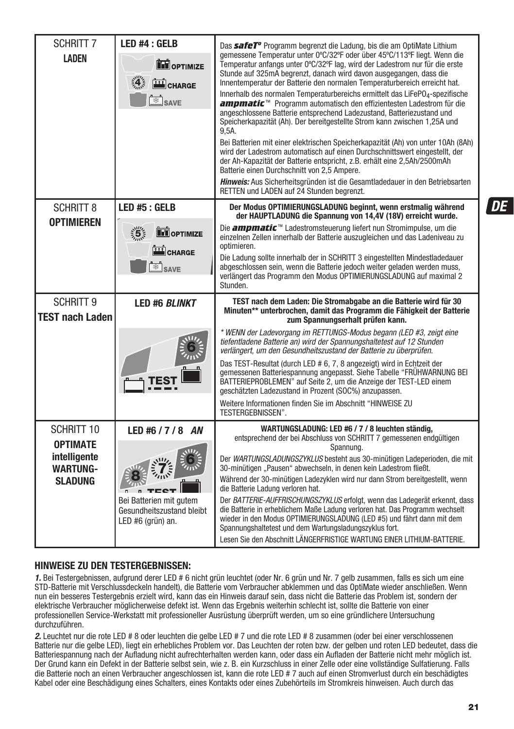| <b>SCHRITT 7</b>                           | LED #4 : GELB                                                             | Das safeT <sup>o</sup> Programm begrenzt die Ladung, bis die am OptiMate Lithium                                                                                                                                                                                                                                                                                        |
|--------------------------------------------|---------------------------------------------------------------------------|-------------------------------------------------------------------------------------------------------------------------------------------------------------------------------------------------------------------------------------------------------------------------------------------------------------------------------------------------------------------------|
| <b>LADEN</b>                               | <b>TH</b> OPTIMIZE<br>4.5                                                 | gemessene Temperatur unter 0°C/32°F oder über 45°C/113°F liegt. Wenn die<br>Temperatur anfangs unter 0°C/32°F lag, wird der Ladestrom nur für die erste<br>Stunde auf 325mA begrenzt, danach wird davon ausgegangen, dass die<br>Innentemperatur der Batterie den normalen Temperaturbereich erreicht hat.                                                              |
|                                            | CHARGE<br>SAVE                                                            | Innerhalb des normalen Temperaturbereichs ermittelt das LiFePO4-spezifische<br>ampmatic <sup>™</sup> Programm automatisch den effizientesten Ladestrom für die<br>angeschlossene Batterie entsprechend Ladezustand, Batteriezustand und<br>Speicherkapazität (Ah). Der bereitgestellte Strom kann zwischen 1,25A und<br>9,5A.                                           |
|                                            |                                                                           | Bei Batterien mit einer elektrischen Speicherkapazität (Ah) von unter 10Ah (8Ah)<br>wird der Ladestrom automatisch auf einen Durchschnittswert eingestellt, der<br>der Ah-Kapazität der Batterie entspricht, z.B. erhält eine 2,5Ah/2500mAh<br>Batterie einen Durchschnitt von 2,5 Ampere.                                                                              |
|                                            |                                                                           | Hinweis: Aus Sicherheitsgründen ist die Gesamtladedauer in den Betriebsarten<br>RETTEN und LADEN auf 24 Stunden begrenzt.                                                                                                                                                                                                                                               |
| <b>SCHRITT 8</b><br><b>OPTIMIEREN</b>      | LED #5 : GELB                                                             | Der Modus OPTIMIERUNGSLADUNG beginnt, wenn erstmalig während<br>der HAUPTLADUNG die Spannung von 14,4V (18V) erreicht wurde.                                                                                                                                                                                                                                            |
|                                            | $\frac{1}{2}$<br><b>DE OPTIMIZE</b><br>CHARGE                             | Die <b>ampmatic</b> <sup>™</sup> Ladestromsteuerung liefert nun Stromimpulse, um die<br>einzelnen Zellen innerhalb der Batterie auszugleichen und das Ladeniveau zu<br>optimieren.                                                                                                                                                                                      |
|                                            | $\overline{\text{S}}$ SAVE                                                | Die Ladung sollte innerhalb der in SCHRITT 3 eingestellten Mindestladedauer<br>abgeschlossen sein, wenn die Batterie jedoch weiter geladen werden muss,<br>verlängert das Programm den Modus OPTIMIERUNGSLADUNG auf maximal 2<br>Stunden.                                                                                                                               |
|                                            |                                                                           |                                                                                                                                                                                                                                                                                                                                                                         |
| <b>SCHRITT 9</b><br><b>TEST nach Laden</b> | <b>LED #6 BLINKT</b>                                                      | TEST nach dem Laden: Die Stromabgabe an die Batterie wird für 30<br>Minuten** unterbrochen, damit das Programm die Fähigkeit der Batterie<br>zum Spannungserhalt prüfen kann.                                                                                                                                                                                           |
|                                            |                                                                           | * WENN der Ladevorgang im RETTUNGS-Modus begann (LED #3, zeigt eine<br>tiefentladene Batterie an) wird der Spannungshaltetest auf 12 Stunden<br>verlängert, um den Gesundheitszustand der Batterie zu überprüfen.                                                                                                                                                       |
|                                            |                                                                           | Das TEST-Resultat (durch LED # 6, 7, 8 angezeigt) wird in Echtzeit der<br>gemessenen Batteriespannung angepasst. Siehe Tabelle "FRÜHWARNUNG BEI<br>BATTERIEPROBLEMEN" auf Seite 2, um die Anzeige der TEST-LED einem<br>geschätzten Ladezustand in Prozent (SOC%) anzupassen.                                                                                           |
|                                            |                                                                           | Weitere Informationen finden Sie im Abschnitt "HINWEISE ZU<br>TESTERGEBNISSEN".                                                                                                                                                                                                                                                                                         |
| <b>SCHRITT 10</b><br><b>OPTIMATE</b>       | LED #6 / 7 / 8 AN                                                         | WARTUNGSLADUNG: LED #6 / 7 / 8 leuchten ständig,<br>entsprechend der bei Abschluss von SCHRITT 7 gemessenen endgültigen<br>Spannung.                                                                                                                                                                                                                                    |
| intelligente<br><b>WARTUNG-</b>            |                                                                           | Der WARTUNGSLADUNGSZYKLUS besteht aus 30-minütigen Ladeperioden, die mit<br>30-minütigen "Pausen" abwechseln, in denen kein Ladestrom fließt.                                                                                                                                                                                                                           |
| SLADUNG                                    |                                                                           | Während der 30-minütigen Ladezyklen wird nur dann Strom bereitgestellt, wenn<br>die Batterie Ladung verloren hat.                                                                                                                                                                                                                                                       |
|                                            | Bei Batterien mit gutem<br>Gesundheitszustand bleibt<br>LED #6 (grün) an. | Der BATTERIE-AUFFRISCHUNGSZYKLUS erfolgt, wenn das Ladegerät erkennt, dass<br>die Batterie in erheblichem Maße Ladung verloren hat. Das Programm wechselt<br>wieder in den Modus OPTIMIERUNGSLADUNG (LED #5) und fährt dann mit dem<br>Spannungshaltetest und dem Wartungsladungszyklus fort.<br>Lesen Sie den Abschnitt LÄNGERFRISTIGE WARTUNG EINER LITHIUM-BATTERIE. |

#### **HINWEISE ZU DEN TESTERGEBNISSEN:**

1. Bei Testergebnissen, aufgrund derer LED # 6 nicht grün leuchtet (oder Nr. 6 grün und Nr. 7 gelb zusammen, falls es sich um eine STD-Batterie mit Verschlussdeckeln handelt), die Batterie vom Verbraucher abklemmen und das OptiMate wieder anschließen. Wenn nun ein besseres Testergebnis erzielt wird, kann das ein Hinweis darauf sein, dass nicht die Batterie das Problem ist, sondern der elektrische Verbraucher möglicherweise defekt ist. Wenn das Ergebnis weiterhin schlecht ist, sollte die Batterie von einer professionellen Service-Werkstatt mit professioneller Ausrüstung überprüft werden, um so eine gründlichere Untersuchung durchzuführen.

2. Leuchtet nur die rote LED # 8 oder leuchten die gelbe LED # 7 und die rote LED # 8 zusammen (oder bei einer verschlossenen Batterie nur die gelbe LED), liegt ein erhebliches Problem vor. Das Leuchten der roten bzw. der gelben und roten LED bedeutet, dass die Batteriespannung nach der Aufladung nicht aufrechterhalten werden kann, oder dass ein Aufladen der Batterie nicht mehr möglich ist. Der Grund kann ein Defekt in der Batterie selbst sein, wie z. B. ein Kurzschluss in einer Zelle oder eine vollständige Sulfatierung. Falls die Batterie noch an einen Verbraucher angeschlossen ist, kann die rote LED # 7 auch auf einen Stromverlust durch ein beschädigtes Kabel oder eine Beschädigung eines Schalters, eines Kontakts oder eines Zubehörteils im Stromkreis hinweisen. Auch durch das

DE

**21**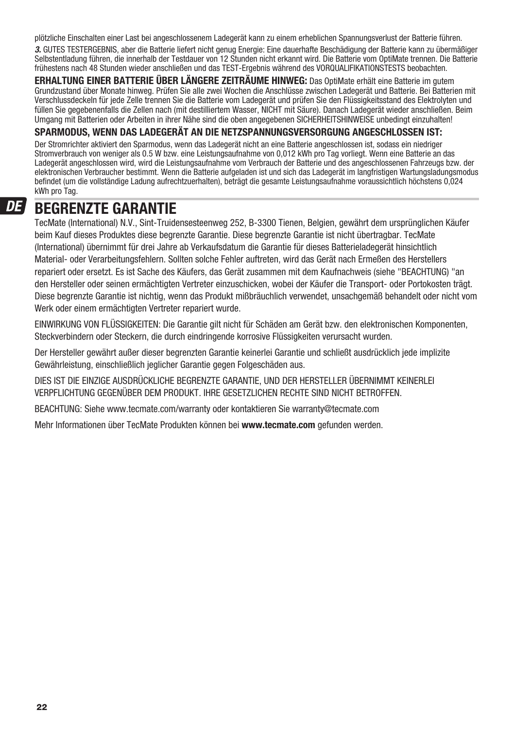plötzliche Einschalten einer Last bei angeschlossenem Ladegerät kann zu einem erheblichen Spannungsverlust der Batterie führen. 3. GUTES TESTERGEBNIS, aber die Batterie liefert nicht genug Energie: Eine dauerhafte Beschädigung der Batterie kann zu übermäßiger Selbstentladung führen, die innerhalb der Testdauer von 12 Stunden nicht erkannt wird. Die Batterie vom OptiMate trennen. Die Batterie frühestens nach 48 Stunden wieder anschließen und das TEST-Ergebnis während des VORQUALIFIKATIONSTESTS beobachten.

**ERHALTUNG EINER BATTERIE ÜBER LÄNGERE ZEITRÄUME HINWEG:** Das OptiMate erhält eine Batterie im gutem Grundzustand über Monate hinweg. Prüfen Sie alle zwei Wochen die Anschlüsse zwischen Ladegerät und Batterie. Bei Batterien mit Verschlussdeckeln für jede Zelle trennen Sie die Batterie vom Ladegerät und prüfen Sie den Flüssigkeitsstand des Elektrolyten und füllen Sie gegebenenfalls die Zellen nach (mit destilliertem Wasser, NICHT mit Säure). Danach Ladegerät wieder anschließen. Beim Umgang mit Batterien oder Arbeiten in ihrer Nähe sind die oben angegebenen SICHERHEITSHINWEISE unbedingt einzuhalten!

#### **SPARMODUS, WENN DAS LADEGERÄT AN DIE NETZSPANNUNGSVERSORGUNG ANGESCHLOSSEN IST:**

Der Stromrichter aktiviert den Sparmodus, wenn das Ladegerät nicht an eine Batterie angeschlossen ist, sodass ein niedriger Stromverbrauch von weniger als 0.5 W bzw. eine Leistungsaufnahme von 0,012 kWh pro Tag vorliegt. Wenn eine Batterie an das Ladegerät angeschlossen wird, wird die Leistungsaufnahme vom Verbrauch der Batterie und des angeschlossenen Fahrzeugs bzw. der elektronischen Verbraucher bestimmt. Wenn die Batterie aufgeladen ist und sich das Ladegerät im langfristigen Wartungsladungsmodus befindet (um die vollständige Ladung aufrechtzuerhalten), beträgt die gesamte Leistungsaufnahme voraussichtlich höchstens 0,024 kWh pro Tag.

#### DE

### **BEGRENZTE GARANTIE**

TecMate (International) N.V., Sint-Truidensesteenweg 252, B-3300 Tienen, Belgien, gewährt dem ursprünglichen Käufer beim Kauf dieses Produktes diese begrenzte Garantie. Diese begrenzte Garantie ist nicht übertragbar. TecMate (International) übernimmt für drei Jahre ab Verkaufsdatum die Garantie für dieses Batterieladegerät hinsichtlich Material- oder Verarbeitungsfehlern. Sollten solche Fehler auftreten, wird das Gerät nach Ermeßen des Herstellers repariert oder ersetzt. Es ist Sache des Käufers, das Gerät zusammen mit dem Kaufnachweis (siehe "BEACHTUNG) "an den Hersteller oder seinen ermächtigten Vertreter einzuschicken, wobei der Käufer die Transport- oder Portokosten trägt. Diese begrenzte Garantie ist nichtig, wenn das Produkt mißbräuchlich verwendet, unsachgemäß behandelt oder nicht vom Werk oder einem ermächtigten Vertreter repariert wurde.

EINWIRKUNG VON FLÜSSIGKEITEN: Die Garantie gilt nicht für Schäden am Gerät bzw. den elektronischen Komponenten, Steckverbindern oder Steckern, die durch eindringende korrosive Flüssigkeiten verursacht wurden.

Der Hersteller gewährt außer dieser begrenzten Garantie keinerlei Garantie und schließt ausdrücklich jede implizite Gewährleistung, einschließlich jeglicher Garantie gegen Folgeschäden aus.

DIES IST DIE EINZIGE AUSDRÜCKLICHE BEGRENZTE GARANTIE, UND DER HERSTELLER ÜBERNIMMT KEINERLEI VERPFLICHTUNG GEGENÜBER DEM PRODUKT. IHRE GESETZLICHEN RECHTE SIND NICHT BETROFFEN.

BEACHTUNG: Siehe www.tecmate.com/warranty oder kontaktieren Sie warranty@tecmate.com

Mehr Informationen über TecMate Produkten können bei **www.tecmate.com** gefunden werden.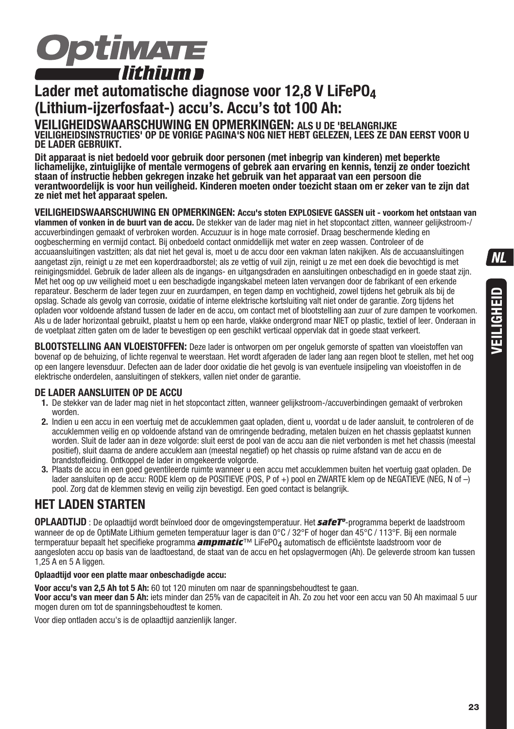

# **Lader met automatische diagnose voor 12,8 V LiFePO4 (Lithium-ijzerfosfaat-) accu's. Accu's tot 100 Ah:**

**VEILIGHEIDSWAARSCHUWING EN OPMERKINGEN: ALS U DE 'BELANGRIJKE VEILIGHEIDSINSTRUCTIES' OP DE VORIGE PAGINA'S NOG NIET HEBT GELEZEN, LEES ZE DAN EERST VOOR U DE LADER GEBRUIKT.** 

**Dit apparaat is niet bedoeld voor gebruik door personen (met inbegrip van kinderen) met beperkte lichamelijke, zintuiglijke of mentale vermogens of gebrek aan ervaring en kennis, tenzij ze onder toezicht staan of instructie hebben gekregen inzake het gebruik van het apparaat van een persoon die verantwoordelijk is voor hun veiligheid. Kinderen moeten onder toezicht staan om er zeker van te zijn dat ze niet met het apparaat spelen.**

#### **VEILIGHEIDSWAARSCHUWING EN OPMERKINGEN: Accu's stoten EXPLOSIEVE GASSEN uit - voorkom het ontstaan van**

**vlammen of vonken in de buurt van de accu.** De stekker van de lader mag niet in het stopcontact zitten, wanneer gelijkstroom-/ accuverbindingen gemaakt of verbroken worden. Accuzuur is in hoge mate corrosief. Draag beschermende kleding en oogbescherming en vermijd contact. Bij onbedoeld contact onmiddellijk met water en zeep wassen. Controleer of de accuaansluitingen vastzitten; als dat niet het geval is, moet u de accu door een vakman laten nakijken. Als de accuaansluitingen aangetast zijn, reinigt u ze met een koperdraadborstel; als ze vettig of vuil zijn, reinigt u ze met een doek die bevochtigd is met reinigingsmiddel. Gebruik de lader alleen als de ingangs- en uitgangsdraden en aansluitingen onbeschadigd en in goede staat zijn. Met het oog op uw veiligheid moet u een beschadigde ingangskabel meteen laten vervangen door de fabrikant of een erkende reparateur. Bescherm de lader tegen zuur en zuurdampen, en tegen damp en vochtigheid, zowel tijdens het gebruik als bij de opslag. Schade als gevolg van corrosie, oxidatie of interne elektrische kortsluiting valt niet onder de garantie. Zorg tijdens het opladen voor voldoende afstand tussen de lader en de accu, om contact met of blootstelling aan zuur of zure dampen te voorkomen. Als u de lader horizontaal gebruikt, plaatst u hem op een harde, vlakke ondergrond maar NIET op plastic, textiel of leer. Onderaan in de voetplaat zitten gaten om de lader te bevestigen op een geschikt verticaal oppervlak dat in goede staat verkeert.

**BLOOTSTELLING AAN VLOEISTOFFEN:** Deze lader is ontworpen om per ongeluk gemorste of spatten van vloeistoffen van bovenaf op de behuizing, of lichte regenval te weerstaan. Het wordt afgeraden de lader lang aan regen bloot te stellen, met het oog op een langere levensduur. Defecten aan de lader door oxidatie die het gevolg is van eventuele insijpeling van vloeistoffen in de elektrische onderdelen, aansluitingen of stekkers, vallen niet onder de garantie.

#### **DE LADER AANSLUITEN OP DE ACCU**

- **1.** De stekker van de lader mag niet in het stopcontact zitten, wanneer gelijkstroom-/accuverbindingen gemaakt of verbroken worden.
- **2.** Indien u een accu in een voertuig met de accuklemmen gaat opladen, dient u, voordat u de lader aansluit, te controleren of de accuklemmen veilig en op voldoende afstand van de omringende bedrading, metalen buizen en het chassis geplaatst kunnen worden. Sluit de lader aan in deze volgorde: sluit eerst de pool van de accu aan die niet verbonden is met het chassis (meestal positief), sluit daarna de andere accuklem aan (meestal negatief) op het chassis op ruime afstand van de accu en de brandstofleiding. Ontkoppel de lader in omgekeerde volgorde.
- **3.** Plaats de accu in een goed geventileerde ruimte wanneer u een accu met accuklemmen buiten het voertuig gaat opladen. De lader aansluiten op de accu: RODE klem op de POSITIEVE (POS, P of +) pool en ZWARTE klem op de NEGATIEVE (NEG, N of –) pool. Zorg dat de klemmen stevig en veilig zijn bevestigd. Een goed contact is belangrijk.

### **HET LADEN STARTEN**

**OPLAADTIJD** : De oplaadtijd wordt beïnvloed door de omgevingstemperatuur. Het *safeTº*-programma beperkt de laadstroom wanneer de op de OptiMate Lithium gemeten temperatuur lager is dan 0°C / 32°F of hoger dan 45°C / 113°F. Bij een normale termperatuur bepaalt het specifieke programma *ampmatic*™ LiFePO4 automatisch de efficiëntste laadstroom voor de aangesloten accu op basis van de laadtoestand, de staat van de accu en het opslagvermogen (Ah). De geleverde stroom kan tussen 1,25 A en 5 A liggen.

#### **Oplaadtijd voor een platte maar onbeschadigde accu:**

**Voor accu's van 2,5 Ah tot 5 Ah:** 60 tot 120 minuten om naar de spanningsbehoudtest te gaan.

**Voor accu's van meer dan 5 Ah:** iets minder dan 25% van de capaciteit in Ah. Zo zou het voor een accu van 50 Ah maximaal 5 uur mogen duren om tot de spanningsbehoudtest te komen.

Voor diep ontladen accu's is de oplaadtijd aanzienlijk langer.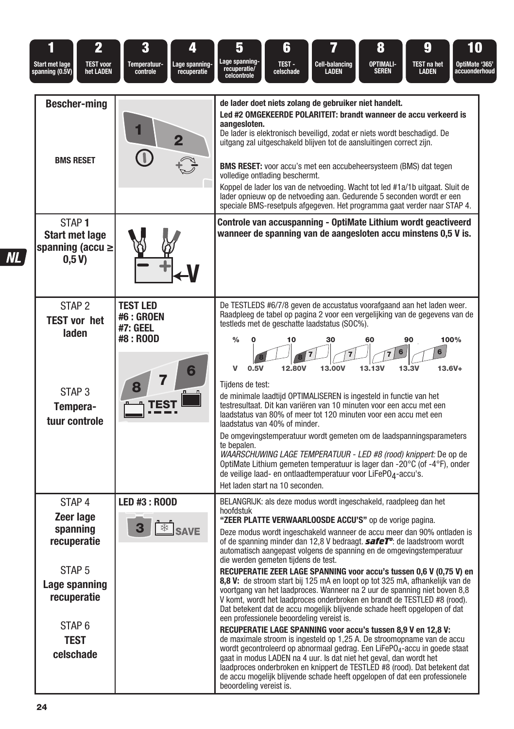| 2<br>il<br><b>Start met lage</b><br><b>TEST voor</b><br>spanning (0.5V)<br>het LADEN                                                                            | 3<br>4<br>Temperatuur-<br>Lage spanning-<br>controle<br>recuperatie | 6<br>8<br>9<br>5<br>10<br>Lage spanning<br>OPTIMALI-<br>OptiMate '365'<br>TEST-<br><b>Cell-balancing</b><br>TEST na het<br>recuperatie/<br>celcontrole<br>celschade<br>LADEN<br><b>SEREN</b><br>LADEN<br>accuonderhoud                                                                                                                                                                                                                                                                                                                                                                                                                                                                                                                                                                                                                                                                                                                                                                                                                                                                                                                                                                                                                                                                                                                                                    |
|-----------------------------------------------------------------------------------------------------------------------------------------------------------------|---------------------------------------------------------------------|---------------------------------------------------------------------------------------------------------------------------------------------------------------------------------------------------------------------------------------------------------------------------------------------------------------------------------------------------------------------------------------------------------------------------------------------------------------------------------------------------------------------------------------------------------------------------------------------------------------------------------------------------------------------------------------------------------------------------------------------------------------------------------------------------------------------------------------------------------------------------------------------------------------------------------------------------------------------------------------------------------------------------------------------------------------------------------------------------------------------------------------------------------------------------------------------------------------------------------------------------------------------------------------------------------------------------------------------------------------------------|
| <b>Bescher-ming</b><br><b>BMS RESET</b>                                                                                                                         | 2                                                                   | de lader doet niets zolang de gebruiker niet handelt.<br>Led #2 OMGEKEERDE POLARITEIT: brandt wanneer de accu verkeerd is<br>aangesloten.<br>De lader is elektronisch beveiligd, zodat er niets wordt beschadigd. De<br>uitgang zal uitgeschakeld blijven tot de aansluitingen correct zijn.<br><b>BMS RESET:</b> voor accu's met een accubeheersysteem (BMS) dat tegen<br>volledige ontlading beschermt.<br>Koppel de lader los van de netvoeding. Wacht tot led #1a/1b uitgaat. Sluit de<br>lader opnieuw op de netvoeding aan. Gedurende 5 seconden wordt er een<br>speciale BMS-resetpuls afgegeven. Het programma gaat verder naar STAP 4.                                                                                                                                                                                                                                                                                                                                                                                                                                                                                                                                                                                                                                                                                                                           |
| STAP <sub>1</sub><br><b>Start met lage</b><br>spanning (accu $\geq$<br>0,5V                                                                                     |                                                                     | Controle van accuspanning - OptiMate Lithium wordt geactiveerd<br>wanneer de spanning van de aangesloten accu minstens 0,5 V is.                                                                                                                                                                                                                                                                                                                                                                                                                                                                                                                                                                                                                                                                                                                                                                                                                                                                                                                                                                                                                                                                                                                                                                                                                                          |
| STAP <sub>2</sub><br><b>TEST vor het</b><br>laden<br>STAP <sub>3</sub><br>Tempera-<br>tuur controle                                                             | <b>TEST LED</b><br><b>#6 : GROEN</b><br>#7: GEEL<br>#8 : ROOD       | De TESTLEDS #6/7/8 geven de accustatus voorafgaand aan het laden weer.<br>Raadpleeg de tabel op pagina 2 voor een vergelijking van de gegevens van de<br>testleds met de geschatte laadstatus (SOC%).<br>100%<br>$\frac{0}{0}$<br>10<br>30<br>60<br>90<br>6<br>6<br>v<br>12.80V<br>$13.6V +$<br>0.5V<br>13.00V<br><b>13.13V</b><br>13.3V<br>Tiidens de test:<br>de minimale laadtijd OPTIMALISEREN is ingesteld in functie van het<br>testresultaat. Dit kan variëren van 10 minuten voor een accu met een<br>laadstatus van 80% of meer tot 120 minuten voor een accu met een<br>laadstatus van 40% of minder.<br>De omgevingstemperatuur wordt gemeten om de laadspanningsparameters<br>te bepalen.<br>WAARSCHUWING LAGE TEMPERATUUR - LED #8 (rood) knippert: De op de<br>OptiMate Lithium gemeten temperatuur is lager dan -20°C (of -4°F), onder<br>de veilige laad- en ontlaadtemperatuur voor LiFePO4-accu's.<br>Het laden start na 10 seconden.                                                                                                                                                                                                                                                                                                                                                                                                                   |
| STAP <sub>4</sub><br>Zeer lage<br>spanning<br>recuperatie<br>STAP <sub>5</sub><br>Lage spanning<br>recuperatie<br>STAP <sub>6</sub><br><b>TEST</b><br>celschade | <b>LED #3 : ROOD</b><br><sup><b> <b>\\$P</b> SAVE</b></sup>         | BELANGRIJK: als deze modus wordt ingeschakeld, raadpleeg dan het<br>hoofdstuk<br>"ZEER PLATTE VERWAARLOOSDE ACCU'S" op de vorige pagina.<br>Deze modus wordt ingeschakeld wanneer de accu meer dan 90% ontladen is<br>of de spanning minder dan 12,8 V bedraagt. <b>safeT</b> <sup>o</sup> : de laadstroom wordt<br>automatisch aangepast volgens de spanning en de omgevingstemperatuur<br>die werden gemeten tijdens de test.<br>RECUPERATIE ZEER LAGE SPANNING voor accu's tussen 0,6 V (0,75 V) en<br>8,8 V: de stroom start bij 125 mA en loopt op tot 325 mA, afhankelijk van de<br>voortgang van het laadproces. Wanneer na 2 uur de spanning niet boven 8,8<br>V komt, wordt het laadproces onderbroken en brandt de TESTLED #8 (rood).<br>Dat betekent dat de accu mogelijk blijvende schade heeft opgelopen of dat<br>een professionele beoordeling vereist is.<br>RECUPERATIE LAGE SPANNING voor accu's tussen 8,9 V en 12,8 V:<br>de maximale stroom is ingesteld op 1,25 A. De stroomopname van de accu<br>wordt gecontroleerd op abnormaal gedrag. Een LiFePO <sub>4</sub> -accu in goede staat<br>gaat in modus LADEN na 4 uur. Is dat niet het geval, dan wordt het<br>laadproces onderbroken en knippert de TESTLED #8 (rood). Dat betekent dat<br>de accu mogelijk blijvende schade heeft opgelopen of dat een professionele<br>beoordeling vereist is. |

 $\overline{ML}$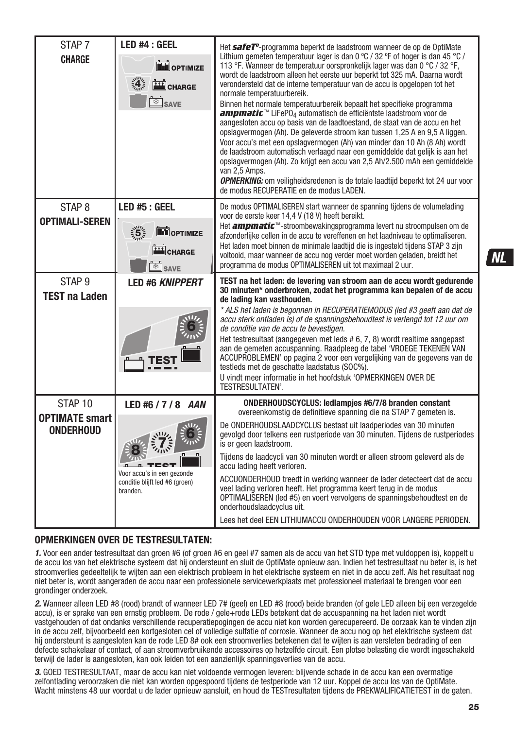| STAP <sub>7</sub><br><b>CHARGE</b>        | <b>LED #4 : GEEL</b><br><b>TH</b> OPTIMIZE<br>CHARGE<br><sup>⊗</sup> SAVE | Het safeT <sup>o</sup> -programma beperkt de laadstroom wanneer de op de OptiMate<br>Lithium gemeten temperatuur lager is dan 0 °C / 32 °F of hoger is dan 45 °C /<br>113 °F. Wanneer de temperatuur oorspronkelijk lager was dan 0 °C / 32 °F.<br>wordt de laadstroom alleen het eerste uur beperkt tot 325 mA. Daarna wordt<br>verondersteld dat de interne temperatuur van de accu is opgelopen tot het<br>normale temperatuurbereik.<br>Binnen het normale temperatuurbereik bepaalt het specifieke programma<br>ampmatic <sup>™</sup> LiFePO <sub>4</sub> automatisch de efficiëntste laadstroom voor de<br>aangesloten accu op basis van de laadtoestand, de staat van de accu en het<br>opslagvermogen (Ah). De geleverde stroom kan tussen 1,25 A en 9,5 A liggen.<br>Voor accu's met een opslagvermogen (Ah) van minder dan 10 Ah (8 Ah) wordt<br>de laadstroom automatisch verlaagd naar een gemiddelde dat gelijk is aan het<br>opslagvermogen (Ah). Zo krijgt een accu van 2,5 Ah/2.500 mAh een gemiddelde<br>van 2,5 Amps.<br><b>OPMERKING:</b> om veiligheidsredenen is de totale laadtijd beperkt tot 24 uur voor<br>de modus RECUPERATIE en de modus LADEN. |
|-------------------------------------------|---------------------------------------------------------------------------|-----------------------------------------------------------------------------------------------------------------------------------------------------------------------------------------------------------------------------------------------------------------------------------------------------------------------------------------------------------------------------------------------------------------------------------------------------------------------------------------------------------------------------------------------------------------------------------------------------------------------------------------------------------------------------------------------------------------------------------------------------------------------------------------------------------------------------------------------------------------------------------------------------------------------------------------------------------------------------------------------------------------------------------------------------------------------------------------------------------------------------------------------------------------------------|
| STAP <sub>8</sub>                         | LED #5 : GEEL                                                             | De modus OPTIMALISEREN start wanneer de spanning tijdens de volumelading                                                                                                                                                                                                                                                                                                                                                                                                                                                                                                                                                                                                                                                                                                                                                                                                                                                                                                                                                                                                                                                                                                    |
| <b>OPTIMALI-SEREN</b>                     | $\frac{1}{2}$<br><b>ED</b> OPTIMIZE                                       | voor de eerste keer 14,4 V (18 V) heeft bereikt.<br>Het <b>ampmatic</b> ™-stroombewakingsprogramma levert nu stroompulsen om de<br>afzonderlijke cellen in de accu te vereffenen en het laadniveau te optimaliseren.                                                                                                                                                                                                                                                                                                                                                                                                                                                                                                                                                                                                                                                                                                                                                                                                                                                                                                                                                        |
|                                           | CHARGE                                                                    | Het laden moet binnen de minimale laadtijd die is ingesteld tijdens STAP 3 zijn                                                                                                                                                                                                                                                                                                                                                                                                                                                                                                                                                                                                                                                                                                                                                                                                                                                                                                                                                                                                                                                                                             |
|                                           | <b>B</b> SAVE                                                             | voltooid, maar wanneer de accu nog verder moet worden geladen, breidt het<br>programma de modus OPTIMALISEREN uit tot maximaal 2 uur.                                                                                                                                                                                                                                                                                                                                                                                                                                                                                                                                                                                                                                                                                                                                                                                                                                                                                                                                                                                                                                       |
| STAP <sub>9</sub>                         | <b>LED #6 KNIPPERT</b>                                                    | TEST na het laden: de levering van stroom aan de accu wordt gedurende<br>30 minuten* onderbroken, zodat het programma kan bepalen of de accu                                                                                                                                                                                                                                                                                                                                                                                                                                                                                                                                                                                                                                                                                                                                                                                                                                                                                                                                                                                                                                |
| <b>TEST na Laden</b>                      |                                                                           | de lading kan vasthouden.                                                                                                                                                                                                                                                                                                                                                                                                                                                                                                                                                                                                                                                                                                                                                                                                                                                                                                                                                                                                                                                                                                                                                   |
|                                           |                                                                           | * ALS het laden is begonnen in RECUPERATIEMODUS (led #3 geeft aan dat de<br>accu sterk ontladen is) of de spanningsbehoudtest is verlengd tot 12 uur om<br>de conditie van de accu te bevestigen.<br>Het testresultaat (aangegeven met leds # 6, 7, 8) wordt realtime aangepast<br>aan de gemeten accuspanning. Raadpleeg de tabel 'VROEGE TEKENEN VAN<br>ACCUPROBLEMEN' op pagina 2 voor een vergelijking van de gegevens van de<br>testleds met de geschatte laadstatus (SOC%).<br>U vindt meer informatie in het hoofdstuk 'OPMERKINGEN OVER DE<br>TESTRESULTATEN'.                                                                                                                                                                                                                                                                                                                                                                                                                                                                                                                                                                                                      |
| STAP <sub>10</sub>                        | LED #6 / 7 / 8 AAN                                                        | <b>ONDERHOUDSCYCLUS: ledlampies #6/7/8 branden constant</b><br>overeenkomstig de definitieve spanning die na STAP 7 gemeten is.                                                                                                                                                                                                                                                                                                                                                                                                                                                                                                                                                                                                                                                                                                                                                                                                                                                                                                                                                                                                                                             |
| <b>OPTIMATE smart</b><br><b>ONDERHOUD</b> |                                                                           | De ONDERHOUDSLAADCYCLUS bestaat uit laadperiodes van 30 minuten<br>gevolgd door telkens een rustperiode van 30 minuten. Tijdens de rustperiodes<br>is er geen laadstroom.                                                                                                                                                                                                                                                                                                                                                                                                                                                                                                                                                                                                                                                                                                                                                                                                                                                                                                                                                                                                   |
|                                           |                                                                           | Tijdens de laadcycli van 30 minuten wordt er alleen stroom geleverd als de<br>accu lading heeft verloren.                                                                                                                                                                                                                                                                                                                                                                                                                                                                                                                                                                                                                                                                                                                                                                                                                                                                                                                                                                                                                                                                   |
|                                           | Voor accu's in een gezonde<br>conditie blijft led #6 (groen)<br>branden.  | ACCUONDERHOUD treedt in werking wanneer de lader detecteert dat de accu<br>veel lading verloren heeft. Het programma keert terug in de modus<br>OPTIMALISEREN (led #5) en voert vervolgens de spanningsbehoudtest en de<br>onderhoudslaadcyclus uit.                                                                                                                                                                                                                                                                                                                                                                                                                                                                                                                                                                                                                                                                                                                                                                                                                                                                                                                        |
|                                           |                                                                           | Lees het deel EEN LITHIUMACCU ONDERHOUDEN VOOR LANGERE PERIODEN.                                                                                                                                                                                                                                                                                                                                                                                                                                                                                                                                                                                                                                                                                                                                                                                                                                                                                                                                                                                                                                                                                                            |

#### **OPMERKINGEN OVER DE TESTRESULTATEN:**

1. Voor een ander testresultaat dan groen #6 (of groen #6 en geel #7 samen als de accu van het STD type met vuldoppen is), koppelt u de accu los van het elektrische systeem dat hij ondersteunt en sluit de OptiMate opnieuw aan. Indien het testresultaat nu beter is, is het stroomverlies gedeeltelijk te wijten aan een elektrisch probleem in het elektrische systeem en niet in de accu zelf. Als het resultaat nog niet beter is, wordt aangeraden de accu naar een professionele servicewerkplaats met professioneel materiaal te brengen voor een grondinger onderzoek.

2. Wanneer alleen LED #8 (rood) brandt of wanneer LED 7# (geel) en LED #8 (rood) beide branden (of gele LED alleen bij een verzegelde accu), is er sprake van een ernstig probleem. De rode / gele+rode LEDs betekent dat de accuspanning na het laden niet wordt vastgehouden of dat ondanks verschillende recuperatiepogingen de accu niet kon worden gerecupereerd. De oorzaak kan te vinden zijn in de accu zelf, bijvoorbeeld een kortgesloten cel of volledige sulfatie of corrosie. Wanneer de accu nog op het elektrische systeem dat hij ondersteunt is aangesloten kan de rode LED 8# ook een stroomverlies betekenen dat te wijten is aan versleten bedrading of een defecte schakelaar of contact, of aan stroomverbruikende accessoires op hetzelfde circuit. Een plotse belasting die wordt ingeschakeld terwijl de lader is aangesloten, kan ook leiden tot een aanzienlijk spanningsverlies van de accu.

3. GOED TESTRESULTAAT, maar de accu kan niet voldoende vermogen leveren: blijvende schade in de accu kan een overmatige zelfontlading veroorzaken die niet kan worden opgespoord tijdens de testperiode van 12 uur. Koppel de accu los van de OptiMate. Wacht minstens 48 uur voordat u de lader opnieuw aansluit, en houd de TESTresultaten tijdens de PREKWALIFICATIETEST in de gaten. NІ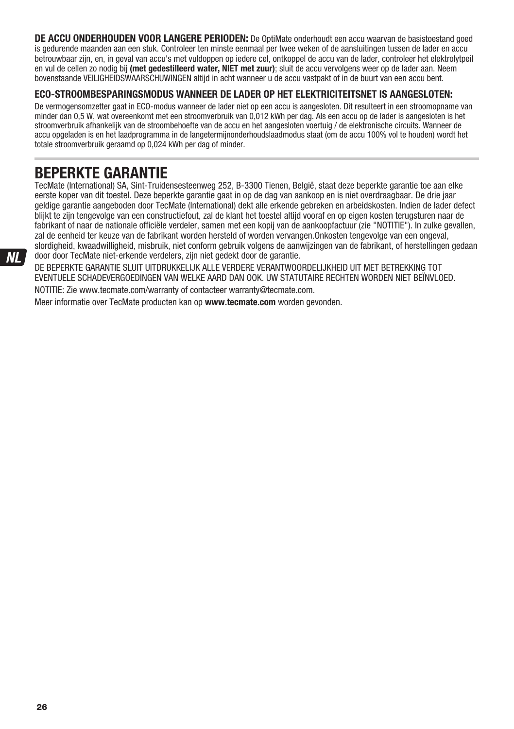**DE ACCU ONDERHOUDEN VOOR LANGERE PERIODEN:** De OptiMate onderhoudt een accu waarvan de basistoestand goed is gedurende maanden aan een stuk. Controleer ten minste eenmaal per twee weken of de aansluitingen tussen de lader en accu betrouwbaar zijn, en, in geval van accu's met vuldoppen op iedere cel, ontkoppel de accu van de lader, controleer het elektrolytpeil en vul de cellen zo nodig bij **(met gedestilleerd water, NIET met zuur)**; sluit de accu vervolgens weer op de lader aan. Neem bovenstaande VEILIGHEIDSWAARSCHUWINGEN altijd in acht wanneer u de accu vastpakt of in de buurt van een accu bent.

#### **ECO-STROOMBESPARINGSMODUS WANNEER DE LADER OP HET ELEKTRICITEITSNET IS AANGESLOTEN:**

De vermogensomzetter gaat in ECO-modus wanneer de lader niet op een accu is aangesloten. Dit resulteert in een stroomopname van minder dan 0,5 W, wat overeenkomt met een stroomverbruik van 0,012 kWh per dag. Als een accu op de lader is aangesloten is het stroomverbruik afhankelijk van de stroombehoefte van de accu en het aangesloten voertuig / de elektronische circuits. Wanneer de accu opgeladen is en het laadprogramma in de langetermijnonderhoudslaadmodus staat (om de accu 100% vol te houden) wordt het totale stroomverbruik geraamd op 0,024 kWh per dag of minder.

# **BEPERKTE GARANTIE**

TecMate (International) SA, Sint-Truidensesteenweg 252, B-3300 Tienen, België, staat deze beperkte garantie toe aan elke eerste koper van dit toestel. Deze beperkte garantie gaat in op de dag van aankoop en is niet overdraagbaar. De drie jaar geldige garantie aangeboden door TecMate (International) dekt alle erkende gebreken en arbeidskosten. Indien de lader defect blijkt te zijn tengevolge van een constructiefout, zal de klant het toestel altijd vooraf en op eigen kosten terugsturen naar de fabrikant of naar de nationale officiële verdeler, samen met een kopij van de aankoopfactuur (zie "NOTITIE"). In zulke gevallen, zal de eenheid ter keuze van de fabrikant worden hersteld of worden vervangen.Onkosten tengevolge van een ongeval, slordigheid, kwaadwilligheid, misbruik, niet conform gebruik volgens de aanwijzingen van de fabrikant, of herstellingen gedaan door door TecMate niet-erkende verdelers, zijn niet gedekt door de garantie.

DE BEPERKTE GARANTIE SLUIT UITDRUKKELIJK ALLE VERDERE VERANTWOORDELIJKHEID UIT MET BETREKKING TOT EVENTUELE SCHADEVERGOEDINGEN VAN WELKE AARD DAN OOK. UW STATUTAIRE RECHTEN WORDEN NIET BEÏNVLOED. NOTITIE: Zie www.tecmate.com/warranty of contacteer warranty@tecmate.com.

Meer informatie over TecMate producten kan op **www.tecmate.com** worden gevonden.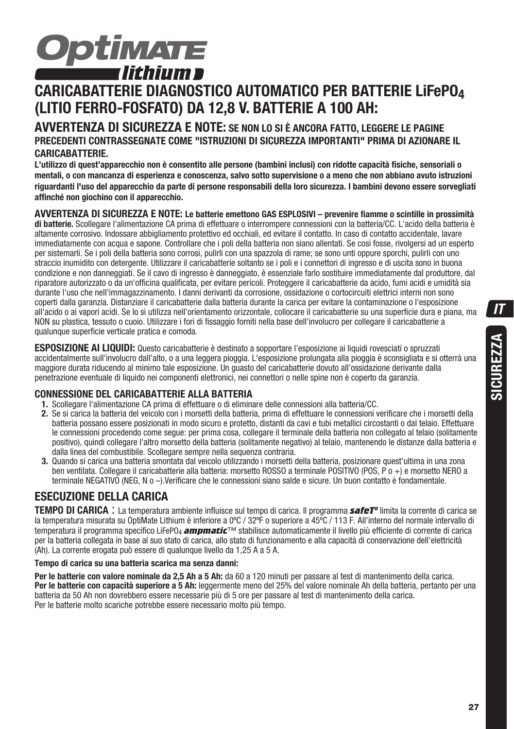

# **CARICABATTERIE DIAGNOSTICO AUTOMATICO PER BATTERIE LiFePO4 (LITIO FERRO-FOSFATO) DA 12,8 V. BATTERIE A 100 AH:**

#### **AVVERTENZA DI SICUREZZA E NOTE: SE NON LO SI È ANCORA FATTO, LEGGERE LE PAGINE PRECEDENTI CONTRASSEGNATE COME "ISTRUZIONI DI SICUREZZA IMPORTANTI" PRIMA DI AZIONARE IL CARICABATTERIE.**

**L'utilizzo di quest'apparecchio non è consentito alle persone (bambini inclusi) con ridotte capacità fisiche, sensoriali o mentali, o con mancanza di esperienza e conoscenza, salvo sotto supervisione o a meno che non abbiano avuto istruzioni riguardanti l'uso del apparecchio da parte di persone responsabili della loro sicurezza. I bambini devono essere sorvegliati affinché non giochino con il apparecchio.** 

**AVVERTENZA DI SICUREZZA E NOTE: Le batterie emettono GAS ESPLOSIVI – prevenire fiamme o scintille in prossimità di batterie.** Scollegare l'alimentazione CA prima di effettuare o interrompere connessioni con la batteria/CC. L'acido della batteria è altamente corrosivo. Indossare abbigliamento protettivo ed occhiali, ed evitare il contatto. In caso di contatto accidentale, lavare immediatamente con acqua e sapone. Controllare che i poli della batteria non siano allentati. Se così fosse, rivolgersi ad un esperto per sistemarli. Se i poli della batteria sono corrosi, pulirli con una spazzola di rame; se sono unti oppure sporchi, pulirli con uno straccio inumidito con detergente. Utilizzare il caricabatterie soltanto se i poli e i connettori di ingresso e di uscita sono in buona condizione e non danneggiati. Se il cavo di ingresso è danneggiato, è essenziale farlo sostituire immediatamente dal produttore, dal riparatore autorizzato o da un'officina qualificata, per evitare pericoli. Proteggere il caricabatterie da acido, fumi acidi e umidità sia durante l'uso che nell'immagazzinamento. I danni derivanti da corrosione, ossidazione o cortocircuiti elettrici interni non sono coperti dalla garanzia. Distanziare il caricabatterie dalla batteria durante la carica per evitare la contaminazione o l'esposizione all'acido o ai vapori acidi. Se lo si utilizza nell'orientamento orizzontale, collocare il caricabatterie su una superficie dura e piana, ma NON su plastica, tessuto o cuoio. Utilizzare i fori di fissaggio forniti nella base dell'involucro per collegare il caricabatterie a qualunque superficie verticale pratica e comoda.

**ESPOSIZIONE AI LIQUIDI:** Questo caricabatterie è destinato a sopportare l'esposizione ai liquidi rovesciati o spruzzati accidentalmente sull'involucro dall'alto, o a una leggera pioggia. L'esposizione prolungata alla pioggia è sconsigliata e si otterrà una maggiore durata riducendo al minimo tale esposizione. Un guasto del caricabatterie dovuto all'ossidazione derivante dalla penetrazione eventuale di liquido nei componenti elettronici, nei connettori o nelle spine non è coperto da garanzia.

#### **CONNESSIONE DEL CARICABATTERIE ALLA BATTERIA**

- **1.** Scollegare l'alimentazione CA prima di effettuare o di eliminare delle connessioni alla batteria/CC.
- **2.** Se si carica la batteria del veicolo con i morsetti della batteria, prima di effettuare le connessioni verificare che i morsetti della batteria possano essere posizionati in modo sicuro e protetto, distanti da cavi e tubi metallici circostanti o dal telaio. Effettuare le connessioni procedendo come segue: per prima cosa, collegare il terminale della batteria non collegato al telaio (solitamente positivo), quindi collegare l'altro morsetto della batteria (solitamente negativo) al telaio, mantenendo le distanze dalla batteria e dalla linea del combustibile. Scollegare sempre nella sequenza contraria.
- **3.** Quando si carica una batteria smontata dal veicolo utilizzando i morsetti della batteria, posizionare quest'ultima in una zona ben ventilata. Collegare il caricabatterie alla batteria: morsetto ROSSO a terminale POSITIVO (POS, P o +) e morsetto NERO a terminale NEGATIVO (NEG, N o –).Verificare che le connessioni siano salde e sicure. Un buon contatto è fondamentale.

### **ESECUZIONE DELLA CARICA**

**TEMPO DI CARICA** : La temperatura ambiente influisce sul tempo di carica. Il programma *safeTº* limita la corrente di carica se la temperatura misurata su OptiMate Lithium è inferiore a 0ºC / 32ºF o superiore a 45ºC / 113 F. All'interno del normale intervallo di temperatura il programma specifico LiFePO4 *ampmatic*™ stabilisce automaticamente il livello più efficiente di corrente di carica per la batteria collegata in base al suo stato di carica, allo stato di funzionamento e alla capacità di conservazione dell'elettricità (Ah). La corrente erogata può essere di qualunque livello da 1,25 A a 5 A.

#### **Tempo di carica su una batteria scarica ma senza danni:**

**Per le batterie con valore nominale da 2,5 Ah a 5 Ah:** da 60 a 120 minuti per passare al test di mantenimento della carica. **Per le batterie con capacità superiore a 5 Ah:** leggermente meno del 25% del valore nominale Ah della batteria, pertanto per una batteria da 50 Ah non dovrebbero essere necessarie più di 5 ore per passare al test di mantenimento della carica. Per le batterie molto scariche potrebbe essere necessario molto più tempo.

 $\boldsymbol{\mathsf{T}}$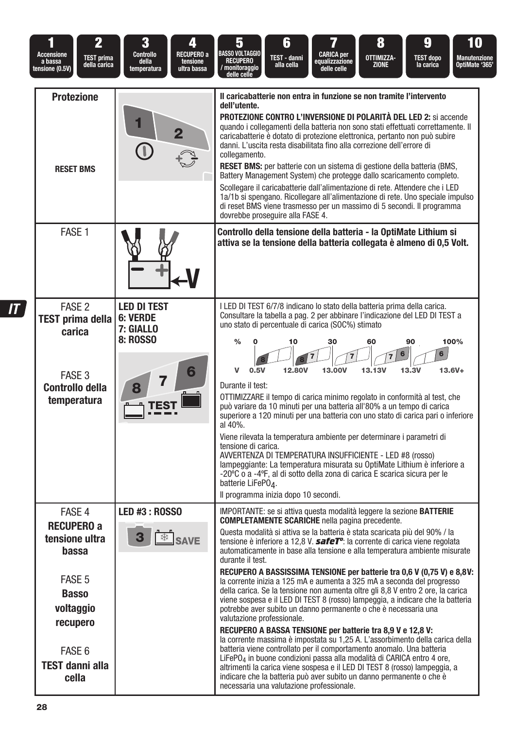| $\overline{\mathbf{2}}$<br><b>Accensione</b><br><b>TEST prima</b><br>a bassa<br>della carica<br>tensione (0.5V)                                        | 3<br>4<br>RECUPERO a<br>Controllo<br>della<br>tensione<br>temperatura<br>ultra bassa | 8<br>6<br>ŋ<br>Ю<br>5<br><b>BASSO VOLTAGGIO</b><br><b>CARICA</b> per<br>OTTIMIZZA-<br>TEST - danni<br><b>TEST dopo</b><br><b>Manutenzione</b><br><b>RECUPERO</b><br>equalizzazione<br>OptiMate '365'<br><b>ZIONE</b><br>alla cella<br>la carica<br>/ monitoraggio<br>delle celle<br>delle celle                                                                                                                                                                                                                                                                                                                                                                                                                                                                                                                                                                                                                                                                                                                                                                                                                                                                                                                                                                                                                                                                    |
|--------------------------------------------------------------------------------------------------------------------------------------------------------|--------------------------------------------------------------------------------------|--------------------------------------------------------------------------------------------------------------------------------------------------------------------------------------------------------------------------------------------------------------------------------------------------------------------------------------------------------------------------------------------------------------------------------------------------------------------------------------------------------------------------------------------------------------------------------------------------------------------------------------------------------------------------------------------------------------------------------------------------------------------------------------------------------------------------------------------------------------------------------------------------------------------------------------------------------------------------------------------------------------------------------------------------------------------------------------------------------------------------------------------------------------------------------------------------------------------------------------------------------------------------------------------------------------------------------------------------------------------|
| <b>Protezione</b><br><b>RESET BMS</b>                                                                                                                  |                                                                                      | Il caricabatterie non entra in funzione se non tramite l'intervento<br>dell'utente.<br><b>PROTEZIONE CONTRO L'INVERSIONE DI POLARITÀ DEL LED 2:</b> si accende<br>quando i collegamenti della batteria non sono stati effettuati correttamente. Il<br>caricabatterie è dotato di protezione elettronica, pertanto non può subire<br>danni. L'uscita resta disabilitata fino alla correzione dell'errore di<br>collegamento.<br>RESET BMS: per batterie con un sistema di gestione della batteria (BMS,<br>Battery Management System) che protegge dallo scaricamento completo.<br>Scollegare il caricabatterie dall'alimentazione di rete. Attendere che i LED<br>1a/1b si spengano. Ricollegare all'alimentazione di rete. Uno speciale impulso<br>di reset BMS viene trasmesso per un massimo di 5 secondi. Il programma<br>dovrebbe proseguire alla FASE 4.                                                                                                                                                                                                                                                                                                                                                                                                                                                                                                     |
| FASE 1                                                                                                                                                 |                                                                                      | Controllo della tensione della batteria - la OptiMate Lithium si<br>attiva se la tensione della batteria collegata è almeno di 0,5 Volt.                                                                                                                                                                                                                                                                                                                                                                                                                                                                                                                                                                                                                                                                                                                                                                                                                                                                                                                                                                                                                                                                                                                                                                                                                           |
| FASE <sub>2</sub><br><b>TEST prima della</b><br>carica<br>FASE 3<br><b>Controllo della</b><br>temperatura                                              | <b>LED DI TEST</b><br><b>6: VERDE</b><br>7: GIALLO<br><b>8: ROSSO</b>                | I LED DI TEST 6/7/8 indicano lo stato della batteria prima della carica.<br>Consultare la tabella a paq. 2 per abbinare l'indicazione del LED DI TEST a<br>uno stato di percentuale di carica (SOC%) stimato<br>30<br>90<br>100%<br>$\frac{0}{0}$<br>10<br>60<br>6<br>6<br>12,80V<br>13,00V<br>13.3V<br>v<br>0.5V<br>13.13V<br>$13.6V +$<br>Durante il test:<br>OTTIMIZZARE il tempo di carica minimo regolato in conformità al test, che<br>può variare da 10 minuti per una batteria all'80% a un tempo di carica<br>superiore a 120 minuti per una batteria con uno stato di carica pari o inferiore<br>al 40%.<br>Viene rilevata la temperatura ambiente per determinare i parametri di<br>tensione di carica.<br>AVVERTENZA DI TEMPERATURA INSUFFICIENTE - LED #8 (rosso)<br>lampeggiante: La temperatura misurata su OptiMate Lithium è inferiore a<br>-20°C o a -4°F, al di sotto della zona di carica E scarica sicura per le<br>batterie LiFePO <sub>4</sub> .<br>Il programma inizia dopo 10 secondi.                                                                                                                                                                                                                                                                                                                                                    |
| FASE 4<br><b>RECUPERO a</b><br>tensione ultra<br>bassa<br>FASE 5<br><b>Basso</b><br>voltaggio<br>recupero<br>FASE 6<br><b>TEST danni alla</b><br>cella | <b>LED #3: ROSSO</b><br><b><u> <b>≸</b></u></b> SAVE                                 | IMPORTANTE: se si attiva questa modalità leggere la sezione <b>BATTERIE</b><br><b>COMPLETAMENTE SCARICHE</b> nella pagina precedente.<br>Questa modalità si attiva se la batteria è stata scaricata più del 90% / la<br>tensione è inferiore a 12,8 V. <b>safeT<sup>o</sup></b> : la corrente di carica viene regolata<br>automaticamente in base alla tensione e alla temperatura ambiente misurate<br>durante il test.<br>RECUPERO A BASSISSIMA TENSIONE per batterie tra 0,6 V (0,75 V) e 8,8V:<br>la corrente inizia a 125 mA e aumenta a 325 mA a seconda del progresso<br>della carica. Se la tensione non aumenta oltre gli 8,8 V entro 2 ore, la carica<br>viene sospesa e il LED DI TEST 8 (rosso) lampeggia, a indicare che la batteria<br>potrebbe aver subito un danno permanente o che è necessaria una<br>valutazione professionale.<br>RECUPERO A BASSA TENSIONE per batterie tra 8,9 V e 12,8 V:<br>la corrente massima è impostata su 1,25 A. L'assorbimento della carica della<br>batteria viene controllato per il comportamento anomalo. Una batteria<br>LiFePO <sub>4</sub> in buone condizioni passa alla modalità di CARICA entro 4 ore,<br>altrimenti la carica viene sospesa e il LED DI TEST 8 (rosso) lampeggia, a<br>indicare che la batteria può aver subito un danno permanente o che è<br>necessaria una valutazione professionale. |

 $\overline{I}$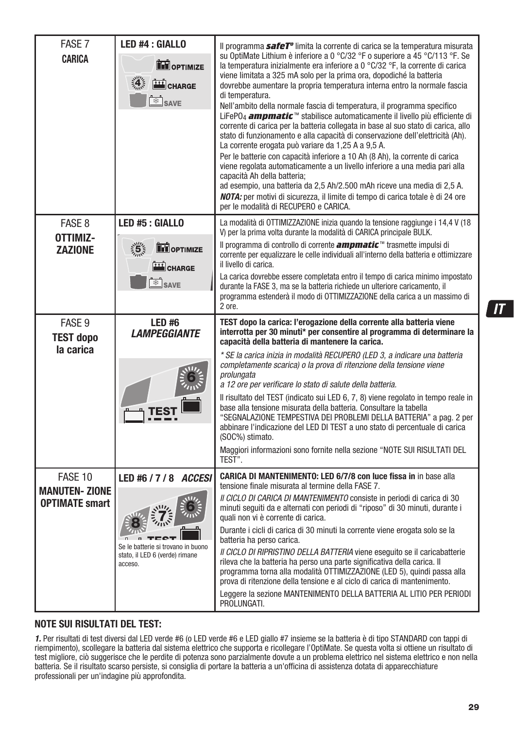| FASE 7<br><b>CARICA</b>                                  | LED #4 : GIALLO<br><b>TH</b> OPTIMIZE<br>4.5<br>CHARGE<br>SAVE                                                  | Il programma safeT <sup>o</sup> limita la corrente di carica se la temperatura misurata<br>su OptiMate Lithium è inferiore a 0 °C/32 °F o superiore a 45 °C/113 °F. Se<br>la temperatura inizialmente era inferiore a 0 °C/32 °F, la corrente di carica<br>viene limitata a 325 mA solo per la prima ora, dopodiché la batteria<br>dovrebbe aumentare la propria temperatura interna entro la normale fascia<br>di temperatura.<br>Nell'ambito della normale fascia di temperatura, il programma specifico<br>LiFePO <sub>4</sub> ampmatic <sup>™</sup> stabilisce automaticamente il livello più efficiente di<br>corrente di carica per la batteria collegata in base al suo stato di carica, allo<br>stato di funzionamento e alla capacità di conservazione dell'elettricità (Ah).<br>La corrente erogata può variare da 1,25 A a 9,5 A.<br>Per le batterie con capacità inferiore a 10 Ah (8 Ah), la corrente di carica<br>viene regolata automaticamente a un livello inferiore a una media pari alla<br>capacità Ah della batteria;<br>ad esempio, una batteria da 2,5 Ah/2.500 mAh riceve una media di 2,5 A.<br>NOTA: per motivi di sicurezza, il limite di tempo di carica totale è di 24 ore<br>per le modalità di RECUPERO e CARICA. |
|----------------------------------------------------------|-----------------------------------------------------------------------------------------------------------------|--------------------------------------------------------------------------------------------------------------------------------------------------------------------------------------------------------------------------------------------------------------------------------------------------------------------------------------------------------------------------------------------------------------------------------------------------------------------------------------------------------------------------------------------------------------------------------------------------------------------------------------------------------------------------------------------------------------------------------------------------------------------------------------------------------------------------------------------------------------------------------------------------------------------------------------------------------------------------------------------------------------------------------------------------------------------------------------------------------------------------------------------------------------------------------------------------------------------------------------------------|
| FASE 8<br>OTTIMIZ-<br><b>ZAZIONE</b>                     | LED #5 : GIALLO<br>$\frac{1}{2}$<br><b>THE OPTIMIZE</b><br>CHARGE<br>$\overline{\text{S}}$ SAVE                 | La modalità di OTTIMIZZAZIONE inizia quando la tensione raggiunge i 14,4 V (18<br>V) per la prima volta durante la modalità di CARICA principale BULK.<br>Il programma di controllo di corrente <i>ampmatic</i> <sup>™</sup> trasmette impulsi di<br>corrente per equalizzare le celle individuali all'interno della batteria e ottimizzare<br>il livello di carica.<br>La carica dovrebbe essere completata entro il tempo di carica minimo impostato<br>durante la FASE 3, ma se la batteria richiede un ulteriore caricamento, il<br>programma estenderà il modo di OTTIMIZZAZIONE della carica a un massimo di<br>2 ore.                                                                                                                                                                                                                                                                                                                                                                                                                                                                                                                                                                                                                     |
| FASE 9<br><b>TEST dopo</b><br>la carica                  | LED #6<br><b>LAMPEGGIANTE</b>                                                                                   | TEST dopo la carica: l'erogazione della corrente alla batteria viene<br>interrotta per 30 minuti* per consentire al programma di determinare la<br>capacità della batteria di mantenere la carica.<br>* SE la carica inizia in modalità RECUPERO (LED 3, a indicare una batteria<br>completamente scarica) o la prova di ritenzione della tensione viene<br>prolungata<br>a 12 ore per verificare lo stato di salute della batteria.<br>Il risultato del TEST (indicato sui LED 6, 7, 8) viene regolato in tempo reale in<br>base alla tensione misurata della batteria. Consultare la tabella<br>"SEGNALAZIONE TEMPESTIVA DEI PROBLEMI DELLA BATTERIA" a pag. 2 per<br>abbinare l'indicazione del LED DI TEST a uno stato di percentuale di carica<br>(SOC%) stimato.<br>Maggiori informazioni sono fornite nella sezione "NOTE SUI RISULTATI DEL<br>TEST".                                                                                                                                                                                                                                                                                                                                                                                     |
| FASE 10<br><b>MANUTEN-ZIONE</b><br><b>OPTIMATE smart</b> | LED #6 / 7 / 8 <i>ACCESI</i><br>Se le batterie si trovano in buono<br>stato, il LED 6 (verde) rimane<br>acceso. | <b>CARICA DI MANTENIMENTO: LED 6/7/8 con luce fissa in in base alla</b><br>tensione finale misurata al termine della FASE 7.<br>Il CICLO DI CARICA DI MANTENIMENTO consiste in periodi di carica di 30<br>minuti seguiti da e alternati con periodi di "riposo" di 30 minuti, durante i<br>quali non vi è corrente di carica.<br>Durante i cicli di carica di 30 minuti la corrente viene erogata solo se la<br>batteria ha perso carica.<br>Il CICLO DI RIPRISTINO DELLA BATTERIA viene eseguito se il caricabatterie<br>rileva che la batteria ha perso una parte significativa della carica. Il<br>programma torna alla modalità OTTIMIZZAZIONE (LED 5), quindi passa alla<br>prova di ritenzione della tensione e al ciclo di carica di mantenimento.<br>Leggere la sezione MANTENIMENTO DELLA BATTERIA AL LITIO PER PERIODI<br>PROLUNGATI.                                                                                                                                                                                                                                                                                                                                                                                                  |

#### **NOTE SUI RISULTATI DEL TEST:**

1. Per risultati di test diversi dal LED verde #6 (o LED verde #6 e LED giallo #7 insieme se la batteria è di tipo STANDARD con tappi di riempimento), scollegare la batteria dal sistema elettrico che supporta e ricollegare l'OptiMate. Se questa volta si ottiene un risultato di test migliore, ciò suggerisce che le perdite di potenza sono parzialmente dovute a un problema elettrico nel sistema elettrico e non nella batteria. Se il risultato scarso persiste, si consiglia di portare la batteria a un'officina di assistenza dotata di apparecchiature professionali per un'indagine più approfondita.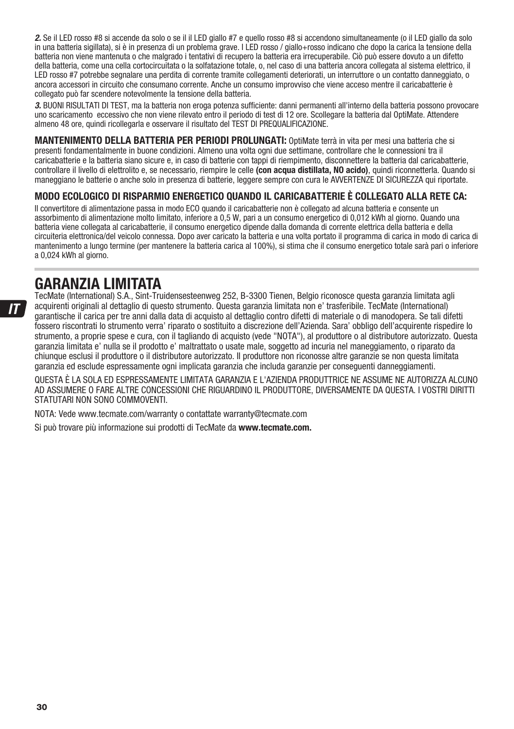2. Se il LED rosso #8 si accende da solo o se il il LED giallo #7 e quello rosso #8 si accendono simultaneamente (o il LED giallo da solo in una batteria sigillata), si è in presenza di un problema grave. I LED rosso / giallo+rosso indicano che dopo la carica la tensione della batteria non viene mantenuta o che malgrado i tentativi di recupero la batteria era irrecuperabile. Ciò può essere dovuto a un difetto della batteria, come una cella cortocircuitata o la solfatazione totale, o, nel caso di una batteria ancora collegata al sistema elettrico, il LED rosso #7 potrebbe segnalare una perdita di corrente tramite collegamenti deteriorati, un interruttore o un contatto danneggiato, o ancora accessori in circuito che consumano corrente. Anche un consumo improvviso che viene acceso mentre il caricabatterie è collegato può far scendere notevolmente la tensione della batteria.

3. BUONI RISULTATI DI TEST, ma la batteria non eroga potenza sufficiente: danni permanenti all'interno della batteria possono provocare uno scaricamento eccessivo che non viene rilevato entro il periodo di test di 12 ore. Scollegare la batteria dal OptiMate. Attendere almeno 48 ore, quindi ricollegarla e osservare il risultato del TEST DI PREQUALIFICAZIONE.

**MANTENIMENTO DELLA BATTERIA PER PERIODI PROLUNGATI:** OptiMate terrà in vita per mesi una batteria che si presenti fondamentalmente in buone condizioni. Almeno una volta ogni due settimane, controllare che le connessioni tra il caricabatterie e la batteria siano sicure e, in caso di batterie con tappi di riempimento, disconnettere la batteria dal caricabatterie, controllare il livello di elettrolito e, se necessario, riempire le celle **(con acqua distillata, NO acido)**, quindi riconnetterla. Quando si maneggiano le batterie o anche solo in presenza di batterie, leggere sempre con cura le AVVERTENZE DI SICUREZZA qui riportate.

#### **MODO ECOLOGICO DI RISPARMIO ENERGETICO QUANDO IL CARICABATTERIE È COLLEGATO ALLA RETE CA:**

Il convertitore di alimentazione passa in modo ECO quando il caricabatterie non è collegato ad alcuna batteria e consente un assorbimento di alimentazione molto limitato, inferiore a 0,5 W, pari a un consumo energetico di 0,012 kWh al giorno. Quando una batteria viene collegata al caricabatterie, il consumo energetico dipende dalla domanda di corrente elettrica della batteria e della circuiteria elettronica/del veicolo connessa. Dopo aver caricato la batteria e una volta portato il programma di carica in modo di carica di mantenimento a lungo termine (per mantenere la batteria carica al 100%), si stima che il consumo energetico totale sarà pari o inferiore a 0,024 kWh al giorno.

### **GARANZIA LIMITATA**

TecMate (International) S.A., Sint-Truidensesteenweg 252, B-3300 Tienen, Belgio riconosce questa garanzia limitata agli acquirenti originali al dettaglio di questo strumento. Questa garanzia limitata non e' trasferibile. TecMate (International) garantische il carica per tre anni dalla data di acquisto al dettaglio contro difetti di materiale o di manodopera. Se tali difetti fossero riscontrati lo strumento verra' riparato o sostituito a discrezione dell'Azienda. Sara' obbligo dell'acquirente rispedire lo strumento, a proprie spese e cura, con il tagliando di acquisto (vede "NOTA"), al produttore o al distributore autorizzato. Questa garanzia limitata e' nulla se il prodotto e' maltrattato o usate male, soggetto ad incuria nel maneggiamento, o riparato da chiunque esclusi il produttore o il distributore autorizzato. Il produttore non riconosse altre garanzie se non questa limitata garanzia ed esclude espressamente ogni implicata garanzia che includa garanzie per conseguenti danneggiamenti.

QUESTA È LA SOLA ED ESPRESSAMENTE LIMITATA GARANZIA E L'AZIENDA PRODUTTRICE NE ASSUME NE AUTORIZZA ALCUNO AD ASSUMERE O FARE ALTRE CONCESSIONI CHE RIGUARDINO IL PRODUTTORE, DIVERSAMENTE DA QUESTA. I VOSTRI DIRITTI STATUTARI NON SONO COMMOVENTI.

NOTA: Vede www.tecmate.com/warranty o contattate warranty@tecmate.com

Si può trovare più informazione sui prodotti di TecMate da **www.tecmate.com.**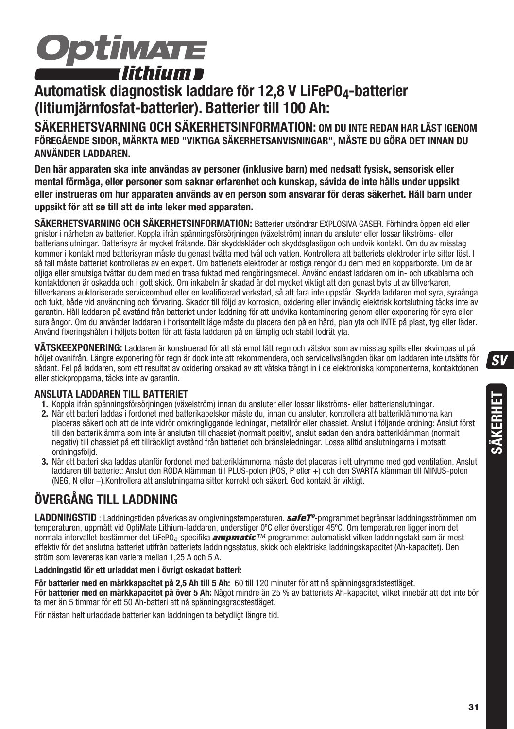

# **Automatisk diagnostisk laddare för 12,8 V LiFePO4-batterier (litiumjärnfosfat-batterier). Batterier till 100 Ah:**

**SÄKERHETSVARNING OCH SÄKERHETSINFORMATION: OM DU INTE REDAN HAR LÄST IGENOM FÖREGÅENDE SIDOR, MÄRKTA MED "VIKTIGA SÄKERHETSANVISNINGAR", MÅSTE DU GÖRA DET INNAN DU ANVÄNDER LADDAREN.**

**Den här apparaten ska inte användas av personer (inklusive barn) med nedsatt fysisk, sensorisk eller mental förmåga, eller personer som saknar erfarenhet och kunskap, såvida de inte hålls under uppsikt eller instrueras om hur apparaten används av en person som ansvarar för deras säkerhet. Håll barn under uppsikt för att se till att de inte leker med apparaten.** 

**SÄKERHETSVARNING OCH SÄKERHETSINFORMATION:** Batterier utsöndrar EXPLOSIVA GASER. Förhindra öppen eld eller gnistor i närheten av batterier. Koppla ifrån spänningsförsörjningen (växelström) innan du ansluter eller lossar likströms- eller batterianslutningar. Batterisyra är mycket frätande. Bär skyddskläder och skyddsglasögon och undvik kontakt. Om du av misstag kommer i kontakt med batterisyran måste du genast tvätta med tvål och vatten. Kontrollera att batteriets elektroder inte sitter löst. I så fall måste batteriet kontrolleras av en expert. Om batteriets elektroder är rostiga rengör du dem med en kopparborste. Om de är oljiga eller smutsiga tvättar du dem med en trasa fuktad med rengöringsmedel. Använd endast laddaren om in- och utkablarna och kontaktdonen är oskadda och i gott skick. Om inkabeln är skadad är det mycket viktigt att den genast byts ut av tillverkaren, tillverkarens auktoriserade serviceombud eller en kvalificerad verkstad, så att fara inte uppstår. Skydda laddaren mot syra, syraånga och fukt, både vid användning och förvaring. Skador till följd av korrosion, oxidering eller invändig elektrisk kortslutning täcks inte av garantin. Håll laddaren på avstånd från batteriet under laddning för att undvika kontaminering genom eller exponering för syra eller sura ångor. Om du använder laddaren i horisontellt läge måste du placera den på en hård, plan yta och INTE på plast, tyg eller läder. Använd fixeringshålen i höljets botten för att fästa laddaren på en lämplig och stabil lodrät yta.

**VÄTSKEEXPONERING:** Laddaren är konstruerad för att stå emot lätt regn och vätskor som av misstag spills eller skvimpas ut på höljet ovanifrån. Längre exponering för regn är dock inte att rekommendera, och servicelivslängden ökar om laddaren inte utsätts för sådant. Fel på laddaren, som ett resultat av oxidering orsakad av att vätska trängt in i de elektroniska komponenterna, kontaktdonen eller stickpropparna, täcks inte av garantin.

#### **ANSLUTA LADDAREN TILL BATTERIET**

- **1.** Koppla ifrån spänningsförsörjningen (växelström) innan du ansluter eller lossar likströms- eller batterianslutningar.
- **2.** När ett batteri laddas i fordonet med batterikabelskor måste du, innan du ansluter, kontrollera att batteriklämmorna kan placeras säkert och att de inte vidrör omkringliggande ledningar, metallrör eller chassiet. Anslut i följande ordning: Anslut först till den batteriklämma som inte är ansluten till chassiet (normalt positiv), anslut sedan den andra batteriklämman (normalt negativ) till chassiet på ett tillräckligt avstånd från batteriet och bränsleledningar. Lossa alltid anslutningarna i motsatt ordningsföljd.
- **3.** När ett batteri ska laddas utanför fordonet med batteriklämmorna måste det placeras i ett utrymme med god ventilation. Anslut laddaren till batteriet: Anslut den RÖDA klämman till PLUS-polen (POS, P eller +) och den SVARTA klämman till MINUS-polen (NEG, N eller –).Kontrollera att anslutningarna sitter korrekt och säkert. God kontakt är viktigt.

# **ÖVERGÅNG TILL LADDNING**

**LADDNINGSTID** : Laddningstiden påverkas av omgivningstemperaturen. *safeTº*-programmet begränsar laddningsströmmen om temperaturen, uppmätt vid OptiMate Lithium-laddaren, understiger 0ºC eller överstiger 45ºC. Om temperaturen ligger inom det normala intervallet bestämmer det LiFePO4-specifika *ampmatic*™-programmet automatiskt vilken laddningstakt som är mest effektiv för det anslutna batteriet utifrån batteriets laddningsstatus, skick och elektriska laddningskapacitet (Ah-kapacitet). Den ström som levereras kan variera mellan 1,25 A och 5 A.

#### **Laddningstid för ett urladdat men i övrigt oskadat batteri:**

**För batterier med en märkkapacitet på 2,5 Ah till 5 Ah:** 60 till 120 minuter för att nå spänningsgradstestläget. **För batterier med en märkkapacitet på över 5 Ah:** Något mindre än 25 % av batteriets Ah-kapacitet, vilket innebär att det inte bör ta mer än 5 timmar för ett 50 Ah-batteri att nå spänningsgradstestläget.

För nästan helt urladdade batterier kan laddningen ta betydligt längre tid.

 $\mathbf{S}$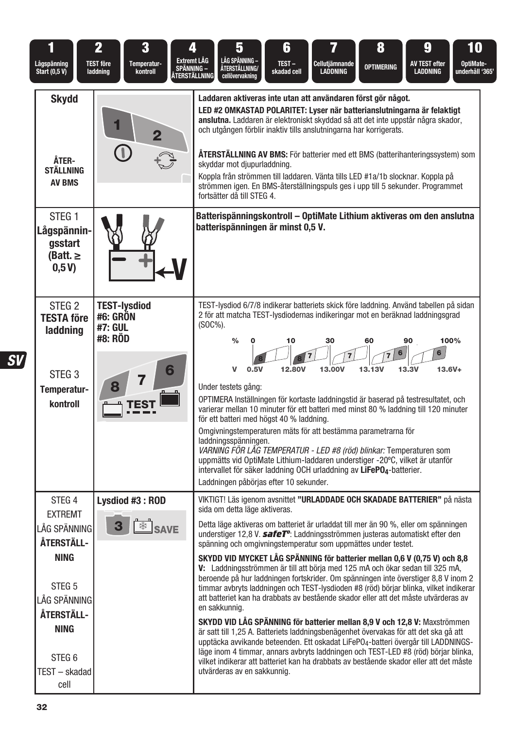| 1<br>Lågspänning<br>Start (0,5 V)                                                                                                                                                                | 2<br>3<br><b>TEST före</b><br>Temperatur-<br>laddning<br>kontroll | 4<br>Extremt LÄG<br>SPÄNNING –<br>ÅTERSTÄLLNING | 5<br>LÅG SPÄNNING –<br><b>ÁTERSTÄLLNING/</b><br>cellövervakning                                                                                                                                                                                                                                                                                                                                                                                                                                                                                                                                                                                                                                                                                                                                                                                                                                                                                                                                                                                                                                                                                                                                                                                                                                           | 6<br>TEST-<br>skadad cell | Cellutjämnande<br><b>LADDNING</b> | 8<br><b>OPTIMERING</b> | 9<br>AV TEST efter<br><b>LADDNING</b> | 10<br>OptiMate-<br>underhåll '365 |
|--------------------------------------------------------------------------------------------------------------------------------------------------------------------------------------------------|-------------------------------------------------------------------|-------------------------------------------------|-----------------------------------------------------------------------------------------------------------------------------------------------------------------------------------------------------------------------------------------------------------------------------------------------------------------------------------------------------------------------------------------------------------------------------------------------------------------------------------------------------------------------------------------------------------------------------------------------------------------------------------------------------------------------------------------------------------------------------------------------------------------------------------------------------------------------------------------------------------------------------------------------------------------------------------------------------------------------------------------------------------------------------------------------------------------------------------------------------------------------------------------------------------------------------------------------------------------------------------------------------------------------------------------------------------|---------------------------|-----------------------------------|------------------------|---------------------------------------|-----------------------------------|
| <b>Skydd</b><br>ÅTER-<br>STÄLLNING<br><b>AV BMS</b>                                                                                                                                              | $\overline{\mathbf{2}}$                                           |                                                 | Laddaren aktiveras inte utan att användaren först gör något.<br>LED #2 OMKASTAD POLARITET: Lyser när batterianslutningarna är felaktigt<br>anslutna. Laddaren är elektroniskt skyddad så att det inte uppstår några skador,<br>och utgången förblir inaktiv tills anslutningarna har korrigerats.<br><b>ÅTERSTÄLLNING AV BMS:</b> För batterier med ett BMS (batterihanteringssystem) som<br>skyddar mot djupurladdning.<br>Koppla från strömmen till laddaren. Vänta tills LED #1a/1b slocknar. Koppla på<br>strömmen igen. En BMS-återställningspuls ges i upp till 5 sekunder. Programmet<br>fortsätter då till STEG 4.                                                                                                                                                                                                                                                                                                                                                                                                                                                                                                                                                                                                                                                                                |                           |                                   |                        |                                       |                                   |
| STEG <sub>1</sub><br>Lågspännin-<br>qsstart<br>(Batt. $\geq$<br>0,5V                                                                                                                             |                                                                   |                                                 | Batterispänningskontroll – OptiMate Lithium aktiveras om den anslutna<br>batterispänningen är minst 0,5 V.                                                                                                                                                                                                                                                                                                                                                                                                                                                                                                                                                                                                                                                                                                                                                                                                                                                                                                                                                                                                                                                                                                                                                                                                |                           |                                   |                        |                                       |                                   |
| STEG <sub>2</sub><br><b>TESTA före</b><br>laddning<br>STEG <sub>3</sub><br>Temperatur-<br>kontroll                                                                                               | <b>TEST-lysdiod</b><br>#6: GRÖN<br>#7: GUL<br>#8: RÖD             | $(SOC\%)$ .<br>6                                | TEST-lysdiod 6/7/8 indikerar batteriets skick före laddning. Använd tabellen på sidan<br>2 för att matcha TEST-Ivsdiodernas indikeringar mot en beräknad laddningsgrad<br>$\frac{0}{0}$<br>v<br>0.5V<br>Under testets gång:<br>OPTIMERA Inställningen för kortaste laddningstid är baserad på testresultatet, och<br>varierar mellan 10 minuter för ett batteri med minst 80 % laddning till 120 minuter<br>för ett batteri med högst 40 % laddning.<br>Omgivningstemperaturen mäts för att bestämma parametrarna för<br>laddningsspänningen.<br>VARNING FÖR LÅG TEMPERATUR - LED #8 (röd) blinkar: Temperaturen som<br>uppmätts vid OptiMate Lithium-laddaren understiger -20°C, vilket är utanför<br>intervallet för säker laddning OCH urladdning av LiFePO <sub>4</sub> -batterier.<br>Laddningen påbörjas efter 10 sekunder.                                                                                                                                                                                                                                                                                                                                                                                                                                                                         | 10<br>12,80V              | 30<br>13.00V                      | 60<br>6<br>13.13V      | 90<br>6<br>13.3V                      | 100%<br>$13.6V +$                 |
| STEG <sub>4</sub><br><b>EXTREMT</b><br>LÅG SPÄNNING<br>ÅTERSTÄLL-<br><b>NING</b><br>STEG <sub>5</sub><br>LÅG SPÄNNING<br>ÅTERSTÄLL-<br><b>NING</b><br>STEG <sub>6</sub><br>TEST - skadad<br>cell | Lysdiod #3: ROD<br>З<br>ఘ                                         | <b>SAVE</b>                                     | VIKTIGT! Läs igenom avsnittet "URLADDADE OCH SKADADE BATTERIER" på nästa<br>sida om detta läge aktiveras.<br>Detta läge aktiveras om batteriet är urladdat till mer än 90 %, eller om spänningen<br>understiger 12,8 V. safeT <sup>o</sup> : Laddningsströmmen justeras automatiskt efter den<br>spänning och omgivningstemperatur som uppmättes under testet.<br>SKYDD VID MYCKET LÅG SPÄNNING för batterier mellan 0,6 V (0,75 V) och 8,8<br>V: Laddningsströmmen är till att börja med 125 mA och ökar sedan till 325 mA,<br>beroende på hur laddningen fortskrider. Om spänningen inte överstiger 8,8 V inom 2<br>timmar avbryts laddningen och TEST-lysdioden #8 (röd) börjar blinka, vilket indikerar<br>att batteriet kan ha drabbats av bestående skador eller att det måste utvärderas av<br>en sakkunnig.<br>SKYDD VID LÅG SPÄNNING för batterier mellan 8,9 V och 12,8 V: Maxströmmen<br>är satt till 1,25 A. Batteriets laddningsbenägenhet övervakas för att det ska gå att<br>upptäcka avvikande beteenden. Ett oskadat LiFePO <sub>4</sub> -batteri övergår till LADDNINGS-<br>läge inom 4 timmar, annars avbryts laddningen och TEST-LED #8 (röd) börjar blinka,<br>vilket indikerar att batteriet kan ha drabbats av bestående skador eller att det måste<br>utvärderas av en sakkunnig. |                           |                                   |                        |                                       |                                   |

 $\overline{\textit{SV}}$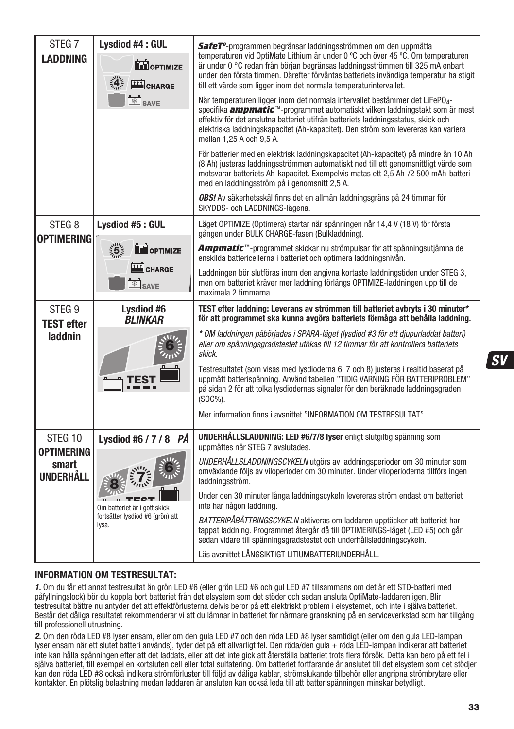| STEG <sub>7</sub>                       | Lysdiod #4: GUL                                    | SafeT <sup>o</sup> -programmen begränsar laddningsströmmen om den uppmätta                                                                                                                                                                                                                                                                                                                        |
|-----------------------------------------|----------------------------------------------------|---------------------------------------------------------------------------------------------------------------------------------------------------------------------------------------------------------------------------------------------------------------------------------------------------------------------------------------------------------------------------------------------------|
| <b>LADDNING</b>                         | <b>TH</b> OPTIMIZE<br>CHARGE                       | temperaturen vid OptiMate Lithium är under 0 °C och över 45 °C. Om temperaturen<br>är under 0 °C redan från början begränsas laddningsströmmen till 325 mA enbart<br>under den första timmen. Därefter förväntas batteriets invändiga temperatur ha stigit<br>till ett värde som ligger inom det normala temperaturintervallet.                                                                   |
|                                         | SAVE                                               | När temperaturen ligger inom det normala intervallet bestämmer det LiFePO <sub>4</sub> -<br>specifika <b>ampmatic</b> <sup>™</sup> -programmet automatiskt vilken laddningstakt som är mest<br>effektiv för det anslutna batteriet utifrån batteriets laddningsstatus, skick och<br>elektriska laddningskapacitet (Ah-kapacitet). Den ström som levereras kan variera<br>mellan 1.25 A och 9.5 A. |
|                                         |                                                    | För batterier med en elektrisk laddningskapacitet (Ah-kapacitet) på mindre än 10 Ah<br>(8 Ah) justeras laddningsströmmen automatiskt ned till ett genomsnittligt värde som<br>motsvarar batteriets Ah-kapacitet. Exempelvis matas ett 2,5 Ah-/2 500 mAh-batteri<br>med en laddningsström på i genomsnitt 2,5 A.                                                                                   |
|                                         |                                                    | OBS! Av säkerhetsskäl finns det en allmän laddningsgräns på 24 timmar för<br>SKYDDS- och LADDNINGS-lägena.                                                                                                                                                                                                                                                                                        |
| STEG <sub>8</sub><br>OPTIMERING         | Lysdiod #5: GUL                                    | Läget OPTIMIZE (Optimera) startar när spänningen når 14,4 V (18 V) för första<br>gången under BULK CHARGE-fasen (Bulkladdning).                                                                                                                                                                                                                                                                   |
|                                         | $\frac{1}{2}$<br>OPTIMIZE<br>CHARGE<br><b>SAVE</b> | Ampmatic <sup>™</sup> -programmet skickar nu strömpulsar för att spänningsutjämna de<br>enskilda battericellerna i batteriet och optimera laddningsnivån.                                                                                                                                                                                                                                         |
|                                         |                                                    | Laddningen bör slutföras inom den angivna kortaste laddningstiden under STEG 3,<br>men om batteriet kräver mer laddning förlängs OPTIMIZE-laddningen upp till de<br>maximala 2 timmarna.                                                                                                                                                                                                          |
|                                         |                                                    |                                                                                                                                                                                                                                                                                                                                                                                                   |
| STEG <sub>9</sub>                       | Lysdiod #6<br><b>BLINKAR</b>                       | TEST efter laddning: Leverans av strömmen till batteriet avbryts i 30 minuter*<br>för att programmet ska kunna avgöra batteriets förmåga att behålla laddning.                                                                                                                                                                                                                                    |
| <b>TEST efter</b><br>laddnin            |                                                    | * OM laddningen påbörjades i SPARA-läget (lysdiod #3 för ett djupurladdat batteri)<br>eller om spänningsgradstestet utökas till 12 timmar för att kontrollera batteriets<br>skick.                                                                                                                                                                                                                |
|                                         |                                                    | Testresultatet (som visas med lysdioderna 6, 7 och 8) justeras i realtid baserat på<br>uppmätt batterispänning. Använd tabellen "TIDIG VARNING FÖR BATTERIPROBLEM"<br>på sidan 2 för att tolka lysdiodernas signaler för den beräknade laddningsgraden<br>$(SOC\%).$                                                                                                                              |
|                                         |                                                    | Mer information finns i avsnittet "INFORMATION OM TESTRESULTAT".                                                                                                                                                                                                                                                                                                                                  |
| STEG 10                                 | Lysdiod #6 / 7 / 8 PÅ                              | UNDERHÅLLSLADDNING: LED #6/7/8 lyser enligt slutgiltig spänning som<br>uppmättes när STEG 7 avslutades.                                                                                                                                                                                                                                                                                           |
| <b>OPTIMERING</b><br>smart<br>UNDERHÅLL |                                                    | UNDERHÅLLSLADDNINGSCYKELN utgörs av laddningsperioder om 30 minuter som<br>omväxlande följs av viloperioder om 30 minuter. Under viloperioderna tillförs ingen<br>laddningsström.                                                                                                                                                                                                                 |
|                                         | Om batteriet är i gott skick                       | Under den 30 minuter långa laddningscykeln levereras ström endast om batteriet<br>inte har någon laddning.                                                                                                                                                                                                                                                                                        |
|                                         | fortsätter lysdiod #6 (grön) att<br>lysa.          | BATTERIPÅBÄTTRINGSCYKELN aktiveras om laddaren upptäcker att batteriet har<br>tappat laddning. Programmet återgår då till OPTIMERINGS-läget (LED #5) och går<br>sedan vidare till spänningsgradstestet och underhållsladdningscykeln.                                                                                                                                                             |

#### **INFORMATION OM TESTRESULTAT:**

1. Om du får ett annat testresultat än grön LED #6 (eller grön LED #6 och gul LED #7 tillsammans om det är ett STD-batteri med påfyllningslock) bör du koppla bort batteriet från det elsystem som det stöder och sedan ansluta OptiMate-laddaren igen. Blir testresultat bättre nu antyder det att effektförlusterna delvis beror på ett elektriskt problem i elsystemet, och inte i själva batteriet. Består det dåliga resultatet rekommenderar vi att du lämnar in batteriet för närmare granskning på en serviceverkstad som har tillgång till professionell utrustning.

2. Om den röda LED #8 lyser ensam, eller om den gula LED #7 och den röda LED #8 lyser samtidigt (eller om den gula LED-lampan lyser ensam när ett slutet batteri används), tyder det på ett allvarligt fel. Den röda/den gula + röda LED-lampan indikerar att batteriet inte kan hålla spänningen efter att det laddats, eller att det inte gick att återställa batteriet trots flera försök. Detta kan bero på ett fel i själva batteriet, till exempel en kortsluten cell eller total sulfatering. Om batteriet fortfarande är anslutet till det elsystem som det stödjer kan den röda LED #8 också indikera strömförluster till följd av dåliga kablar, strömslukande tillbehör eller angripna strömbrytare eller kontakter. En plötslig belastning medan laddaren är ansluten kan också leda till att batterispänningen minskar betydligt.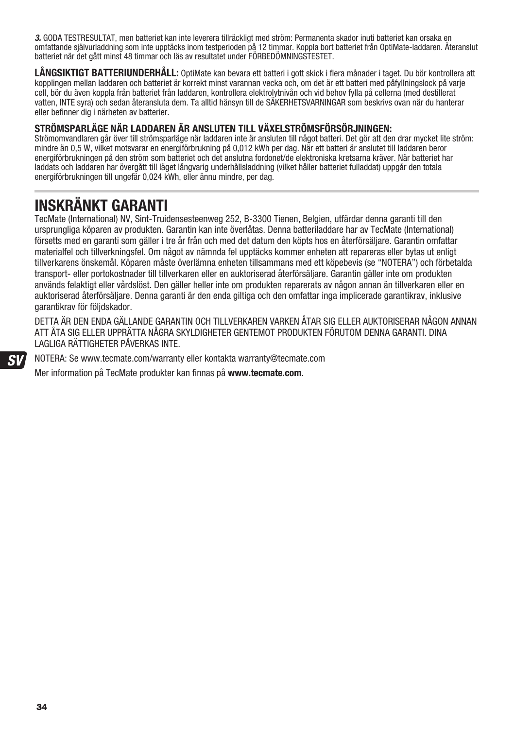3. GODA TESTRESULTAT, men batteriet kan inte leverera tillräckligt med ström: Permanenta skador inuti batteriet kan orsaka en omfattande självurladdning som inte upptäcks inom testperioden på 12 timmar. Koppla bort batteriet från OptiMate-laddaren. Återanslut batteriet när det gått minst 48 timmar och läs av resultatet under FÖRBEDÖMNINGSTESTET.

**LÅNGSIKTIGT BATTERIUNDERHÅLL:** OptiMate kan bevara ett batteri i gott skick i flera månader i taget. Du bör kontrollera att kopplingen mellan laddaren och batteriet är korrekt minst varannan vecka och, om det är ett batteri med påfyllningslock på varje cell, bör du även koppla från batteriet från laddaren, kontrollera elektrolytnivån och vid behov fylla på cellerna (med destillerat vatten, INTE syra) och sedan återansluta dem. Ta alltid hänsyn till de SÄKERHETSVARNINGAR som beskrivs ovan när du hanterar eller befinner dig i närheten av batterier.

#### **STRÖMSPARLÄGE NÄR LADDAREN ÄR ANSLUTEN TILL VÄXELSTRÖMSFÖRSÖRJNINGEN:**

Strömomvandlaren går över till strömsparläge när laddaren inte är ansluten till något batteri. Det gör att den drar mycket lite ström: mindre än 0,5 W, vilket motsvarar en energiförbrukning på 0,012 kWh per dag. När ett batteri är anslutet till laddaren beror energiförbrukningen på den ström som batteriet och det anslutna fordonet/de elektroniska kretsarna kräver. När batteriet har laddats och laddaren har övergått till läget långvarig underhållsladdning (vilket håller batteriet fulladdat) uppgår den totala energiförbrukningen till ungefär 0,024 kWh, eller ännu mindre, per dag.

# **INSKRÄNKT GARANTI**

TecMate (International) NV, Sint-Truidensesteenweg 252, B-3300 Tienen, Belgien, utfärdar denna garanti till den ursprungliga köparen av produkten. Garantin kan inte överlåtas. Denna batteriladdare har av TecMate (International) försetts med en garanti som gäller i tre år från och med det datum den köpts hos en återförsäljare. Garantin omfattar materialfel och tillverkningsfel. Om något av nämnda fel upptäcks kommer enheten att repareras eller bytas ut enligt tillverkarens önskemål. Köparen måste överlämna enheten tillsammans med ett köpebevis (se "NOTERA") och förbetalda transport- eller portokostnader till tillverkaren eller en auktoriserad återförsäljare. Garantin gäller inte om produkten används felaktigt eller vårdslöst. Den gäller heller inte om produkten reparerats av någon annan än tillverkaren eller en auktoriserad återförsäljare. Denna garanti är den enda giltiga och den omfattar inga implicerade garantikrav, inklusive garantikrav för följdskador.

DETTA ÄR DEN ENDA GÄLLANDE GARANTIN OCH TILLVERKAREN VARKEN ÅTAR SIG ELLER AUKTORISERAR NÅGON ANNAN ATT ÅTA SIG ELLER UPPRÄTTA NÅGRA SKYLDIGHETER GENTEMOT PRODUKTEN FÖRUTOM DENNA GARANTI. DINA LAGLIGA RÄTTIGHETER PÅVERKAS INTE.

NOTERA: Se www.tecmate.com/warranty eller kontakta warranty@tecmate.com

Mer information på TecMate produkter kan finnas på **www.tecmate.com**.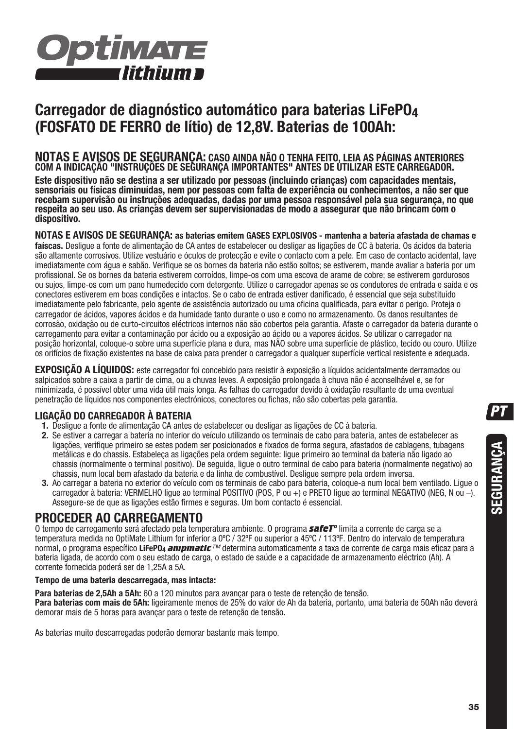

# **Carregador de diagnóstico automático para baterias LiFePO4 (FOSFATO DE FERRO de lítio) de 12,8V. Baterias de 100Ah:**

# **NOTAS E AVISOS DE SEGURANÇA: CASO AINDA NÃO O TENHA FEITO, LEIA AS PÁGINAS ANTERIORES COM A INDICAÇÃO "INSTRUÇÕES DE SEGURANÇA IMPORTANTES" ANTES DE UTILIZAR ESTE CARREGADOR.**

**Este dispositivo não se destina a ser utilizado por pessoas (incluindo crianças) com capacidades mentais, sensoriais ou físicas diminuídas, nem por pessoas com falta de experiência ou conhecimentos, a não ser que recebam supervisão ou instruções adequadas, dadas por uma pessoa responsável pela sua segurança, no que respeita ao seu uso. As crianças devem ser supervisionadas de modo a assegurar que não brincam com o dispositivo.**

**NOTAS E AVISOS DE SEGURANÇA: as baterias emitem GASES EXPLOSIVOS - mantenha a bateria afastada de chamas e faíscas.** Desligue a fonte de alimentação de CA antes de estabelecer ou desligar as ligações de CC à bateria. Os ácidos da bateria são altamente corrosivos. Utilize vestuário e óculos de protecção e evite o contacto com a pele. Em caso de contacto acidental, lave imediatamente com água e sabão. Verifique se os bornes da bateria não estão soltos; se estiverem, mande avaliar a bateria por um profissional. Se os bornes da bateria estiverem corroídos, limpe-os com uma escova de arame de cobre; se estiverem gordurosos ou sujos, limpe-os com um pano humedecido com detergente. Utilize o carregador apenas se os condutores de entrada e saída e os conectores estiverem em boas condições e intactos. Se o cabo de entrada estiver danificado, é essencial que seja substituído imediatamente pelo fabricante, pelo agente de assistência autorizado ou uma oficina qualificada, para evitar o perigo. Proteja o carregador de ácidos, vapores ácidos e da humidade tanto durante o uso e como no armazenamento. Os danos resultantes de corrosão, oxidação ou de curto-circuitos eléctricos internos não são cobertos pela garantia. Afaste o carregador da bateria durante o carregamento para evitar a contaminação por ácido ou a exposição ao ácido ou a vapores ácidos. Se utilizar o carregador na posição horizontal, coloque-o sobre uma superfície plana e dura, mas NÃO sobre uma superfície de plástico, tecido ou couro. Utilize os orifícios de fixação existentes na base de caixa para prender o carregador a qualquer superfície vertical resistente e adequada.

**EXPOSIÇÃO A LÍQUIDOS:** este carregador foi concebido para resistir à exposição a líquidos acidentalmente derramados ou salpicados sobre a caixa a partir de cima, ou a chuvas leves. A exposição prolongada à chuva não é aconselhável e, se for minimizada, é possível obter uma vida útil mais longa. As falhas do carregador devido à oxidação resultante de uma eventual penetração de líquidos nos componentes electrónicos, conectores ou fichas, não são cobertas pela garantia.

#### **LIGAÇÃO DO CARREGADOR À BATERIA**

- **1.** Desligue a fonte de alimentação CA antes de estabelecer ou desligar as ligações de CC à bateria.
- **2.** Se estiver a carregar a bateria no interior do veículo utilizando os terminais de cabo para bateria, antes de estabelecer as ligações, verifique primeiro se estes podem ser posicionados e fixados de forma segura, afastados de cablagens, tubagens metálicas e do chassis. Estabeleça as ligações pela ordem seguinte: ligue primeiro ao terminal da bateria não ligado ao chassis (normalmente o terminal positivo). De seguida, ligue o outro terminal de cabo para bateria (normalmente negativo) ao chassis, num local bem afastado da bateria e da linha de combustível. Desligue sempre pela ordem inversa.
- **3.** Ao carregar a bateria no exterior do veículo com os terminais de cabo para bateria, coloque-a num local bem ventilado. Ligue o carregador à bateria: VERMELHO ligue ao terminal POSITIVO (POS, P ou +) e PRETO ligue ao terminal NEGATIVO (NEG, N ou –). Assegure-se de que as ligações estão firmes e seguras. Um bom contacto é essencial.

### **PROCEDER AO CARREGAMENTO**

O tempo de carregamento será afectado pela temperatura ambiente. O programa *safeTº* limita a corrente de carga se a temperatura medida no OptiMate Lithium for inferior a 0ºC / 32ºF ou superior a 45ºC / 113ºF. Dentro do intervalo de temperatura normal, o programa específico **LiFePO4** *ampmatic*™ determina automaticamente a taxa de corrente de carga mais eficaz para a bateria ligada, de acordo com o seu estado de carga, o estado de saúde e a capacidade de armazenamento eléctrico (Ah). A corrente fornecida poderá ser de 1,25A a 5A.

#### **Tempo de uma bateria descarregada, mas intacta:**

**Para baterias de 2,5Ah a 5Ah:** 60 a 120 minutos para avançar para o teste de retenção de tensão. **Para baterias com mais de 5Ah:** ligeiramente menos de 25% do valor de Ah da bateria, portanto, uma bateria de 50Ah não deverá demorar mais de 5 horas para avançar para o teste de retenção de tensão.

As baterias muito descarregadas poderão demorar bastante mais tempo.

**PT**

**SEGURANÇA**

SEGURANÇA

**35**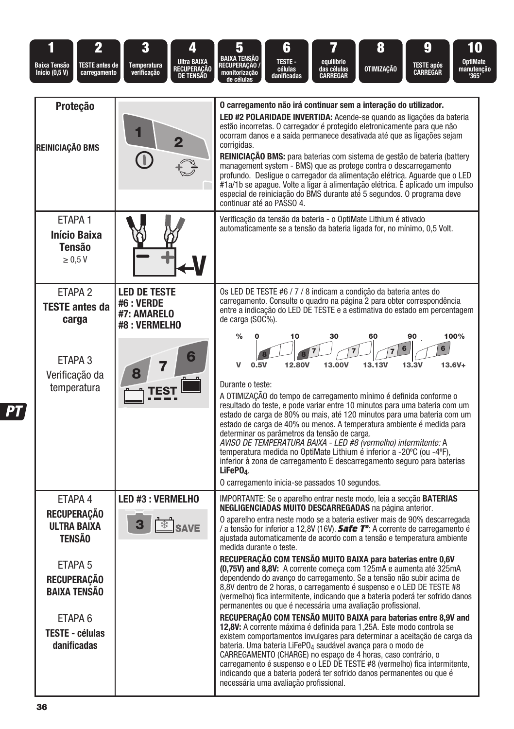| $\overline{2}$<br>Baixa Tensão<br><b>TESTE antes de</b><br><b>Início (0,5 V)</b><br>carregamento                                                                                            | 3<br><b>Ultra BAIXA</b><br><b>Temperatura</b><br>RECUPERAÇÃO<br>DE TENSÃO<br>verificação | 8<br>g<br>5<br>6<br>10<br><b>BAIXA TENSÃO</b><br><b>TESTE-</b><br>equilíbrio<br><b>OptiMate</b><br>RECUPERAÇÃO /<br><b>TESTE após</b><br>OTIMIZAÇÃO<br>células<br>das células<br>manutenção<br>CARREGAR<br>monitorização<br>danificadas<br><b>CARREGAR</b><br>'365'<br>de célula:                                                                                                                                                                                                                                                                                                                                                                                                                                                                                                                                                                                                                                                                                                                                                                                                                                                                                                                                                                                                                                                                                                                                        |
|---------------------------------------------------------------------------------------------------------------------------------------------------------------------------------------------|------------------------------------------------------------------------------------------|--------------------------------------------------------------------------------------------------------------------------------------------------------------------------------------------------------------------------------------------------------------------------------------------------------------------------------------------------------------------------------------------------------------------------------------------------------------------------------------------------------------------------------------------------------------------------------------------------------------------------------------------------------------------------------------------------------------------------------------------------------------------------------------------------------------------------------------------------------------------------------------------------------------------------------------------------------------------------------------------------------------------------------------------------------------------------------------------------------------------------------------------------------------------------------------------------------------------------------------------------------------------------------------------------------------------------------------------------------------------------------------------------------------------------|
| Proteção<br>REINICIAÇÃO BMS                                                                                                                                                                 |                                                                                          | O carregamento não irá continuar sem a interação do utilizador.<br>LED #2 POLARIDADE INVERTIDA: Acende-se quando as ligações da bateria<br>estão incorretas. O carregador é protegido eletronicamente para que não<br>ocorram danos e a saída permanece desativada até que as ligações sejam<br>corrigidas.<br><b>REINICIAÇÃO BMS:</b> para baterias com sistema de gestão de bateria (battery<br>management system - BMS) que as protege contra o descarregamento<br>profundo. Deslique o carregador da alimentação elétrica. Aquarde que o LED<br>#1a/1b se apague. Volte a ligar à alimentação elétrica. É aplicado um impulso<br>especial de reiniciação do BMS durante até 5 segundos. O programa deve<br>continuar até ao PASSO 4.                                                                                                                                                                                                                                                                                                                                                                                                                                                                                                                                                                                                                                                                                 |
| ETAPA 1<br><b>Início Baixa</b><br><b>Tensão</b><br>$\geq 0.5$ V                                                                                                                             |                                                                                          | Verificação da tensão da bateria - o OptiMate Lithium é ativado<br>automaticamente se a tensão da bateria ligada for, no mínimo, 0,5 Volt.                                                                                                                                                                                                                                                                                                                                                                                                                                                                                                                                                                                                                                                                                                                                                                                                                                                                                                                                                                                                                                                                                                                                                                                                                                                                               |
| ETAPA <sub>2</sub><br><b>TESTE antes da</b><br>carga                                                                                                                                        | <b>LED DE TESTE</b><br>#6 : VERDE<br>#7: AMARELO<br>#8: VERMELHO                         | Os LED DE TESTE #6 / 7 / 8 indicam a condição da bateria antes do<br>carregamento. Consulte o quadro na página 2 para obter correspondência<br>entre a indicação do LED DE TESTE e a estimativa do estado em percentagem<br>de carga (SOC%).<br>$\frac{0}{0}$<br>30<br>60<br>90<br>100%<br>10                                                                                                                                                                                                                                                                                                                                                                                                                                                                                                                                                                                                                                                                                                                                                                                                                                                                                                                                                                                                                                                                                                                            |
| ETAPA 3<br>Verificação da<br>temperatura                                                                                                                                                    |                                                                                          | 6<br>6<br><b>13.13V</b><br>$13.6V +$<br>$\mathbf{v}$<br>0.5V<br>12.80V<br>13.00V<br>13.3V<br>Durante o teste:<br>A OTIMIZAÇÃO do tempo de carregamento mínimo é definida conforme o<br>resultado do teste, e pode variar entre 10 minutos para uma bateria com um<br>estado de carga de 80% ou mais, até 120 minutos para uma bateria com um<br>estado de carga de 40% ou menos. A temperatura ambiente é medida para<br>determinar os parâmetros da tensão de carga.<br>AVISO DE TEMPERATURA BAIXA - LED #8 (vermelho) intermitente: A<br>temperatura medida no OptiMate Lithium é inferior a -20°C (ou -4°F),<br>inferior à zona de carregamento E descarregamento seguro para baterias<br>$LiFePO4$ .<br>O carregamento inicia-se passados 10 segundos.                                                                                                                                                                                                                                                                                                                                                                                                                                                                                                                                                                                                                                                               |
| ETAPA 4<br><b>RECUPERAÇÃO</b><br><b>ULTRA BAIXA</b><br><b>TENSÃO</b><br>ETAPA 5<br><b>RECUPERAÇÃO</b><br><b>BAIXA TENSÃO</b><br>ETAPA <sub>6</sub><br><b>TESTE - células</b><br>danificadas | LED #3 : VERMELHO<br>*<br><b>SAVE</b>                                                    | IMPORTANTE: Se o aparelho entrar neste modo, leia a secção <b>BATERIAS</b><br><b>NEGLIGENCIADAS MUITO DESCARREGADAS</b> na página anterior.<br>O aparelho entra neste modo se a bateria estiver mais de 90% descarregada<br>/ a tensão for inferior a 12,8V (16V). Safe Tº: A corrente de carregamento é<br>ajustada automaticamente de acordo com a tensão e temperatura ambiente<br>medida durante o teste.<br>RECUPERAÇÃO COM TENSÃO MUITO BAIXA para baterias entre 0,6V<br>(0,75V) and 8,8V: A corrente começa com 125mA e aumenta até 325mA<br>dependendo do avanço do carregamento. Se a tensão não subir acima de<br>8,8V dentro de 2 horas, o carregamento é suspenso e o LED DE TESTE #8<br>(vermelho) fica intermitente, indicando que a bateria poderá ter sofrido danos<br>permanentes ou que é necessária uma avaliação profissional.<br>RECUPERAÇÃO COM TENSÃO MUITO BAIXA para baterias entre 8,9V and<br>12,8V: A corrente máxima é definida para 1,25A. Este modo controla se<br>existem comportamentos invulgares para determinar a aceitação de carga da<br>bateria. Uma bateria LiFePO <sub>4</sub> saudável avanca para o modo de<br>CARREGAMENTO (CHARGE) no espaco de 4 horas, caso contrário, o<br>carregamento é suspenso e o LED DE TESTE #8 (vermelho) fica intermitente,<br>indicando que a bateria poderá ter sofrido danos permanentes ou que é<br>necessária uma avaliação profissional. |

**PT**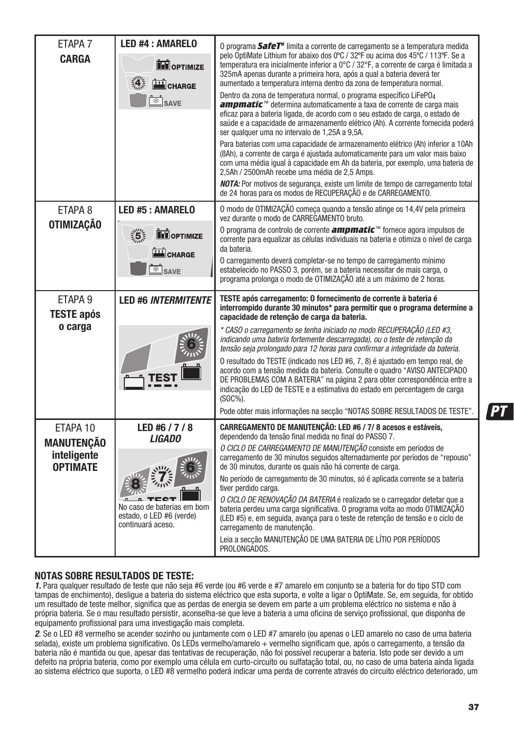| ETAPA <sub>7</sub>                      | <b>LED #4 : AMARELO</b>                                                     |                                                                                                                                                                                                                                                                                                                                                                                                                             |
|-----------------------------------------|-----------------------------------------------------------------------------|-----------------------------------------------------------------------------------------------------------------------------------------------------------------------------------------------------------------------------------------------------------------------------------------------------------------------------------------------------------------------------------------------------------------------------|
| <b>CARGA</b>                            | <b>TH</b> OPTIMIZE<br><b>4 国CHARGE</b>                                      | O programa <b>SafeT<sup>o</sup></b> limita a corrente de carregamento se a temperatura medida<br>pelo OptiMate Lithium for abaixo dos 0°C / 32°F ou acima dos 45°C / 113°F. Se a<br>temperatura era inicialmente inferior a 0°C / 32°F, a corrente de carga é limitada a<br>325mA apenas durante a primeira hora, após a qual a bateria deverá ter<br>aumentado a temperatura interna dentro da zona de temperatura normal. |
|                                         | <sup>∴</sup> SAVE                                                           | Dentro da zona de temperatura normal, o programa específico LiFePO <sub>4</sub><br>ampmatic <sup>™</sup> determina automaticamente a taxa de corrente de carga mais<br>eficaz para a bateria ligada, de acordo com o seu estado de carga, o estado de<br>saúde e a capacidade de armazenamento elétrico (Ah). A corrente fornecida poderá<br>ser qualquer uma no intervalo de 1,25A a 9,5A.                                 |
|                                         |                                                                             | Para baterias com uma capacidade de armazenamento elétrico (Ah) inferior a 10Ah<br>(8Ah), a corrente de carga é ajustada automaticamente para um valor mais baixo<br>com uma média igual à capacidade em Ah da bateria, por exemplo, uma bateria de<br>2.5Ah / 2500mAh recebe uma média de 2.5 Amps.                                                                                                                        |
|                                         |                                                                             | NOTA: Por motivos de segurança, existe um limite de tempo de carregamento total<br>de 24 horas para os modos de RECUPERAÇÃO e de CARREGAMENTO.                                                                                                                                                                                                                                                                              |
| ETAPA 8<br><b>OTIMIZAÇÃO</b>            | LED #5 : AMARELO                                                            | O modo de OTIMIZAÇÃO começa quando a tensão atinge os 14,4V pela primeira<br>vez durante o modo de CARREGAMENTO bruto.                                                                                                                                                                                                                                                                                                      |
|                                         | $\frac{1}{2}$<br><b>THE OPTIMIZE</b><br>CHARGE                              | 0 programa de controlo de corrente <b>ampmatic</b> <sup><math>m</math></sup> fornece agora impulsos de<br>corrente para equalizar as células individuais na bateria e otimiza o nível de carga<br>da bateria.                                                                                                                                                                                                               |
|                                         | $\frac{1}{3}$ SAVE                                                          | O carregamento deverá completar-se no tempo de carregamento mínimo<br>estabelecido no PASSO 3, porém, se a bateria necessitar de mais carga, o<br>programa prolonga o modo de OTIMIZAÇÃO até a um máximo de 2 horas.                                                                                                                                                                                                        |
| ETAPA <sub>9</sub><br><b>TESTE após</b> | <b>LED #6 INTERMITENTE</b>                                                  | TESTE após carregamento: O fornecimento de corrente à bateria é<br>interrompido durante 30 minutos* para permitir que o programa determine a<br>capacidade de retenção de carga da bateria.                                                                                                                                                                                                                                 |
| o carga                                 |                                                                             | * CASO o carregamento se tenha iniciado no modo RECUPERACÃO (LED #3,<br>indicando uma bateria fortemente descarregada), ou o teste de retenção da<br>tensão seja prolongado para 12 horas para confirmar a integridade da bateria.                                                                                                                                                                                          |
|                                         |                                                                             | O resultado do TESTE (indicado nos LED #6, 7, 8) é ajustado em tempo real, de<br>acordo com a tensão medida da bateria. Consulte o quadro "AVISO ANTECIPADO<br>DE PROBLEMAS COM A BATERIA" na página 2 para obter correspondência entre a<br>indicação do LED de TESTE e a estimativa do estado em percentagem de carga<br>(SOC%).                                                                                          |
|                                         |                                                                             | Pode obter mais informações na secção "NOTAS SOBRE RESULTADOS DE TESTE".                                                                                                                                                                                                                                                                                                                                                    |
| ETAPA 10<br><b>MANUTENÇÃO</b>           | LED #6 / 7 / 8<br><i>LIGADO</i>                                             | CARREGAMENTO DE MANUTENÇÃO: LED #6 / 7/8 acesos e estáveis,<br>dependendo da tensão final medida no final do PASSO 7.                                                                                                                                                                                                                                                                                                       |
| inteligente<br><b>OPTIMATE</b>          |                                                                             | O CICLO DE CARREGAMENTO DE MANUTENÇÃO consiste em períodos de<br>carregamento de 30 minutos seguidos alternadamente por períodos de "repouso"<br>de 30 minutos, durante os quais não há corrente de carga.                                                                                                                                                                                                                  |
|                                         |                                                                             | No período de carregamento de 30 minutos, só é aplicada corrente se a bateria<br>tiver perdido carga.                                                                                                                                                                                                                                                                                                                       |
|                                         | No caso de baterias em bom<br>estado, o LED #6 (verde)<br>continuará aceso. | O CICLO DE RENOVAÇÃO DA BATERIA é realizado se o carregador detetar que a<br>bateria perdeu uma carga significativa. O programa volta ao modo OTIMIZAÇÃO<br>(LED #5) e, em seguida, avança para o teste de retenção de tensão e o ciclo de<br>carregamento de manutenção.                                                                                                                                                   |
|                                         |                                                                             | Leia a seccão MANUTENÇÃO DE UMA BATERIA DE LÍTIO POR PERÍODOS<br>PROLONGADOS.                                                                                                                                                                                                                                                                                                                                               |

#### **NOTAS SOBRE RESULTADOS DE TESTE:**

1. Para qualquer resultado de teste que não seja #6 verde (ou #6 verde e #7 amarelo em conjunto se a bateria for do tipo STD com tampas de enchimento), desligue a bateria do sistema eléctrico que esta suporta, e volte a ligar o OptiMate. Se, em seguida, for obtido um resultado de teste melhor, significa que as perdas de energia se devem em parte a um problema eléctrico no sistema e não à própria bateria. Se o mau resultado persistir, aconselha-se que leve a bateria a uma oficina de serviço profissional, que disponha de equipamento profissional para uma investigação mais completa.

2. Se o LED #8 vermelho se acender sozinho ou juntamente com o LED #7 amarelo (ou apenas o LED amarelo no caso de uma bateria selada), existe um problema significativo. Os LEDs vermelho/amarelo + vermelho significam que, após o carregamento, a tensão da bateria não é mantida ou que, apesar das tentativas de recuperação, não foi possível recuperar a bateria. Isto pode ser devido a um defeito na própria bateria, como por exemplo uma célula em curto-circuito ou sulfatação total, ou, no caso de uma bateria ainda ligada ao sistema eléctrico que suporta, o LED #8 vermelho poderá indicar uma perda de corrente através do circuito eléctrico deteriorado, um

**PT**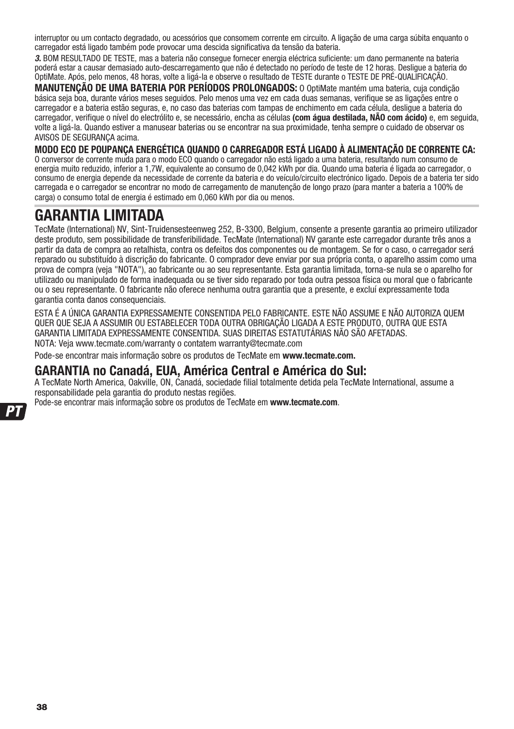interruptor ou um contacto degradado, ou acessórios que consomem corrente em circuito. A ligação de uma carga súbita enquanto o carregador está ligado também pode provocar uma descida significativa da tensão da bateria.

3. BOM RESULTADO DE TESTE, mas a bateria não consegue fornecer energia eléctrica suficiente: um dano permanente na bateria poderá estar a causar demasiado auto-descarregamento que não é detectado no período de teste de 12 horas. Desligue a bateria do OptiMate. Após, pelo menos, 48 horas, volte a ligá-la e observe o resultado de TESTE durante o TESTE DE PRÉ-QUALIFICAÇÃO.

**MANUTENÇÃO DE UMA BATERIA POR PERÍODOS PROLONGADOS:** O OptiMate mantém uma bateria, cuja condição básica seja boa, durante vários meses seguidos. Pelo menos uma vez em cada duas semanas, verifique se as ligações entre o carregador e a bateria estão seguras, e, no caso das baterias com tampas de enchimento em cada célula, desligue a bateria do carregador, verifique o nível do electrólito e, se necessário, encha as células **(com água destilada, NÃO com ácido)** e, em seguida, volte a ligá-la. Quando estiver a manusear baterias ou se encontrar na sua proximidade, tenha sempre o cuidado de observar os AVISOS DE SEGURANÇA acima.

**MODO ECO DE POUPANÇA ENERGÉTICA QUANDO O CARREGADOR ESTÁ LIGADO À ALIMENTAÇÃO DE CORRENTE CA:**  O conversor de corrente muda para o modo ECO quando o carregador não está ligado a uma bateria, resultando num consumo de energia muito reduzido, inferior a 1,7W, equivalente ao consumo de 0,042 kWh por dia. Quando uma bateria é ligada ao carregador, o consumo de energia depende da necessidade de corrente da bateria e do veículo/circuito electrónico ligado. Depois de a bateria ter sido carregada e o carregador se encontrar no modo de carregamento de manutenção de longo prazo (para manter a bateria a 100% de carga) o consumo total de energia é estimado em 0,060 kWh por dia ou menos.

# **GARANTIA LIMITADA**

TecMate (International) NV, Sint-Truidensesteenweg 252, B-3300, Belgium, consente a presente garantia ao primeiro utilizador deste produto, sem possibilidade de transferibilidade. TecMate (International) NV garante este carregador durante três anos a partir da data de compra ao retalhista, contra os defeitos dos componentes ou de montagem. Se for o caso, o carregador será reparado ou substituído à discrição do fabricante. O comprador deve enviar por sua própria conta, o aparelho assim como uma prova de compra (veja "NOTA"), ao fabricante ou ao seu representante. Esta garantia limitada, torna-se nula se o aparelho for utilizado ou manipulado de forma inadequada ou se tiver sido reparado por toda outra pessoa física ou moral que o fabricante ou o seu representante. O fabricante não oferece nenhuma outra garantia que a presente, e excluí expressamente toda garantia conta danos consequenciais.

ESTA É A ÚNICA GARANTIA EXPRESSAMENTE CONSENTIDA PELO FABRICANTE. ESTE NÃO ASSUME E NÃO AUTORIZA QUEM QUER QUE SEJA A ASSUMIR OU ESTABELECER TODA OUTRA OBRIGAÇÃO LIGADA A ESTE PRODUTO, OUTRA QUE ESTA GARANTIA LIMITADA EXPRESSAMENTE CONSENTIDA. SUAS DIREITAS ESTATUTÁRIAS NÃO SÃO AFETADAS. NOTA: Veja www.tecmate.com/warranty o contatem warranty@tecmate.com

Pode-se encontrar mais informação sobre os produtos de TecMate em **www.tecmate.com.**

### **GARANTIA no Canadá, EUA, América Central e América do Sul:**

A TecMate North America, Oakville, ON, Canadá, sociedade filial totalmente detida pela TecMate International, assume a responsabilidade pela garantia do produto nestas regiões.

Pode-se encontrar mais informação sobre os produtos de TecMate em **www.tecmate.com**.

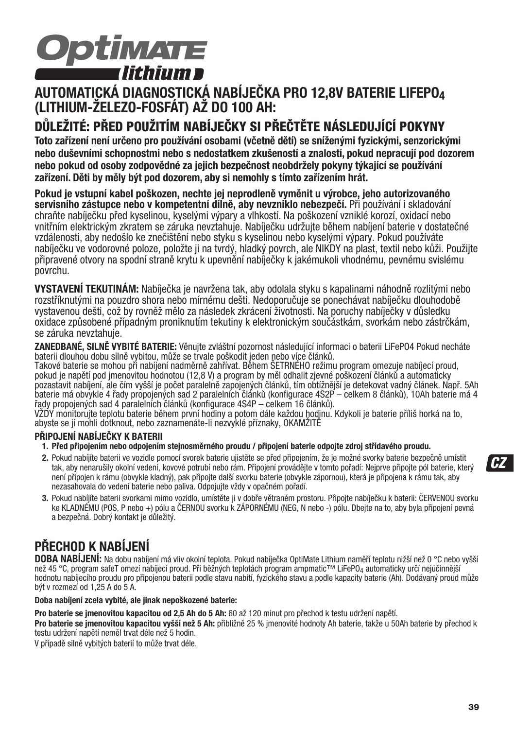

### **AUTOMATICKÁ DIAGNOSTICKÁ NABÍJEČKA PRO 12,8V BATERIE LIFEPO4 (LITHIUM-ŽELEZO-FOSFÁT) AŽ DO 100 AH:**

### **DŮLEŽITÉ: PŘED POUŽITÍM NABÍJEČKY SI PŘEČTĚTE NÁSLEDUJÍCÍ POKYNY**

**Toto zařízení není určeno pro používání osobami (včetně dětí) se sníženými fyzickými, senzorickými nebo duševními schopnostmi nebo s nedostatkem zkušeností a znalostí, pokud nepracují pod dozorem nebo pokud od osoby zodpovědné za jejich bezpečnost neobdržely pokyny týkající se používání zařízení. Děti by měly být pod dozorem, aby si nemohly s tímto zařízením hrát.**

**Pokud je vstupní kabel poškozen, nechte jej neprodleně vyměnit u výrobce, jeho autorizovaného servisního zástupce nebo v kompetentní dílně, aby nevzniklo nebezpečí.** Při používání i skladování chraňte nabíječku před kyselinou, kyselými výpary a vlhkostí. Na poškození vzniklé korozí, oxidací nebo vnitřním elektrickým zkratem se záruka nevztahuje. Nabíječku udržujte během nabíjení baterie v dostatečné vzdálenosti, aby nedošlo ke znečištění nebo styku s kyselinou nebo kyselými výpary. Pokud používáte nabíječku ve vodorovné poloze, položte ji na tvrdý, hladký povrch, ale NIKDY na plast, textil nebo kůži. Použijte připravené otvory na spodní straně krytu k upevnění nabíječky k jakémukoli vhodnému, pevnému svislému povrchu.

**VYSTAVENÍ TEKUTINÁM:** Nabíječka je navržena tak, aby odolala styku s kapalinami náhodně rozlitými nebo rozstříknutými na pouzdro shora nebo mírnému dešti. Nedoporučuje se ponechávat nabíječku dlouhodobě vystavenou dešti, což by rovněž mělo za následek zkrácení životnosti. Na poruchy nabíječky v důsledku oxidace způsobené případným proniknutím tekutiny k elektronickým součástkám, svorkám nebo zástrčkám, se záruka nevztahuje.

**ZANEDBANÉ, SILNĚ VYBITÉ BATERIE:** Věnujte zvláštní pozornost následující informaci o baterii LiFePO4 Pokud necháte baterii dlouhou dobu silně vybitou, může se trvale poškodit jeden nebo více článků.

Takové baterie se mohou při nabíjení nadměrně zahřívat. Během ŠETRNÉHO režimu program omezuje nabíjecí proud, pokud je napětí pod jmenovitou hodnotou (12,8 V) a program by měl odhalit zjevné poškození článků a automaticky pozastavit nabíjení, ale čím vyšší je počet paralelně zapojených článků, tím obtížnější je detekovat vadný článek. Např. 5Ah baterie má obvykle 4 řady propojených sad 2 paralelních článků (konfigurace 4S2P – celkem 8 článků), 10Ah baterie má 4 řady propojených sad 4 paralelních článků (konfigurace 4S4P – celkem 16 článků).

VŽDY monitorujte teplotu baterie během první hodiny a potom dále každou hodinu. Kdykoli je baterie příliš horká na to, abyste se jí mohli dotknout, nebo zaznamenáte-li nezvyklé příznaky, OKAMŽITĚ

#### **PŘIPOJENÍ NABÍJEČKY K BATERII**

- **1. Před připojením nebo odpojením stejnosměrného proudu / připojení baterie odpojte zdroj střídavého proudu.**
- **2.** Pokud nabíjíte baterii ve vozidle pomocí svorek baterie ujistěte se před připojením, že je možné svorky baterie bezpečně umístit tak, aby nenarušily okolní vedení, kovové potrubí nebo rám. Připojení provádějte v tomto pořadí: Nejprve připojte pól baterie, který není připojen k rámu (obvykle kladný), pak připojte další svorku baterie (obvykle zápornou), která je připojena k rámu tak, aby nezasahovala do vedení baterie nebo paliva. Odpojujte vždy v opačném pořadí.
- **3.** Pokud nabíjíte baterii svorkami mimo vozidlo, umístěte ji v dobře větraném prostoru. Připojte nabíječku k baterii: ČERVENOU svorku ke KLADNÉMU (POS, P nebo +) pólu a ČERNOU svorku k ZÁPORNÉMU (NEG, N nebo -) pólu. Dbejte na to, aby byla připojení pevná a bezpečná. Dobrý kontakt je důležitý.

# **PŘECHOD K NABÍJENÍ**

**DOBA NABÍJENÍ:** Na dobu nabíjení má vliv okolní teplota. Pokud nabíječka OptiMate Lithium naměří teplotu nižší než 0 °C nebo vyšší než 45 °C, program safeT omezí nabíjecí proud. Při běžných teplotách program ampmatic™ LiFePO<sub>4</sub> automaticky určí nejúčinnější hodnotu nabíjecího proudu pro připojenou baterii podle stavu nabití, fyzického stavu a podle kapacity baterie (Ah). Dodávaný proud může být v rozmezí od 1,25 A do 5 A.

**Doba nabíjení zcela vybité, ale jinak nepoškozené baterie:**

**Pro baterie se jmenovitou kapacitou od 2,5 Ah do 5 Ah:** 60 až 120 minut pro přechod k testu udržení napětí.

**Pro baterie se jmenovitou kapacitou vyšší než 5 Ah:** přibližně 25 % jmenovité hodnoty Ah baterie, takže u 50Ah baterie by přechod k testu udržení napětí neměl trvat déle než 5 hodin.

V případě silně vybitých baterií to může trvat déle.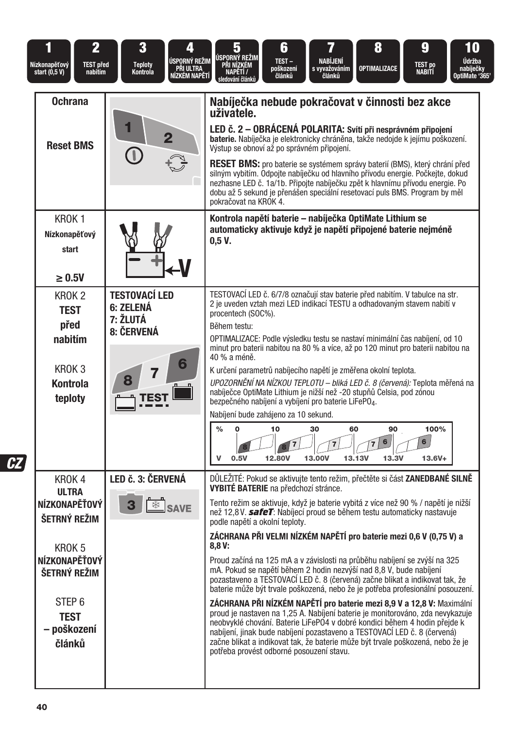|                | $\overline{2}$<br>Nízkonapěťový<br><b>TEST před</b><br>start (0,5 V)<br>nabitím                                      | 3<br>4<br><b>ÚSPORNÝ REŽIM</b><br><b>Teploty</b><br>PŘI ULTRA<br>Nízkém napětí<br>Kontrola | 8<br>6<br>9<br>10<br>5<br>ÚSPORNÝ REŽIM<br>NABÍJENÍ<br>Údržba<br>TEST-<br>TEST po<br>Nabití<br><b>PRI NIZKEM</b><br>s vyvažováním<br><b>OPTIMALIZACE</b><br>nabíječky<br>OptiMate '365'<br>poškození<br>NAPĚTÍ /<br>článků<br>článků<br>edování článků                                                                                                                                                                                                                                                                                                                                                                                                                                                                                                                                                                                                                                                                                                      |
|----------------|----------------------------------------------------------------------------------------------------------------------|--------------------------------------------------------------------------------------------|-------------------------------------------------------------------------------------------------------------------------------------------------------------------------------------------------------------------------------------------------------------------------------------------------------------------------------------------------------------------------------------------------------------------------------------------------------------------------------------------------------------------------------------------------------------------------------------------------------------------------------------------------------------------------------------------------------------------------------------------------------------------------------------------------------------------------------------------------------------------------------------------------------------------------------------------------------------|
|                | <b>Ochrana</b>                                                                                                       |                                                                                            | Nabíječka nebude pokračovat v činnosti bez akce<br>uživatele.                                                                                                                                                                                                                                                                                                                                                                                                                                                                                                                                                                                                                                                                                                                                                                                                                                                                                               |
|                | <b>Reset BMS</b>                                                                                                     | $\overline{2}$                                                                             | LED č. 2 - OBRÁCENÁ POLARITA: Svítí při nesprávném připojení<br>baterie. Nabíječka je elektronicky chráněna, takže nedojde k jejímu poškození.<br>Výstup se obnoví až po správném připojení.                                                                                                                                                                                                                                                                                                                                                                                                                                                                                                                                                                                                                                                                                                                                                                |
|                |                                                                                                                      | O                                                                                          | RESET BMS: pro baterie se systémem správy baterií (BMS), který chrání před<br>silným vybitím. Odpojte nabíječku od hlavního přívodu energie. Počkejte, dokud<br>nezhasne LED č. 1a/1b. Připojte nabíječku zpět k hlavnímu přívodu energie. Po<br>dobu až 5 sekund je přenášen speciální resetovací puls BMS. Program by měl<br>pokračovat na KROK 4.                                                                                                                                                                                                                                                                                                                                                                                                                                                                                                                                                                                                        |
|                | KROK <sub>1</sub><br>Nízkonapěťový<br>start<br>$\geq 0.5$ V                                                          |                                                                                            | Kontrola napětí baterie – nabíječka OptiMate Lithium se<br>automaticky aktivuje když je napětí připojené baterie nejméně<br>0,5 V.                                                                                                                                                                                                                                                                                                                                                                                                                                                                                                                                                                                                                                                                                                                                                                                                                          |
|                | KROK <sub>2</sub><br><b>TEST</b><br>před<br>nabitím<br>KROK <sub>3</sub><br><b>Kontrola</b><br>teploty               | <b>TESTOVACÍ LED</b><br>6: ZELENÁ<br>7: ŽLUTÁ<br>8: ČERVENÁ<br>6<br>7<br>TEST              | TESTOVACÍ LED č. 6/7/8 označují stav baterie před nabitím. V tabulce na str.<br>2 je uveden vztah mezi LED indikací TESTU a odhadovaným stavem nabití v<br>procentech (SOC%).<br>Během testu:<br>OPTIMALIZACE: Podle výsledku testu se nastaví minimální čas nabíjení, od 10<br>minut pro baterii nabitou na 80 % a více, až po 120 minut pro baterii nabitou na<br>40 % a méně.<br>K určení parametrů nabíjecího napětí je změřena okolní teplota.<br>UPOZORNĚNÍ NA NÍZKOU TEPLOTU - bliká LED č. 8 (červená): Teplota měřená na<br>nabíječce OptiMate Lithium je nižší než -20 stupňů Čelsia, pod zónou<br>bezpečného nabíjení a vybíjení pro baterie LiFePO4.<br>Nabíjení bude zahájeno za 10 sekund.<br>100%<br>$\frac{0}{0}$<br>10<br>30<br>60<br>90<br>O                                                                                                                                                                                              |
| c <sub>Z</sub> | KROK <sub>4</sub><br><b>ULTRA</b><br>NÍZKONAPĚŤOVÝ                                                                   | LED č. 3: ČERVENÁ<br><b>SAVE</b><br>3                                                      | 6<br>6<br>13,00V<br>V<br>0.5V<br>12.80V<br>13.13V<br>13.3V<br>$13.6V +$<br>DŮLEŽITÉ: Pokud se aktivujte tento režim, přečtěte si část ZANEDBANÉ SILNĚ<br><b>VYBITÉ BATERIE</b> na předchozí stránce.<br>Tento režim se aktivuje, když je baterie vybitá z více než 90 % / napětí je nižší                                                                                                                                                                                                                                                                                                                                                                                                                                                                                                                                                                                                                                                                   |
|                | ŠETRNÝ REŽIM<br>KROK 5<br>NÍZKONAPĚŤOVÝ<br>ŠETRNÝ REŽIM<br>STEP <sub>6</sub><br><b>TEST</b><br>– poškození<br>článků |                                                                                            | než 12.8V. safeT: Nabíjecí proud se během testu automaticky nastavuje<br>podle napětí a okolní teploty.<br>ZÁCHRANA PŘI VELMI NÍZKÉM NAPĚTÍ pro baterie mezi 0,6 V (0,75 V) a<br>8,8V:<br>Proud začíná na 125 mA a v závislosti na průběhu nabíjení se zvýší na 325<br>mA. Pokud se napětí během 2 hodin nezvýší nad 8,8 V, bude nabíjení<br>pozastaveno a TESTOVACÍ LED č. 8 (červená) začne blikat a indikovat tak, že<br>baterie může být trvale poškozená, nebo že je potřeba profesionální posouzení.<br>ZÁCHRANA PŘI NÍZKÉM NAPĚTÍ pro baterie mezi 8.9 V a 12.8 V: Maximální<br>proud je nastaven na 1,25 A. Nabíjení baterie je monitorováno, zda nevykazuje<br>neobvyklé chování. Baterie LiFePO4 v dobré kondici během 4 hodin přejde k<br>nabíjení, jinak bude nabíjení pozastaveno a TESTOVACÍ LED č. 8 (červená)<br>začne blikat a indikovat tak, že baterie může být trvale poškozená, nebo že je<br>potřeba provést odborné posouzení stavu. |
|                |                                                                                                                      |                                                                                            |                                                                                                                                                                                                                                                                                                                                                                                                                                                                                                                                                                                                                                                                                                                                                                                                                                                                                                                                                             |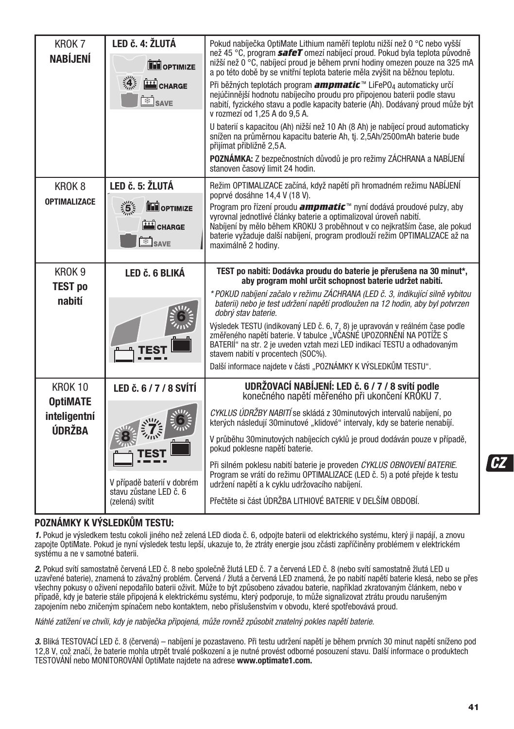| KROK <sub>7</sub>                 | LED č. 4: ŽLUTÁ<br>Pokud nabíječka OptiMate Lithium naměří teplotu nižší než 0 °C nebo vyšší |                                                                                                                                                                                                                                                                                                              |
|-----------------------------------|----------------------------------------------------------------------------------------------|--------------------------------------------------------------------------------------------------------------------------------------------------------------------------------------------------------------------------------------------------------------------------------------------------------------|
| <b>NABÍJENÍ</b>                   | <b>DE OPTIMIZE</b>                                                                           | než 45 °C, program safeT omezí nabíjecí proud. Pokud byla teplota původně<br>nižší než 0 °C, nabíjecí proud je během první hodiny omezen pouze na 325 mA<br>a po této době by se vnitřní teplota baterie měla zvýšit na běžnou teplotu.                                                                      |
|                                   | 灙<br>CHARGE<br>$\frac{a}{2}$ SAVE                                                            | Při běžných teplotách program <i>ampmatic</i> <sup>™</sup> LiFePO <sub>4</sub> automaticky určí<br>nejúčinnější hodnotu nabíjecího proudu pro připojenou baterii podle stavu<br>nabití, fyzického stavu a podle kapacity baterie (Ah). Dodávaný proud může být<br>v rozmezí od 1,25 A do 9,5 A.              |
|                                   |                                                                                              | U baterií s kapacitou (Ah) nižší než 10 Ah (8 Ah) je nabíjecí proud automaticky<br>snížen na průměrnou kapacitu baterie Ah, tj. 2,5Ah/2500mAh baterie bude<br>přijímat přibližně 2,5A.                                                                                                                       |
|                                   |                                                                                              | POZNÁMKA: Z bezpečnostních důvodů je pro režimy ZÁCHRANA a NABÍJENÍ<br>stanoven časový limit 24 hodin.                                                                                                                                                                                                       |
| KROK <sub>8</sub>                 | LED č. 5: ŽLUTÁ                                                                              | Režim OPTIMALIZACE začíná, když napětí při hromadném režimu NABÍJENÍ<br>poprvé dosáhne 14,4 V (18 V).                                                                                                                                                                                                        |
| <b>OPTIMALIZACE</b>               | $\frac{1}{2}$<br>OPTIMIZE<br>CHARGE                                                          | Program pro řízení proudu <i>ampmatic</i> ™ nyní dodává proudové pulzy, aby<br>vyrovnal jednotlivé články baterie a optimalizoval úroveň nabití.<br>Nabíjení by mělo během KROKU 3 proběhnout v co nejkratším čase, ale pokud<br>baterie vyžaduje další nabíjení, program prodlouží režim OPTIMALIZACE až na |
|                                   | <b>ED</b> SAVE                                                                               | maximálně 2 hodiny.                                                                                                                                                                                                                                                                                          |
| KROK 9                            | LED č. 6 BLIKÁ                                                                               | TEST po nabití: Dodávka proudu do baterie je přerušena na 30 minut*,<br>aby program mohl určit schopnost baterie udržet nabití.                                                                                                                                                                              |
| <b>TEST po</b><br>nabití          |                                                                                              | * POKUD nabíjení začalo v režimu ZÁCHRANA (LED č. 3, indikující silně vybitou<br>baterii) nebo je test udržení napětí prodloužen na 12 hodin, aby byl potyrzen<br>dobrý stav baterie.                                                                                                                        |
|                                   |                                                                                              | Výsledek TESTU (indikovaný LED č. 6, 7, 8) je upravován v reálném čase podle<br>změřeného napětí baterie. V tabulce "VČASNÉ UPOZORNĚNÍ NA POTÍŽE S<br>BATERIÍ" na str. 2 je uveden vztah mezi LED indikací TESTU a odhadovaným<br>stavem nabití v procentech (SOC%).                                         |
|                                   |                                                                                              | Další informace najdete v části "POZNÁMKY K VÝSLEDKŮM TESTU".                                                                                                                                                                                                                                                |
| <b>KROK 10</b><br><b>OptiMATE</b> | LED č. 6 / 7 / 8 SVÍTÍ                                                                       | UDRŽOVACÍ NABÍJENÍ: LED č. 6 / 7 / 8 svítí podle<br>konečného napětí měřeného při ukončení KROKU 7.                                                                                                                                                                                                          |
| inteligentní<br>ÚDRŽBA            |                                                                                              | CYKLUS ÚDRŽBY NABITÍ se skládá z 30minutových intervalů nabíjení, po<br>kterých následují 30minutové "klidové" intervaly, kdy se baterie nenabíjí.                                                                                                                                                           |
|                                   |                                                                                              | V průběhu 30minutových nabíjecích cyklů je proud dodáván pouze v případě,<br>pokud poklesne napětí baterie.                                                                                                                                                                                                  |
|                                   | V případě baterií v dobrém                                                                   | Při silném poklesu nabití baterie je proveden CYKLUS OBNOVENÍ BATERIE.<br>Program se vrátí do režimu OPTIMALIZACE (LED č. 5) a poté přejde k testu<br>udržení napětí a k cyklu udržovacího nabíjení.                                                                                                         |
|                                   | stavu zůstane LED č. 6<br>(zelená) svítit                                                    | Přečtěte si část ÚDRŽBA LITHIOVÉ BATERIE V DELŠÍM OBDOBÍ.                                                                                                                                                                                                                                                    |

#### **POZNÁMKY K VÝSLEDKŮM TESTU:**

1. Pokud je výsledkem testu cokoli jiného než zelená LED dioda č. 6, odpojte baterii od elektrického systému, který ji napájí, a znovu zapojte OptiMate. Pokud je nyní výsledek testu lepší, ukazuje to, že ztráty energie jsou zčásti zapříčiněny problémem v elektrickém systému a ne v samotné baterii.

2. Pokud svítí samostatně červená LED č. 8 nebo společně žlutá LED č. 7 a červená LED č. 8 (nebo svítí samostatně žlutá LED u uzavřené baterie), znamená to závažný problém. Červená / žlutá a červená LED znamená, že po nabití napětí baterie klesá, nebo se přes všechny pokusy o oživení nepodařilo baterii oživit. Může to být způsobeno závadou baterie, například zkratovaným článkem, nebo v případě, kdy je baterie stále připojená k elektrickému systému, který podporuje, to může signalizovat ztrátu proudu narušeným zapojením nebo zničeným spínačem nebo kontaktem, nebo příslušenstvím v obvodu, které spotřebovává proud.

Náhlé zatížení ve chvíli, kdy je nabíječka připojená, může rovněž způsobit znatelný pokles napětí baterie.

3. Bliká TESTOVACÍ LED č. 8 (červená) – nabíjení je pozastaveno. Při testu udržení napětí je během prvních 30 minut napětí sníženo pod 12,8 V, což značí, že baterie mohla utrpět trvalé poškození a je nutné provést odborné posouzení stavu. Další informace o produktech TESTOVÁNÍ nebo MONITOROVÁNÍ OptiMate najdete na adrese **www.optimate1.com.**

**CZ**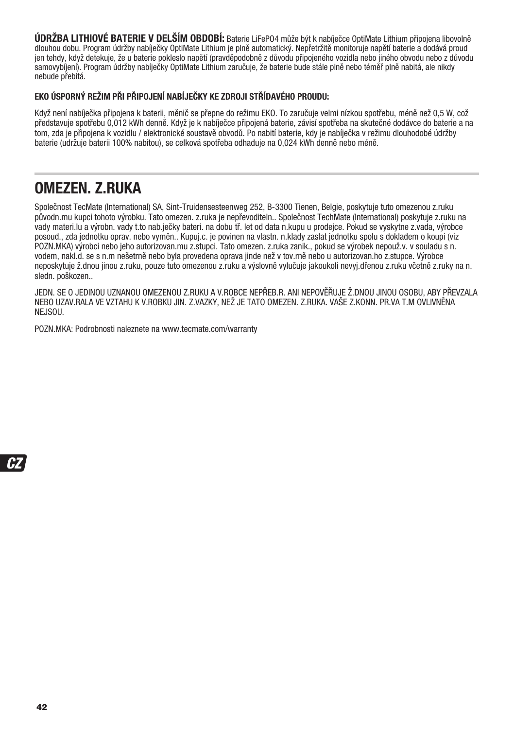**ÚDRŽBA LITHIOVÉ BATERIE V DELŠÍM OBDOBÍ:** Baterie LiFePO4 může být k nabíječce OptiMate Lithium připojena libovolně dlouhou dobu. Program údržby nabíječky OptiMate Lithium je plně automatický. Nepřetržitě monitoruje napětí baterie a dodává proud jen tehdy, když detekuje, že u baterie pokleslo napětí (pravděpodobně z důvodu připojeného vozidla nebo jiného obvodu nebo z důvodu samovybíjení). Program údržby nabíječky OptiMate Lithium zaručuje, že baterie bude stále plně nebo téměř plně nabitá, ale nikdy nebude přebitá.

#### **EKO ÚSPORNÝ REŽIM PŘI PŘIPOJENÍ NABÍJEČKY KE ZDROJI STŘÍDAVÉHO PROUDU:**

Když není nabíječka připojena k baterii, měnič se přepne do režimu EKO. To zaručuje velmi nízkou spotřebu, méně než 0,5 W, což představuje spotřebu 0,012 kWh denně. Když je k nabíječce připojená baterie, závisí spotřeba na skutečné dodávce do baterie a na tom, zda je připojena k vozidlu / elektronické soustavě obvodů. Po nabití baterie, kdy je nabíječka v režimu dlouhodobé údržby baterie (udržuje baterii 100% nabitou), se celková spotřeba odhaduje na 0,024 kWh denně nebo méně.

### **OMEZEN. Z.RUKA**

Společnost TecMate (International) SA, Sint-Truidensesteenweg 252, B-3300 Tienen, Belgie, poskytuje tuto omezenou z.ruku původn.mu kupci tohoto výrobku. Tato omezen. z.ruka je nepřevoditeln.. Společnost TechMate (International) poskytuje z.ruku na vady materi.lu a výrobn. vady t.to nab.ječky bateri. na dobu tř. let od data n.kupu u prodejce. Pokud se vyskytne z.vada, výrobce posoud., zda jednotku oprav. nebo vyměn.. Kupuj.c. je povinen na vlastn. n.klady zaslat jednotku spolu s dokladem o koupi (viz POZN.MKA) výrobci nebo jeho autorizovan.mu z.stupci. Tato omezen. z.ruka zanik., pokud se výrobek nepouž.v. v souladu s n. vodem, nakl.d. se s n.m nešetrně nebo byla provedena oprava jinde než v tov.rně nebo u autorizovan.ho z.stupce. Výrobce neposkytuje ž.dnou jinou z.ruku, pouze tuto omezenou z.ruku a výslovně vylučuje jakoukoli nevyj.dřenou z.ruku včetně z.ruky na n. sledn. poškozen..

JEDN. SE O JEDINOU UZNANOU OMEZENOU Z.RUKU A V.ROBCE NEPŘEB.R. ANI NEPOVĚŘUJE Ž.DNOU JINOU OSOBU, ABY PŘEVZALA NEBO UZAV.RALA VE VZTAHU K V.ROBKU JIN. Z.VAZKY, NEŽ JE TATO OMEZEN. Z.RUKA. VAŠE Z.KONN. PR.VA T.M OVLIVNĚNA NEJSOU.

POZN.MKA: Podrobnosti naleznete na www.tecmate.com/warranty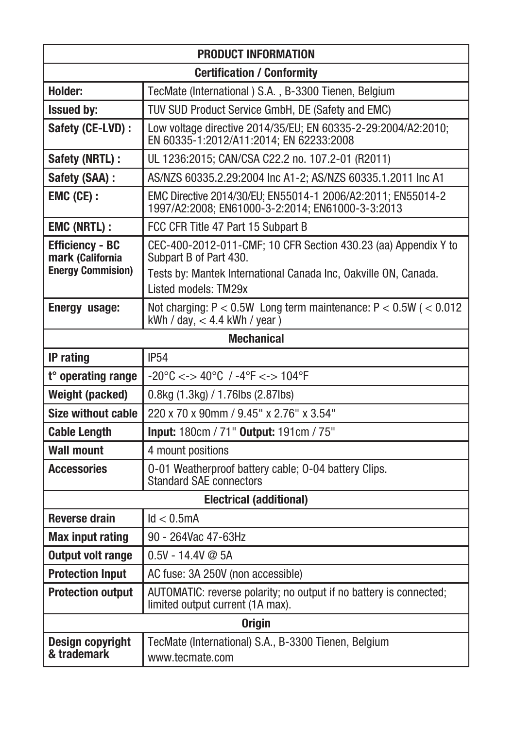| <b>PRODUCT INFORMATION</b>                                                                                                    |                                                                                                                                                             |  |  |  |  |
|-------------------------------------------------------------------------------------------------------------------------------|-------------------------------------------------------------------------------------------------------------------------------------------------------------|--|--|--|--|
| <b>Certification / Conformity</b>                                                                                             |                                                                                                                                                             |  |  |  |  |
| <b>Holder:</b>                                                                                                                | TecMate (International) S.A., B-3300 Tienen, Belgium                                                                                                        |  |  |  |  |
| TUV SUD Product Service GmbH, DE (Safety and EMC)<br><b>Issued by:</b>                                                        |                                                                                                                                                             |  |  |  |  |
| Safety (CE-LVD) :<br>Low voltage directive 2014/35/EU; EN 60335-2-29:2004/A2:2010;<br>EN 60335-1:2012/A11:2014; EN 62233:2008 |                                                                                                                                                             |  |  |  |  |
| Safety (NRTL) :                                                                                                               | UL 1236:2015; CAN/CSA C22.2 no. 107.2-01 (R2011)                                                                                                            |  |  |  |  |
| Safety (SAA) :                                                                                                                | AS/NZS 60335.2.29:2004 Inc A1-2; AS/NZS 60335.1.2011 Inc A1                                                                                                 |  |  |  |  |
| EMC (CE) :                                                                                                                    | EMC Directive 2014/30/EU; EN55014-1 2006/A2:2011; EN55014-2<br>1997/A2:2008; EN61000-3-2:2014; EN61000-3-3:2013                                             |  |  |  |  |
| <b>EMC (NRTL):</b>                                                                                                            | FCC CFR Title 47 Part 15 Subpart B                                                                                                                          |  |  |  |  |
| <b>Efficiency - BC</b><br>mark (California<br><b>Energy Commision)</b>                                                        | CEC-400-2012-011-CMF; 10 CFR Section 430.23 (aa) Appendix Y to<br>Subpart B of Part 430.<br>Tests by: Mantek International Canada Inc, Oakville ON, Canada. |  |  |  |  |
|                                                                                                                               | Listed models: TM29x                                                                                                                                        |  |  |  |  |
| Not charging: $P < 0.5W$ Long term maintenance: $P < 0.5W$ ( $< 0.012$ )<br>Energy usage:<br>kWh / day, $<$ 4.4 kWh / year)   |                                                                                                                                                             |  |  |  |  |
|                                                                                                                               | <b>Mechanical</b>                                                                                                                                           |  |  |  |  |
| <b>IP54</b><br><b>IP</b> rating                                                                                               |                                                                                                                                                             |  |  |  |  |
| $-20^{\circ}$ C <-> 40°C / $-4^{\circ}$ F <-> 104°F<br>t° operating range                                                     |                                                                                                                                                             |  |  |  |  |
| Weight (packed)<br>0.8kg (1.3kg) / 1.76lbs (2.87lbs)                                                                          |                                                                                                                                                             |  |  |  |  |
| 220 x 70 x 90mm / 9.45" x 2.76" x 3.54"<br><b>Size without cable</b>                                                          |                                                                                                                                                             |  |  |  |  |
| <b>Cable Length</b>                                                                                                           | Input: 180cm / 71" Output: 191cm / 75"                                                                                                                      |  |  |  |  |
| <b>Wall mount</b>                                                                                                             | 4 mount positions                                                                                                                                           |  |  |  |  |
| <b>Accessories</b>                                                                                                            | 0-01 Weatherproof battery cable; 0-04 battery Clips.<br><b>Standard SAE connectors</b>                                                                      |  |  |  |  |
|                                                                                                                               | <b>Electrical (additional)</b>                                                                                                                              |  |  |  |  |
| <b>Reverse drain</b>                                                                                                          | Id < 0.5mA                                                                                                                                                  |  |  |  |  |
| <b>Max input rating</b>                                                                                                       | 90 - 264Vac 47-63Hz                                                                                                                                         |  |  |  |  |
| <b>Output volt range</b>                                                                                                      | $0.5V - 14.4V \oslash 5A$                                                                                                                                   |  |  |  |  |
| <b>Protection Input</b>                                                                                                       | AC fuse: 3A 250V (non accessible)                                                                                                                           |  |  |  |  |
| <b>Protection output</b>                                                                                                      | AUTOMATIC: reverse polarity; no output if no battery is connected;<br>limited output current (1A max).                                                      |  |  |  |  |
|                                                                                                                               | <b>Origin</b>                                                                                                                                               |  |  |  |  |
| TecMate (International) S.A., B-3300 Tienen, Belgium<br><b>Design copyright</b><br>& trademark<br>www.tecmate.com             |                                                                                                                                                             |  |  |  |  |